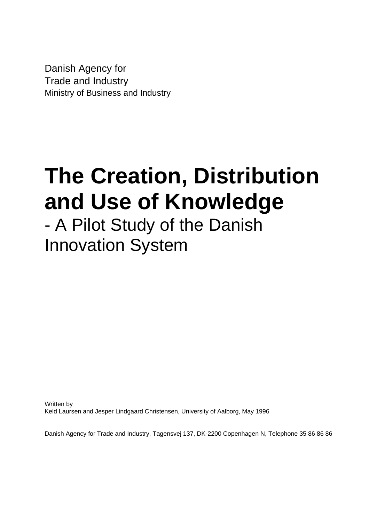Danish Agency for Trade and Industry Ministry of Business and Industry

## **The Creation, Distribution and Use of Knowledge**

### - A Pilot Study of the Danish Innovation System

Written by Keld Laursen and Jesper Lindgaard Christensen, University of Aalborg, May 1996

Danish Agency for Trade and Industry, Tagensvej 137, DK-2200 Copenhagen N, Telephone 35 86 86 86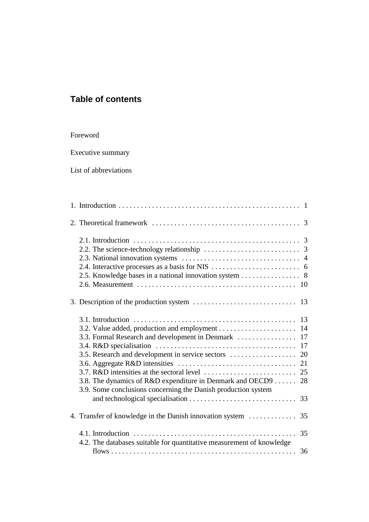#### **Table of contents**

#### Foreword

Executive summary

List of abbreviations

| 3.5. Research and development in service sectors                      | 20 |
|-----------------------------------------------------------------------|----|
|                                                                       | 21 |
|                                                                       |    |
| 3.8. The dynamics of R&D expenditure in Denmark and OECD9  28         |    |
| 3.9. Some conclusions concerning the Danish production system         |    |
|                                                                       |    |
|                                                                       |    |
| 4.2. The databases suitable for quantitative measurement of knowledge |    |
|                                                                       |    |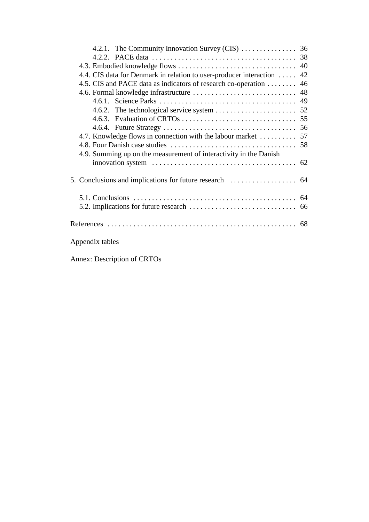| 4.4. CIS data for Denmark in relation to user-producer interaction  42                                                                                                          |  |
|---------------------------------------------------------------------------------------------------------------------------------------------------------------------------------|--|
| 4.5. CIS and PACE data as indicators of research co-operation  46                                                                                                               |  |
|                                                                                                                                                                                 |  |
|                                                                                                                                                                                 |  |
|                                                                                                                                                                                 |  |
|                                                                                                                                                                                 |  |
|                                                                                                                                                                                 |  |
|                                                                                                                                                                                 |  |
|                                                                                                                                                                                 |  |
| 4.9. Summing up on the measurement of interactivity in the Danish<br>innovation system $\ldots \ldots \ldots \ldots \ldots \ldots \ldots \ldots \ldots \ldots \ldots \ldots$ 62 |  |
|                                                                                                                                                                                 |  |
|                                                                                                                                                                                 |  |
|                                                                                                                                                                                 |  |
|                                                                                                                                                                                 |  |
| Appendix tables                                                                                                                                                                 |  |

Annex: Description of CRTOs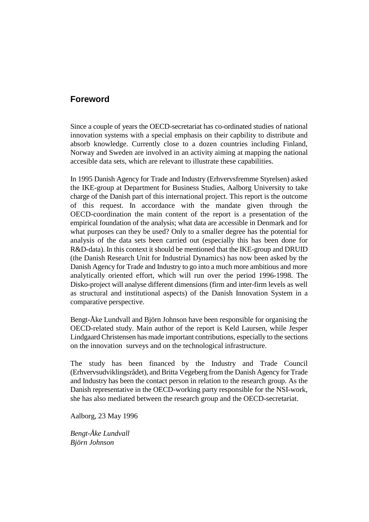#### **Foreword**

Since a couple of years the OECD-secretariat has co-ordinated studies of national innovation systems with a special emphasis on their capbility to distribute and absorb knowledge. Currently close to a dozen countries including Finland, Norway and Sweden are involved in an activity aiming at mapping the national accesible data sets, which are relevant to illustrate these capabilities.

In 1995 Danish Agency for Trade and Industry (Erhvervsfremme Styrelsen) asked the IKE-group at Department for Business Studies, Aalborg University to take charge of the Danish part of this international project. This report is the outcome of this request. In accordance with the mandate given through the OECD-coordination the main content of the report is a presentation of the empirical foundation of the analysis; what data are accessible in Denmark and for what purposes can they be used? Only to a smaller degree has the potential for analysis of the data sets been carried out (especially this has been done for R&D-data). In this context it should be mentioned that the IKE-group and DRUID (the Danish Research Unit for Industrial Dynamics) has now been asked by the Danish Agency for Trade and Industry to go into a much more ambitious and more analytically oriented effort, which will run over the period 1996-1998. The Disko-project will analyse different dimensions (firm and inter-firm levels as well as structural and institutional aspects) of the Danish Innovation System in a comparative perspective.

Bengt-Åke Lundvall and Björn Johnson have been responsible for organising the OECD-related study. Main author of the report is Keld Laursen, while Jesper Lindgaard Christensen has made important contributions, especially to the sections on the innovation surveys and on the technological infrastructure.

The study has been financed by the Industry and Trade Council (Erhvervsudviklingsrådet), and Britta Vegeberg from the Danish Agency for Trade and Industry has been the contact person in relation to the research group. As the Danish representative in the OECD-working party responsible for the NSI-work, she has also mediated between the research group and the OECD-secretariat.

Aalborg, 23 May 1996

*Bengt-Åke Lundvall Björn Johnson*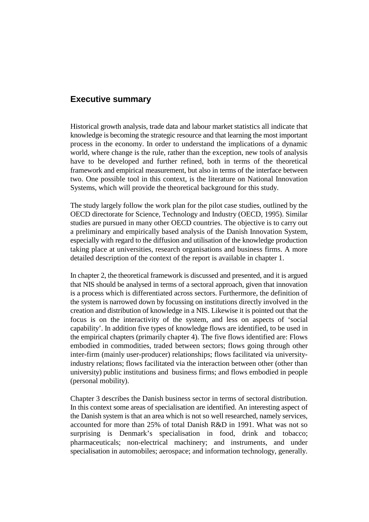#### **Executive summary**

Historical growth analysis, trade data and labour market statistics all indicate that knowledge is becoming the strategic resource and that learning the most important process in the economy. In order to understand the implications of a dynamic world, where change is the rule, rather than the exception, new tools of analysis have to be developed and further refined, both in terms of the theoretical framework and empirical measurement, but also in terms of the interface between two. One possible tool in this context, is the literature on National Innovation Systems, which will provide the theoretical background for this study.

The study largely follow the work plan for the pilot case studies, outlined by the OECD directorate for Science, Technology and Industry (OECD, 1995). Similar studies are pursued in many other OECD countries. The objective is to carry out a preliminary and empirically based analysis of the Danish Innovation System, especially with regard to the diffusion and utilisation of the knowledge production taking place at universities, research organisations and business firms. A more detailed description of the context of the report is available in chapter 1.

In chapter 2, the theoretical framework is discussed and presented, and it is argued that NIS should be analysed in terms of a sectoral approach, given that innovation is a process which is differentiated across sectors. Furthermore, the definition of the system is narrowed down by focussing on institutions directly involved in the creation and distribution of knowledge in a NIS. Likewise it is pointed out that the focus is on the interactivity of the system, and less on aspects of 'social capability'. In addition five types of knowledge flows are identified, to be used in the empirical chapters (primarily chapter 4). The five flows identified are: Flows embodied in commodities, traded between sectors; flows going through other inter-firm (mainly user-producer) relationships; flows facilitated via universityindustry relations; flows facilitated via the interaction between other (other than university) public institutions and business firms; and flows embodied in people (personal mobility).

Chapter 3 describes the Danish business sector in terms of sectoral distribution. In this context some areas of specialisation are identified. An interesting aspect of the Danish system is that an area which is not so well researched, namely services, accounted for more than 25% of total Danish R&D in 1991. What was not so surprising is Denmark's specialisation in food, drink and tobacco; pharmaceuticals; non-electrical machinery; and instruments, and under specialisation in automobiles; aerospace; and information technology, generally.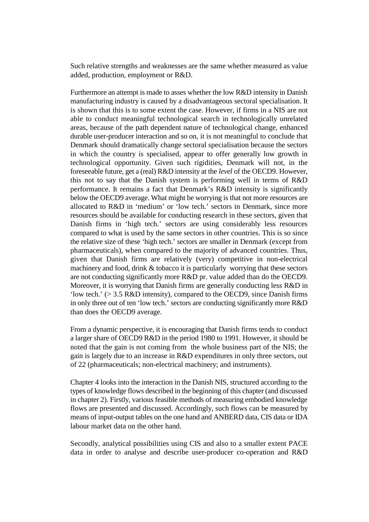Such relative strengths and weaknesses are the same whether measured as value added, production, employment or R&D.

Furthermore an attempt is made to asses whether the low R&D intensity in Danish manufacturing industry is caused by a disadvantageous sectoral specialisation. It is shown that this is to some extent the case. However, if firms in a NIS are not able to conduct meaningful technological search in technologically unrelated areas, because of the path dependent nature of technological change, enhanced durable user-producer interaction and so on, it is not meaningful to conclude that Denmark should dramatically change sectoral specialisation because the sectors in which the country is specialised, appear to offer generally low growth in technological opportunity. Given such rigidities, Denmark will not, in the foreseeable future, get a (real) R&D intensity at the *level* of the OECD9. However, this not to say that the Danish system is performing well in terms of R&D performance. It remains a fact that Denmark's R&D intensity is significantly below the OECD9 average. What might be worrying is that not more resources are allocated to R&D in 'medium' or 'low tech.' sectors in Denmark, since more resources should be available for conducting research in these sectors, given that Danish firms in 'high tech.' sectors are using considerably less resources compared to what is used by the same sectors in other countries. This is so since the relative size of these 'high tech.' sectors are smaller in Denmark (except from pharmaceuticals), when compared to the majority of advanced countries. Thus, given that Danish firms are relatively (very) competitive in non-electrical machinery and food, drink & tobacco it is particularly worrying that these sectors are not conducting significantly more R&D pr. value added than do the OECD9. Moreover, it is worrying that Danish firms are generally conducting less R&D in 'low tech.' (> 3.5 R&D intensity), compared to the OECD9, since Danish firms in only three out of ten 'low tech.' sectors are conducting significantly more R&D than does the OECD9 average.

From a dynamic perspective, it is encouraging that Danish firms tends to conduct a larger share of OECD9 R&D in the period 1980 to 1991. However, it should be noted that the gain is not coming from the whole business part of the NIS; the gain is largely due to an increase in R&D expenditures in only three sectors, out of 22 (pharmaceuticals; non-electrical machinery; and instruments).

Chapter 4 looks into the interaction in the Danish NIS, structured according to the types of knowledge flows described in the beginning of this chapter (and discussed in chapter 2). Firstly, various feasible methods of measuring embodied knowledge flows are presented and discussed. Accordingly, such flows can be measured by means of input-output tables on the one hand and ANBERD data, CIS data or IDA labour market data on the other hand.

Secondly, analytical possibilities using CIS and also to a smaller extent PACE data in order to analyse and describe user-producer co-operation and R&D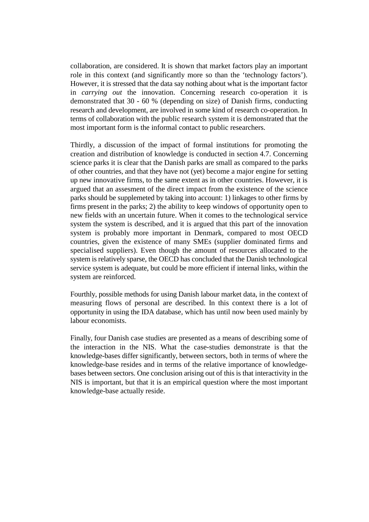collaboration, are considered. It is shown that market factors play an important role in this context (and significantly more so than the 'technology factors'). However, it is stressed that the data say nothing about what is the important factor in *carrying out* the innovation. Concerning research co-operation it is demonstrated that 30 - 60 % (depending on size) of Danish firms, conducting research and development, are involved in some kind of research co-operation. In terms of collaboration with the public research system it is demonstrated that the most important form is the informal contact to public researchers.

Thirdly, a discussion of the impact of formal institutions for promoting the creation and distribution of knowledge is conducted in section 4.7. Concerning science parks it is clear that the Danish parks are small as compared to the parks of other countries, and that they have not (yet) become a major engine for setting up new innovative firms, to the same extent as in other countries. However, it is argued that an assesment of the direct impact from the existence of the science parks should be supplemeted by taking into account: 1) linkages to other firms by firms present in the parks; 2) the ability to keep windows of opportunity open to new fields with an uncertain future. When it comes to the technological service system the system is described, and it is argued that this part of the innovation system is probably more important in Denmark, compared to most OECD countries, given the existence of many SMEs (supplier dominated firms and specialised suppliers). Even though the amount of resources allocated to the system is relatively sparse, the OECD has concluded that the Danish technological service system is adequate, but could be more efficient if internal links, within the system are reinforced.

Fourthly, possible methods for using Danish labour market data, in the context of measuring flows of personal are described. In this context there is a lot of opportunity in using the IDA database, which has until now been used mainly by labour economists.

Finally, four Danish case studies are presented as a means of describing some of the interaction in the NIS. What the case-studies demonstrate is that the knowledge-bases differ significantly, between sectors, both in terms of where the knowledge-base resides and in terms of the relative importance of knowledgebases between sectors. One conclusion arising out of this is that interactivity in the NIS is important, but that it is an empirical question where the most important knowledge-base actually reside.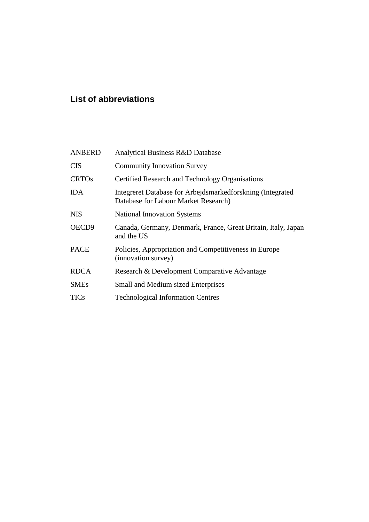#### **List of abbreviations**

| <b>ANBERD</b>     | Analytical Business R&D Database                                                                   |
|-------------------|----------------------------------------------------------------------------------------------------|
| <b>CIS</b>        | <b>Community Innovation Survey</b>                                                                 |
| <b>CRTOs</b>      | Certified Research and Technology Organisations                                                    |
| IDA               | Integreret Database for Arbejdsmarkedforskning (Integrated<br>Database for Labour Market Research) |
| <b>NIS</b>        | <b>National Innovation Systems</b>                                                                 |
| OECD <sub>9</sub> | Canada, Germany, Denmark, France, Great Britain, Italy, Japan<br>and the US                        |
| <b>PACE</b>       | Policies, Appropriation and Competitiveness in Europe<br>(innovation survey)                       |
| <b>RDCA</b>       | Research & Development Comparative Advantage                                                       |
| <b>SMEs</b>       | <b>Small and Medium sized Enterprises</b>                                                          |
| TICs              | <b>Technological Information Centres</b>                                                           |
|                   |                                                                                                    |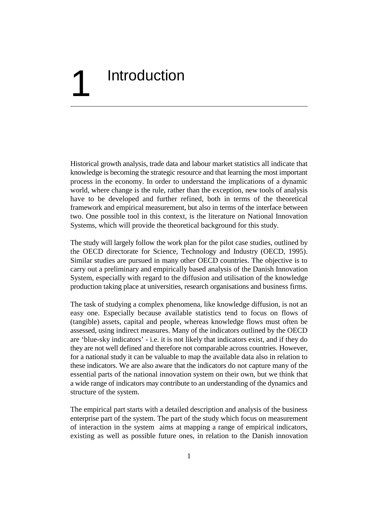## **Introduction**

Historical growth analysis, trade data and labour market statistics all indicate that knowledge is becoming the strategic resource and that learning the most important process in the economy. In order to understand the implications of a dynamic world, where change is the rule, rather than the exception, new tools of analysis have to be developed and further refined, both in terms of the theoretical framework and empirical measurement, but also in terms of the interface between two. One possible tool in this context, is the literature on National Innovation Systems, which will provide the theoretical background for this study.

The study will largely follow the work plan for the pilot case studies, outlined by the OECD directorate for Science, Technology and Industry (OECD, 1995). Similar studies are pursued in many other OECD countries. The objective is to carry out a preliminary and empirically based analysis of the Danish Innovation System, especially with regard to the diffusion and utilisation of the knowledge production taking place at universities, research organisations and business firms.

The task of studying a complex phenomena, like knowledge diffusion, is not an easy one. Especially because available statistics tend to focus on flows of (tangible) assets, capital and people, whereas knowledge flows must often be assessed, using indirect measures. Many of the indicators outlined by the OECD are 'blue-sky indicators' - i.e. it is not likely that indicators exist, and if they do they are not well defined and therefore not comparable across countries. However, for a national study it can be valuable to map the available data also in relation to these indicators. We are also aware that the indicators do not capture many of the essential parts of the national innovation system on their own, but we think that a wide range of indicators may contribute to an understanding of the dynamics and structure of the system.

The empirical part starts with a detailed description and analysis of the business enterprise part of the system. The part of the study which focus on measurement of interaction in the system aims at mapping a range of empirical indicators, existing as well as possible future ones, in relation to the Danish innovation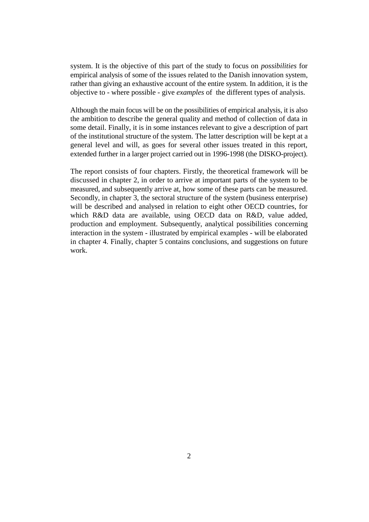system. It is the objective of this part of the study to focus on *possibilities* for empirical analysis of some of the issues related to the Danish innovation system, rather than giving an exhaustive account of the entire system. In addition, it is the objective to - where possible - give *examples* of the different types of analysis.

Although the main focus will be on the possibilities of empirical analysis, it is also the ambition to describe the general quality and method of collection of data in some detail. Finally, it is in some instances relevant to give a description of part of the institutional structure of the system. The latter description will be kept at a general level and will, as goes for several other issues treated in this report, extended further in a larger project carried out in 1996-1998 (the DISKO-project).

The report consists of four chapters. Firstly, the theoretical framework will be discussed in chapter 2, in order to arrive at important parts of the system to be measured, and subsequently arrive at, how some of these parts can be measured. Secondly, in chapter 3, the sectoral structure of the system (business enterprise) will be described and analysed in relation to eight other OECD countries, for which R&D data are available, using OECD data on R&D, value added, production and employment. Subsequently, analytical possibilities concerning interaction in the system - illustrated by empirical examples - will be elaborated in chapter 4. Finally, chapter 5 contains conclusions, and suggestions on future work.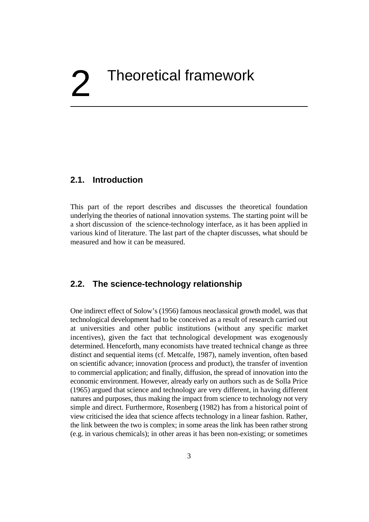# 2 Theoretical framework

#### **2.1. Introduction**

This part of the report describes and discusses the theoretical foundation underlying the theories of national innovation systems. The starting point will be a short discussion of the science-technology interface, as it has been applied in various kind of literature. The last part of the chapter discusses, what should be measured and how it can be measured.

#### **2.2. The science-technology relationship**

One indirect effect of Solow's (1956) famous neoclassical growth model, was that technological development had to be conceived as a result of research carried out at universities and other public institutions (without any specific market incentives), given the fact that technological development was exogenously determined. Henceforth, many economists have treated technical change as three distinct and sequential items (cf. Metcalfe, 1987), namely invention, often based on scientific advance; innovation (process and product), the transfer of invention to commercial application; and finally, diffusion, the spread of innovation into the economic environment. However, already early on authors such as de Solla Price (1965) argued that science and technology are very different, in having different natures and purposes, thus making the impact from science to technology not very simple and direct. Furthermore, Rosenberg (1982) has from a historical point of view criticised the idea that science affects technology in a linear fashion. Rather, the link between the two is complex; in some areas the link has been rather strong (e.g. in various chemicals); in other areas it has been non-existing; or sometimes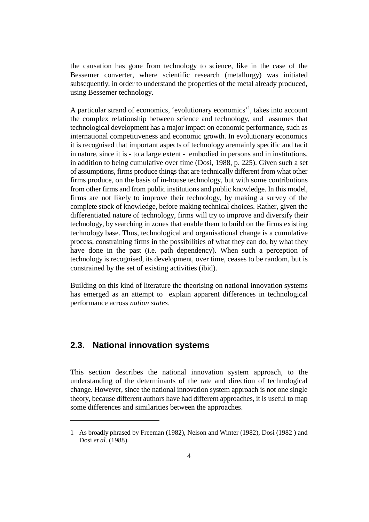the causation has gone from technology to science, like in the case of the Bessemer converter, where scientific research (metallurgy) was initiated subsequently, in order to understand the properties of the metal already produced, using Bessemer technology.

A particular strand of economics, 'evolutionary economics'<sup>1</sup>, takes into account the complex relationship between science and technology, and assumes that technological development has a major impact on economic performance, such as international competitiveness and economic growth. In evolutionary economics it is recognised that important aspects of technology aremainly specific and tacit in nature, since it is - to a large extent - embodied in persons and in institutions, in addition to being cumulative over time (Dosi, 1988, p. 225). Given such a set of assumptions, firms produce things that are technically different from what other firms produce, on the basis of in-house technology, but with some contributions from other firms and from public institutions and public knowledge. In this model, firms are not likely to improve their technology, by making a survey of the complete stock of knowledge, before making technical choices. Rather, given the differentiated nature of technology, firms will try to improve and diversify their technology, by searching in zones that enable them to build on the firms existing technology base. Thus, technological and organisational change is a cumulative process, constraining firms in the possibilities of what they can do, by what they have done in the past (i.e. path dependency). When such a perception of technology is recognised, its development, over time, ceases to be random, but is constrained by the set of existing activities (ibid).

Building on this kind of literature the theorising on national innovation systems has emerged as an attempt to explain apparent differences in technological performance across *nation states*.

#### **2.3. National innovation systems**

This section describes the national innovation system approach, to the understanding of the determinants of the rate and direction of technological change. However, since the national innovation system approach is not one single theory, because different authors have had different approaches, it is useful to map some differences and similarities between the approaches.

<sup>1</sup> As broadly phrased by Freeman (1982), Nelson and Winter (1982), Dosi (1982 ) and Dosi *et al.* (1988).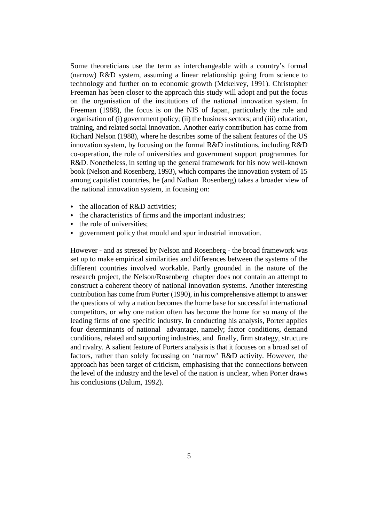Some theoreticians use the term as interchangeable with a country's formal (narrow) R&D system, assuming a linear relationship going from science to technology and further on to economic growth (Mckelvey, 1991). Christopher Freeman has been closer to the approach this study will adopt and put the focus on the organisation of the institutions of the national innovation system. In Freeman (1988), the focus is on the NIS of Japan, particularly the role and organisation of (i) government policy; (ii) the business sectors; and (iii) education, training, and related social innovation. Another early contribution has come from Richard Nelson (1988), where he describes some of the salient features of the US innovation system, by focusing on the formal R&D institutions, including R&D co-operation, the role of universities and government support programmes for R&D. Nonetheless, in setting up the general framework for his now well-known book (Nelson and Rosenberg, 1993), which compares the innovation system of 15 among capitalist countries, he (and Nathan Rosenberg) takes a broader view of the national innovation system, in focusing on:

- the allocation of R&D activities;
- & the characteristics of firms and the important industries;
- the role of universities:
- & government policy that mould and spur industrial innovation.

However - and as stressed by Nelson and Rosenberg - the broad framework was set up to make empirical similarities and differences between the systems of the different countries involved workable. Partly grounded in the nature of the research project, the Nelson/Rosenberg chapter does not contain an attempt to construct a coherent theory of national innovation systems. Another interesting contribution has come from Porter (1990), in his comprehensive attempt to answer the questions of why a nation becomes the home base for successful international competitors, or why one nation often has become the home for so many of the leading firms of one specific industry. In conducting his analysis, Porter applies four determinants of national advantage, namely; factor conditions, demand conditions, related and supporting industries, and finally, firm strategy, structure and rivalry. A salient feature of Porters analysis is that it focuses on a broad set of factors, rather than solely focussing on 'narrow' R&D activity. However, the approach has been target of criticism, emphasising that the connections between the level of the industry and the level of the nation is unclear, when Porter draws his conclusions (Dalum, 1992).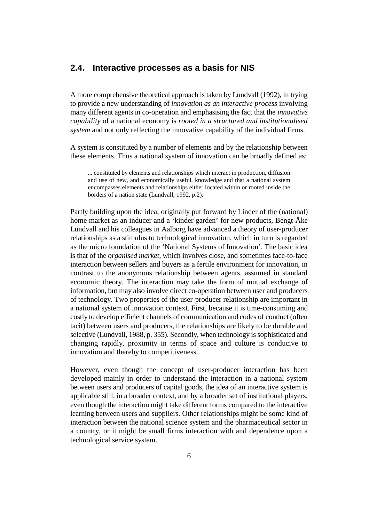#### **2.4. Interactive processes as a basis for NIS**

A more comprehensive theoretical approach is taken by Lundvall (1992), in trying to provide a new understanding of *innovation as an interactive process* involving many different agents in co-operation and emphasising the fact that the *innovative capability* of a national economy is *rooted in a structured and institutionalised system* and not only reflecting the innovative capability of the individual firms.

A system is constituted by a number of elements and by the relationship between these elements. Thus a national system of innovation can be broadly defined as:

... constituted by elements and relationships which interact in production, diffusion and use of new, and economically useful, knowledge and that a national system encompasses elements and relationships either located within or rooted inside the borders of a nation state (Lundvall, 1992, p.2).

Partly building upon the idea, originally put forward by Linder of the (national) home market as an inducer and a 'kinder garden' for new products, Bengt-Åke Lundvall and his colleagues in Aalborg have advanced a theory of user-producer relationships as a stimulus to technological innovation, which in turn is regarded as the micro foundation of the 'National Systems of Innovation'. The basic idea is that of the *organised market,* which involves close, and sometimes face-to-face interaction between sellers and buyers as a fertile environment for innovation, in contrast to the anonymous relationship between agents, assumed in standard economic theory. The interaction may take the form of mutual exchange of information, but may also involve direct co-operation between user and producers of technology. Two properties of the user-producer relationship are important in a national system of innovation context. First, because it is time-consuming and costly to develop efficient channels of communication and codes of conduct (often tacit) between users and producers, the relationships are likely to be durable and selective (Lundvall, 1988, p. 355). Secondly, when technology is sophisticated and changing rapidly, proximity in terms of space and culture is conducive to innovation and thereby to competitiveness.

However, even though the concept of user-producer interaction has been developed mainly in order to understand the interaction in a national system between users and producers of capital goods, the idea of an interactive system is applicable still, in a broader context, and by a broader set of institutional players, even though the interaction might take different forms compared to the interactive learning between users and suppliers. Other relationships might be some kind of interaction between the national science system and the pharmaceutical sector in a country, or it might be small firms interaction with and dependence upon a technological service system.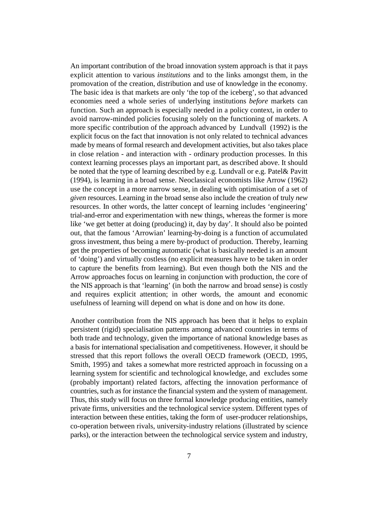An important contribution of the broad innovation system approach is that it pays explicit attention to various *institutions* and to the links amongst them, in the promovation of the creation, distribution and use of knowledge in the economy. The basic idea is that markets are only 'the top of the iceberg', so that advanced economies need a whole series of underlying institutions *before* markets can function. Such an approach is especially needed in a policy context, in order to avoid narrow-minded policies focusing solely on the functioning of markets. A more specific contribution of the approach advanced by Lundvall (1992) is the explicit focus on the fact that innovation is not only related to technical advances made by means of formal research and development activities, but also takes place in close relation - and interaction with - ordinary production processes. In this context learning processes plays an important part, as described above. It should be noted that the type of learning described by e.g. Lundvall or e.g. Patel& Pavitt (1994), is learning in a broad sense. Neoclassical economists like Arrow (1962) use the concept in a more narrow sense, in dealing with optimisation of a set of *given* resources. Learning in the broad sense also include the creation of truly *new* resources. In other words, the latter concept of learning includes 'engineering' trial-and-error and experimentation with new things, whereas the former is more like 'we get better at doing (producing) it, day by day'. It should also be pointed out, that the famous 'Arrowian' learning-by-doing is a function of accumulated gross investment, thus being a mere by-product of production. Thereby, learning get the properties of becoming automatic (what is basically needed is an amount of 'doing') and virtually costless (no explicit measures have to be taken in order to capture the benefits from learning). But even though both the NIS and the Arrow approaches focus on learning in conjunction with production, the core of the NIS approach is that 'learning' (in both the narrow and broad sense) is costly and requires explicit attention; in other words, the amount and economic usefulness of learning will depend on what is done and on how its done.

Another contribution from the NIS approach has been that it helps to explain persistent (rigid) specialisation patterns among advanced countries in terms of both trade and technology, given the importance of national knowledge bases as a basis for international specialisation and competitiveness. However, it should be stressed that this report follows the overall OECD framework (OECD, 1995, Smith, 1995) and takes a somewhat more restricted approach in focussing on a learning system for scientific and technological knowledge, and excludes some (probably important) related factors, affecting the innovation performance of countries, such as for instance the financial system and the system of management. Thus, this study will focus on three formal knowledge producing entities, namely private firms, universities and the technological service system. Different types of interaction between these entities, taking the form of user-producer relationships, co-operation between rivals, university-industry relations (illustrated by science parks), or the interaction between the technological service system and industry,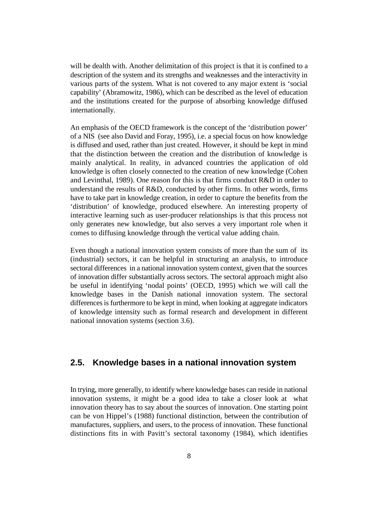will be dealth with. Another delimitation of this project is that it is confined to a description of the system and its strengths and weaknesses and the interactivity in various parts of the system. What is not covered to any major extent is 'social capability' (Abramowitz, 1986), which can be described as the level of education and the institutions created for the purpose of absorbing knowledge diffused internationally.

An emphasis of the OECD framework is the concept of the 'distribution power' of a NIS (see also David and Foray, 1995), i.e. a special focus on how knowledge is diffused and used, rather than just created. However, it should be kept in mind that the distinction between the creation and the distribution of knowledge is mainly analytical. In reality, in advanced countries the application of old knowledge is often closely connected to the creation of new knowledge (Cohen and Levinthal, 1989). One reason for this is that firms conduct R&D in order to understand the results of R&D, conducted by other firms. In other words, firms have to take part in knowledge creation, in order to capture the benefits from the 'distribution' of knowledge, produced elsewhere. An interesting property of interactive learning such as user-producer relationships is that this process not only generates new knowledge, but also serves a very important role when it comes to diffusing knowledge through the vertical value adding chain.

Even though a national innovation system consists of more than the sum of its (industrial) sectors, it can be helpful in structuring an analysis, to introduce sectoral differences in a national innovation system context, given that the sources of innovation differ substantially across sectors. The sectoral approach might also be useful in identifying 'nodal points' (OECD, 1995) which we will call the knowledge bases in the Danish national innovation system. The sectoral differences is furthermore to be kept in mind, when looking at aggregate indicators of knowledge intensity such as formal research and development in different national innovation systems (section 3.6).

#### **2.5. Knowledge bases in a national innovation system**

In trying, more generally, to identify where knowledge bases can reside in national innovation systems, it might be a good idea to take a closer look at what innovation theory has to say about the sources of innovation. One starting point can be von Hippel's (1988) functional distinction, between the contribution of manufactures, suppliers, and users, to the process of innovation. These functional distinctions fits in with Pavitt's sectoral taxonomy (1984), which identifies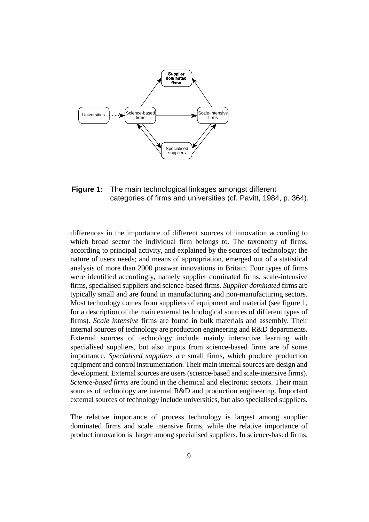

**Figure 1:** The main technological linkages amongst different categories of firms and universities (cf. Pavitt, 1984, p. 364).

differences in the importance of different sources of innovation according to which broad sector the individual firm belongs to. The taxonomy of firms, according to principal activity, and explained by the sources of technology; the nature of users needs; and means of appropriation, emerged out of a statistical analysis of more than 2000 postwar innovations in Britain. Four types of firms were identified accordingly, namely supplier dominated firms, scale-intensive firms, specialised suppliers and science-based firms. *Supplier dominated* firms are typically small and are found in manufacturing and non-manufacturing sectors. Most technology comes from suppliers of equipment and material (see figure 1, for a description of the main external technological sources of different types of firms). *Scale intensive* firms are found in bulk materials and assembly. Their internal sources of technology are production engineering and R&D departments. External sources of technology include mainly interactive learning with specialised suppliers, but also inputs from science-based firms are of some importance. *Specialised suppliers* are small firms, which produce production equipment and control instrumentation. Their main internal sources are design and development. External sources are users (science-based and scale-intensive firms). *Science-based firms* are found in the chemical and electronic sectors. Their main sources of technology are internal R&D and production engineering. Important external sources of technology include universities, but also specialised suppliers.

The relative importance of process technology is largest among supplier dominated firms and scale intensive firms, while the relative importance of product innovation is larger among specialised suppliers. In science-based firms,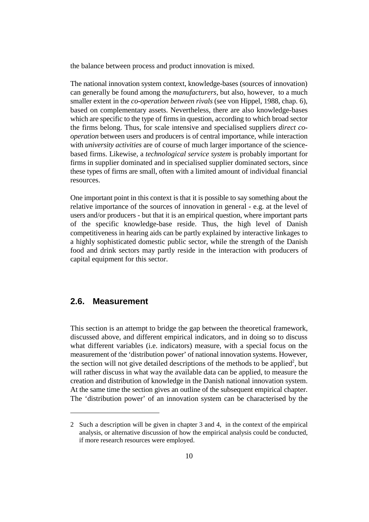the balance between process and product innovation is mixed.

The national innovation system context, knowledge-bases (sources of innovation) can generally be found among the *manufacturers,* but also, however, to a much smaller extent in the *co-operation between rivals* (see von Hippel, 1988, chap. 6), based on complementary assets. Nevertheless, there are also knowledge-bases which are specific to the type of firms in question, according to which broad sector the firms belong. Thus, for scale intensive and specialised suppliers *direct cooperation* between users and producers is of central importance, while interaction with *university activities* are of course of much larger importance of the sciencebased firms. Likewise, a *technological service system* is probably important for firms in supplier dominated and in specialised supplier dominated sectors, since these types of firms are small, often with a limited amount of individual financial resources.

One important point in this context is that it is possible to say something about the relative importance of the sources of innovation in general - e.g. at the level of users and/or producers - but that it is an empirical question, where important parts of the specific knowledge-base reside. Thus, the high level of Danish competitiveness in hearing aids can be partly explained by interactive linkages to a highly sophisticated domestic public sector, while the strength of the Danish food and drink sectors may partly reside in the interaction with producers of capital equipment for this sector.

#### **2.6. Measurement**

This section is an attempt to bridge the gap between the theoretical framework, discussed above, and different empirical indicators, and in doing so to discuss what different variables (i.e. indicators) measure, with a special focus on the measurement of the 'distribution power' of national innovation systems. However, the section will not give detailed descriptions of the methods to be applied<sup>2</sup>, but will rather discuss in what way the available data can be applied, to measure the creation and distribution of knowledge in the Danish national innovation system. At the same time the section gives an outline of the subsequent empirical chapter. The 'distribution power' of an innovation system can be characterised by the

<sup>2</sup> Such a description will be given in chapter 3 and 4, in the context of the empirical analysis, or alternative discussion of how the empirical analysis could be conducted, if more research resources were employed.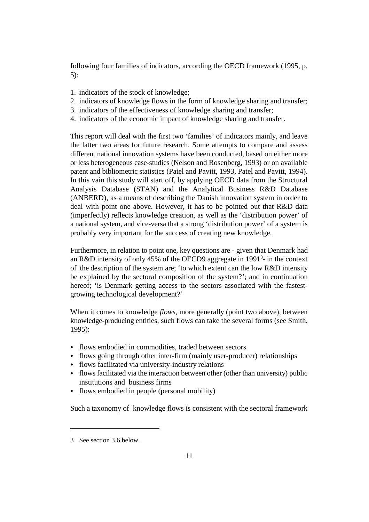following four families of indicators, according the OECD framework (1995, p. 5):

- 1. indicators of the stock of knowledge;
- 2. indicators of knowledge flows in the form of knowledge sharing and transfer;
- 3. indicators of the effectiveness of knowledge sharing and transfer;
- 4. indicators of the economic impact of knowledge sharing and transfer.

This report will deal with the first two 'families' of indicators mainly, and leave the latter two areas for future research. Some attempts to compare and assess different national innovation systems have been conducted, based on either more or less heterogeneous case-studies (Nelson and Rosenberg, 1993) or on available patent and bibliometric statistics (Patel and Pavitt, 1993, Patel and Pavitt, 1994). In this vain this study will start off, by applying OECD data from the Structural Analysis Database (STAN) and the Analytical Business R&D Database (ANBERD), as a means of describing the Danish innovation system in order to deal with point one above. However, it has to be pointed out that R&D data (imperfectly) reflects knowledge creation, as well as the 'distribution power' of a national system, and vice-versa that a strong 'distribution power' of a system is probably very important for the success of creating new knowledge.

Furthermore, in relation to point one, key questions are - given that Denmark had an R&D intensity of only 45% of the OECD9 aggregate in  $1991<sup>3</sup>$ - in the context of the description of the system are; 'to which extent can the low R&D intensity be explained by the sectoral composition of the system?'; and in continuation hereof; 'is Denmark getting access to the sectors associated with the fastestgrowing technological development?'

When it comes to knowledge *flows*, more generally (point two above), between knowledge-producing entities, such flows can take the several forms (see Smith, 1995):

- & flows embodied in commodities, traded between sectors
- & flows going through other inter-firm (mainly user-producer) relationships
- & flows facilitated via university-industry relations
- & flows facilitated via the interaction between other (other than university) public institutions and business firms
- & flows embodied in people (personal mobility)

Such a taxonomy of knowledge flows is consistent with the sectoral framework

<sup>3</sup> See section 3.6 below.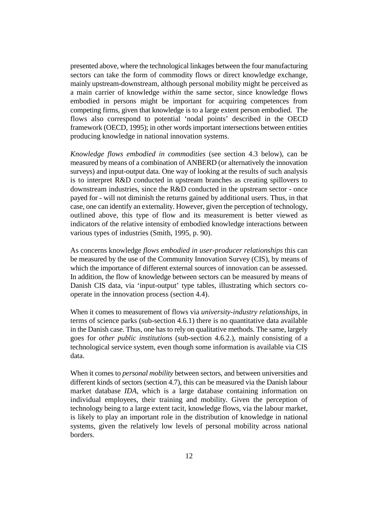presented above, where the technological linkages between the four manufacturing sectors can take the form of commodity flows or direct knowledge exchange, mainly upstream-downstream, although personal mobility might be perceived as a main carrier of knowledge *within* the same sector, since knowledge flows embodied in persons might be important for acquiring competences from competing firms, given that knowledge is to a large extent person embodied. The flows also correspond to potential 'nodal points' described in the OECD framework (OECD, 1995); in other words important intersections between entities producing knowledge in national innovation systems.

*Knowledge flows embodied in commodities* (see section 4.3 below), can be measured by means of a combination of ANBERD (or alternatively the innovation surveys) and input-output data. One way of looking at the results of such analysis is to interpret R&D conducted in upstream branches as creating spillovers to downstream industries, since the R&D conducted in the upstream sector - once payed for - will not diminish the returns gained by additional users. Thus, in that case, one can identify an externality. However, given the perception of technology, outlined above, this type of flow and its measurement is better viewed as indicators of the relative intensity of embodied knowledge interactions between various types of industries (Smith, 1995, p. 90).

As concerns knowledge *flows embodied in user-producer relationships* this can be measured by the use of the Community Innovation Survey (CIS), by means of which the importance of different external sources of innovation can be assessed. In addition, the flow of knowledge between sectors can be measured by means of Danish CIS data, via 'input-output' type tables, illustrating which sectors cooperate in the innovation process (section 4.4).

When it comes to measurement of flows via *university-industry relationships*, in terms of science parks (sub-section 4.6.1) there is no quantitative data available in the Danish case. Thus, one has to rely on qualitative methods. The same, largely goes for *other public institutions* (sub-section 4.6.2.), mainly consisting of a technological service system, even though some information is available via CIS data.

When it comes to *personal mobility* between sectors, and between universities and different kinds of sectors (section 4.7), this can be measured via the Danish labour market database *IDA*, which is a large database containing information on individual employees, their training and mobility. Given the perception of technology being to a large extent tacit, knowledge flows, via the labour market, is likely to play an important role in the distribution of knowledge in national systems, given the relatively low levels of personal mobility across national borders.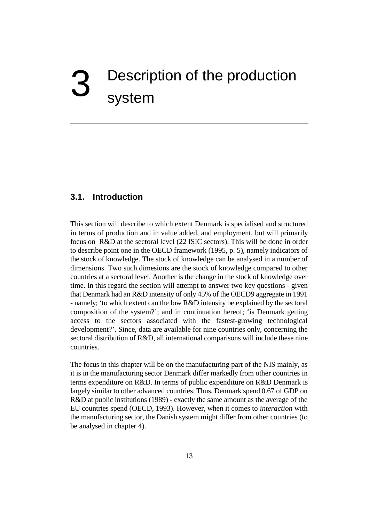### Description of the production system

#### **3.1. Introduction**

This section will describe to which extent Denmark is specialised and structured in terms of production and in value added, and employment, but will primarily focus on R&D at the sectoral level (22 ISIC sectors). This will be done in order to describe point one in the OECD framework (1995, p. 5), namely indicators of the stock of knowledge. The stock of knowledge can be analysed in a number of dimensions. Two such dimesions are the stock of knowledge compared to other countries at a sectoral level. Another is the change in the stock of knowledge over time. In this regard the section will attempt to answer two key questions - given that Denmark had an R&D intensity of only 45% of the OECD9 aggregate in 1991 - namely; 'to which extent can the low R&D intensity be explained by the sectoral composition of the system?'; and in continuation hereof; 'is Denmark getting access to the sectors associated with the fastest-growing technological development?'. Since, data are available for nine countries only, concerning the sectoral distribution of R&D, all international comparisons will include these nine countries.

The focus in this chapter will be on the manufacturing part of the NIS mainly, as it is in the manufacturing sector Denmark differ markedly from other countries in terms expenditure on R&D. In terms of public expenditure on R&D Denmark is largely similar to other advanced countries. Thus, Denmark spend 0.67 of GDP on R&D at public institutions (1989) - exactly the same amount as the average of the EU countries spend (OECD, 1993). However, when it comes to *interaction* with the manufacturing sector, the Danish system might differ from other countries (to be analysed in chapter 4).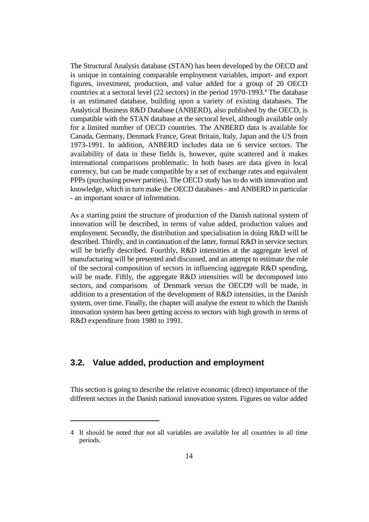The Structural Analysis database (STAN) has been developed by the OECD and is unique in containing comparable employment variables, import- and export figures, investment, production, and value added for a group of 20 OECD countries at a sectoral level  $(22 \text{ sectors})$  in the period 1970-1993.<sup>4</sup> The database is an estimated database, building upon a variety of existing databases. The Analytical Business R&D Database (ANBERD), also published by the OECD, is compatible with the STAN database at the sectoral level, although available only for a limited number of OECD countries. The ANBERD data is available for Canada, Germany, Denmark France, Great Britain, Italy, Japan and the US from 1973-1991. In addition, ANBERD includes data on 6 service sectors. The availability of data in these fields is, however, quite scattered and it makes international comparisons problematic. In both bases are data given in local currency, but can be made compatible by a set of exchange rates and equivalent PPPs (purchasing power parities). The OECD study has to do with innovation and knowledge, which in turn make the OECD databases - and ANBERD in particular - an important source of information.

As a starting point the structure of production of the Danish national system of innovation will be described, in terms of value added, production values and employment. Secondly, the distribution and specialisation in doing R&D will be described. Thirdly, and in continuation of the latter, formal R&D in service sectors will be briefly described. Fourthly, R&D intensities at the aggregate level of manufacturing will be presented and discussed, and an attempt to estimate the role of the sectoral composition of sectors in influencing aggregate R&D spending, will be made. Fiftly, the aggregate R&D intensities will be decomposed into sectors, and comparisons of Denmark versus the OECD9 will be made, in addition to a presentation of the development of R&D intensities, in the Danish system, over time. Finally, the chapter will analyse the extent to which the Danish innovation system has been getting access to sectors with high growth in terms of R&D expenditure from 1980 to 1991.

#### **3.2. Value added, production and employment**

This section is going to describe the relative economic (direct) importance of the different sectors in the Danish national innovation system. Figures on value added

<sup>4</sup> It should be noted that not all variables are available for all countries in all time periods.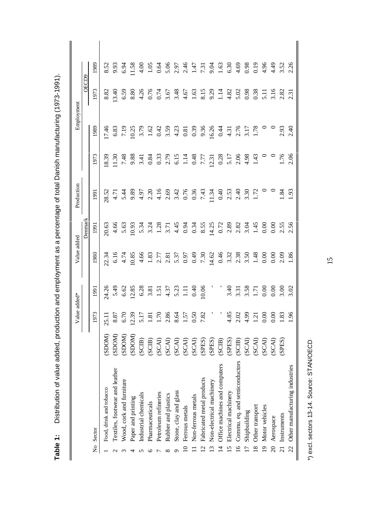|                                                          |        | Value added*    |       | Value added |         | Production |      | Employment |       |      |  |
|----------------------------------------------------------|--------|-----------------|-------|-------------|---------|------------|------|------------|-------|------|--|
|                                                          |        |                 |       |             | Denmarl |            |      |            | OECD9 |      |  |
| Sector<br>$\frac{1}{2}$                                  |        | 1973            | 1991  | 1980        | 1991    | 1991       | 1973 | 1989       | 1973  | 1989 |  |
| Food, drink and tobacco                                  | MOCIS. | 25.1            | 24.26 |             | 20.63   | 28.52      |      | 7.46       | 8.82  |      |  |
| Textiles, footwear and leather                           | (SDOM) |                 |       |             |         |            |      |            |       |      |  |
| Wood, cork and furniture                                 | (SDOM) | 8.87<br>6.70    |       |             |         |            |      |            |       |      |  |
| Paper and printing                                       | (SDOM) | 12.39           |       |             |         |            |      |            |       |      |  |
| Industrial chemicals                                     | (SCIB) | 5.17            |       |             |         |            |      |            |       |      |  |
| Pharmaceuticals                                          | (SCIB) | 1.81            |       |             |         |            |      |            |       |      |  |
| Petroleum refineries                                     | (SCAI) | 1.70            |       |             |         |            |      |            |       |      |  |
| Rubber and plastics<br>$\infty$                          | (SCAI) | 2.86            |       |             |         |            |      |            |       |      |  |
| Stone, clay and glass                                    | (SCAI) | 8.64            |       |             |         |            |      |            |       |      |  |
| Ferrous metals                                           | (SCAI) | 1.57            |       |             |         |            |      |            |       |      |  |
| Non-ferrous metals                                       | (SCAI) |                 |       |             |         |            |      |            |       |      |  |
| Fabricated metal products<br>$\mathcal{L}_{\mathcal{L}}$ | (SPES) | $0.50$<br>7.82  |       |             |         |            |      |            |       |      |  |
| Non-electrical machinery                                 | (SPES) |                 |       |             |         |            |      |            |       |      |  |
| Office machines and computers<br>$\overline{4}$          | (SCIB) |                 |       |             |         |            |      |            |       |      |  |
| Electrical machinery<br>$\overline{5}$                   | (SPES) |                 |       |             |         |            |      |            |       |      |  |
| Commu. eq. and semiconductors (SCIB)<br>$\overline{6}$   |        | $4.85$<br>2.02  |       |             |         |            |      |            |       |      |  |
| Shipbuilding                                             | (SCAI) | 4.99            |       |             |         |            |      |            |       |      |  |
| Other transport<br>$\infty$                              | (SCAI) | $\overline{12}$ |       |             |         |            |      |            |       |      |  |
| Motor vehicles<br>$\overline{1}$                         | (SCAI) | 0.00            |       |             |         |            |      |            |       |      |  |
| Aerospace<br>$\overline{\Omega}$                         | (SCAI) | $0.00$<br>1.83  |       |             |         |            |      |            |       |      |  |
| Instruments                                              | (SPES) |                 |       |             |         |            |      |            |       |      |  |
| Other manufacturing industries<br>$\overline{c}$         |        | $-96$           |       |             |         |            |      |            |       |      |  |

Distribution of value added, production and employment as a percentage of total Danish manufacturing (1973-1991). **Table 1:** Distribution of value added, production and employment as a percentage of total Danish manufacturing (1973-1991). Table 1:

\*) excl. sectors 13-14. Source: STAN/OECD \*) excl. sectors 13-14. Source: STAN/OECD

┃

15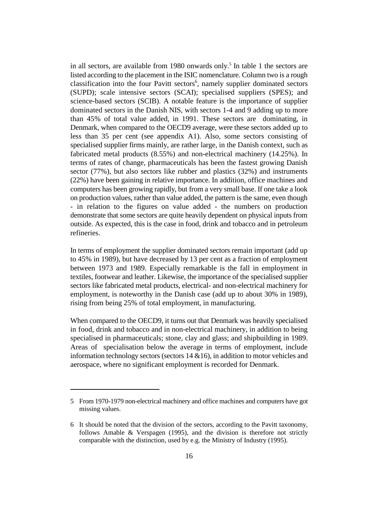in all sectors, are available from 1980 onwards only.<sup>5</sup> In table 1 the sectors are listed according to the placement in the ISIC nomenclature. Column two is a rough classification into the four Pavitt sectors<sup>6</sup>, namely supplier dominated sectors (SUPD); scale intensive sectors (SCAI); specialised suppliers (SPES); and science-based sectors (SCIB). A notable feature is the importance of supplier dominated sectors in the Danish NIS, with sectors 1-4 and 9 adding up to more than 45% of total value added, in 1991. These sectors are dominating, in Denmark, when compared to the OECD9 average, were these sectors added up to less than 35 per cent (see appendix A1). Also, some sectors consisting of specialised supplier firms mainly, are rather large, in the Danish context, such as fabricated metal products (8.55%) and non-electrical machinery (14.25%). In terms of rates of change, pharmaceuticals has been the fastest growing Danish sector (77%), but also sectors like rubber and plastics (32%) and instruments (22%) have been gaining in relative importance. In addition, office machines and computers has been growing rapidly, but from a very small base. If one take a look on production values, rather than value added, the pattern is the same, even though - in relation to the figures on value added - the numbers on production demonstrate that some sectors are quite heavily dependent on physical inputs from outside. As expected, this is the case in food, drink and tobacco and in petroleum refineries.

In terms of employment the supplier dominated sectors remain important (add up to 45% in 1989), but have decreased by 13 per cent as a fraction of employment between 1973 and 1989. Especially remarkable is the fall in employment in textiles, footwear and leather. Likewise, the importance of the specialised supplier sectors like fabricated metal products, electrical- and non-electrical machinery for employment, is noteworthy in the Danish case (add up to about 30% in 1989), rising from being 25% of total employment, in manufacturing.

When compared to the OECD9, it turns out that Denmark was heavily specialised in food, drink and tobacco and in non-electrical machinery, in addition to being specialised in pharmaceuticals; stone, clay and glass; and shipbuilding in 1989. Areas of specialisation below the average in terms of employment, include information technology sectors (sectors  $14 \& 16$ ), in addition to motor vehicles and aerospace, where no significant employment is recorded for Denmark.

<sup>5</sup> From 1970-1979 non-electrical machinery and office machines and computers have got missing values.

<sup>6</sup> It should be noted that the division of the sectors, according to the Pavitt taxonomy, follows Amable & Verspagen (1995), and the division is therefore not strictly comparable with the distinction, used by e.g. the Ministry of Industry (1995).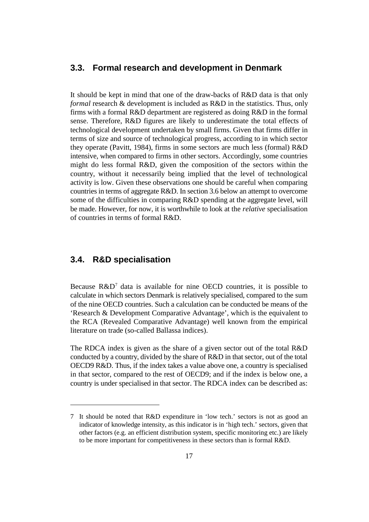#### **3.3. Formal research and development in Denmark**

It should be kept in mind that one of the draw-backs of R&D data is that only *formal* research & development is included as R&D in the statistics. Thus, only firms with a formal R&D department are registered as doing R&D in the formal sense. Therefore, R&D figures are likely to underestimate the total effects of technological development undertaken by small firms. Given that firms differ in terms of size and source of technological progress, according to in which sector they operate (Pavitt, 1984), firms in some sectors are much less (formal) R&D intensive, when compared to firms in other sectors. Accordingly, some countries might do less formal R&D, given the composition of the sectors within the country, without it necessarily being implied that the level of technological activity is low. Given these observations one should be careful when comparing countries in terms of aggregate R&D. In section 3.6 below an attempt to overcome some of the difficulties in comparing R&D spending at the aggregate level, will be made. However, for now, it is worthwhile to look at the *relative* specialisation of countries in terms of formal R&D.

#### **3.4. R&D specialisation**

Because  $R&D^7$  data is available for nine OECD countries, it is possible to calculate in which sectors Denmark is relatively specialised, compared to the sum of the nine OECD countries. Such a calculation can be conducted be means of the 'Research & Development Comparative Advantage', which is the equivalent to the RCA (Revealed Comparative Advantage) well known from the empirical literature on trade (so-called Ballassa indices).

The RDCA index is given as the share of a given sector out of the total R&D conducted by a country, divided by the share of R&D in that sector, out of the total OECD9 R&D. Thus, if the index takes a value above one, a country is specialised in that sector, compared to the rest of OECD9; and if the index is below one, a country is under specialised in that sector. The RDCA index can be described as:

<sup>7</sup> It should be noted that R&D expenditure in 'low tech.' sectors is not as good an indicator of knowledge intensity, as this indicator is in 'high tech.' sectors, given that other factors (e.g. an efficient distribution system, specific monitoring etc.) are likely to be more important for competitiveness in these sectors than is formal R&D.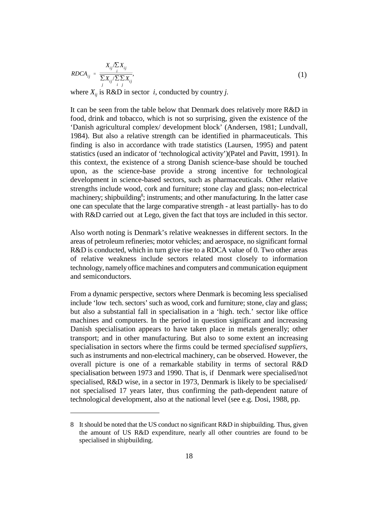$$
RDCA_{ij} = \frac{X_{ij}/\sum_{i} X_{ij}}{\frac{\sum_{i} X_{ij}}{\sum_{i} \sum_{j} X_{ij}}},
$$
\n(1)

where  $X_{ii}$  is R&D in sector *i*, conducted by country *j*.

It can be seen from the table below that Denmark does relatively more R&D in food, drink and tobacco, which is not so surprising, given the existence of the 'Danish agricultural complex/ development block' (Andersen, 1981; Lundvall, 1984). But also a relative strength can be identified in pharmaceuticals. This finding is also in accordance with trade statistics (Laursen, 1995) and patent statistics (used an indicator of 'technological activity')(Patel and Pavitt, 1991). In this context, the existence of a strong Danish science-base should be touched upon, as the science-base provide a strong incentive for technological development in science-based sectors, such as pharmaceuticals. Other relative strengths include wood, cork and furniture; stone clay and glass; non-electrical machinery; shipbuilding<sup>8</sup>; instruments; and other manufacturing. In the latter case one can speculate that the large comparative strength - at least partially- has to do with R&D carried out at Lego, given the fact that toys are included in this sector.

Also worth noting is Denmark's relative weaknesses in different sectors. In the areas of petroleum refineries; motor vehicles; and aerospace, no significant formal R&D is conducted, which in turn give rise to a RDCA value of 0. Two other areas of relative weakness include sectors related most closely to information technology, namely office machines and computers and communication equipment and semiconductors.

From a dynamic perspective, sectors where Denmark is becoming less specialised include 'low tech. sectors' such as wood, cork and furniture; stone, clay and glass; but also a substantial fall in specialisation in a 'high. tech.' sector like office machines and computers. In the period in question significant and increasing Danish specialisation appears to have taken place in metals generally; other transport; and in other manufacturing. But also to some extent an increasing specialisation in sectors where the firms could be termed *specialised suppliers*, such as instruments and non-electrical machinery, can be observed. However, the overall picture is one of a remarkable stability in terms of sectoral R&D specialisation between 1973 and 1990. That is, if Denmark were specialised/not specialised, R&D wise, in a sector in 1973, Denmark is likely to be specialised/ not specialised 17 years later, thus confirming the path-dependent nature of technological development, also at the national level (see e.g. Dosi, 1988, pp.

<sup>8</sup> It should be noted that the US conduct no significant R&D in shipbuilding. Thus, given the amount of US R&D expenditure, nearly all other countries are found to be specialised in shipbuilding.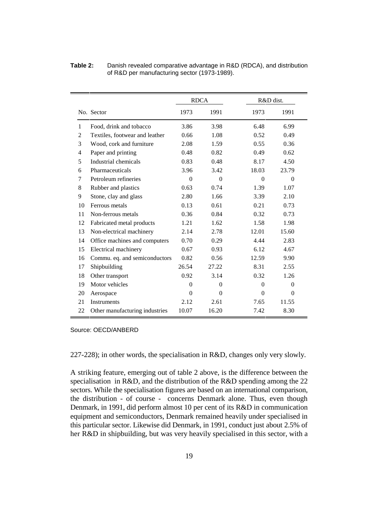|                |                                |                | <b>RDCA</b> |              | R&D dist. |  |  |
|----------------|--------------------------------|----------------|-------------|--------------|-----------|--|--|
|                | No. Sector                     | 1973           | 1991        | 1973         | 1991      |  |  |
| 1              | Food, drink and tobacco        | 3.86           | 3.98        | 6.48         | 6.99      |  |  |
| 2              | Textiles, footwear and leather | 0.66           | 1.08        | 0.52         | 0.49      |  |  |
| 3              | Wood, cork and furniture       | 2.08           | 1.59        | 0.55         | 0.36      |  |  |
| $\overline{4}$ | Paper and printing             | 0.48           | 0.82        | 0.49         | 0.62      |  |  |
| 5              | Industrial chemicals           | 0.83           | 0.48        | 8.17         | 4.50      |  |  |
| 6              | Pharmaceuticals                | 3.96           | 3.42        | 18.03        | 23.79     |  |  |
| 7              | Petroleum refineries           | $\Omega$       | $\Omega$    | $\Omega$     | $\Omega$  |  |  |
| 8              | Rubber and plastics            | 0.63           | 0.74        | 1.39         | 1.07      |  |  |
| 9              | Stone, clay and glass          | 2.80           | 1.66        | 3.39         | 2.10      |  |  |
| 10             | Ferrous metals                 | 0.13           | 0.61        | 0.21         | 0.73      |  |  |
| 11             | Non-ferrous metals             | 0.36           | 0.84        | 0.32         | 0.73      |  |  |
| 12             | Fabricated metal products      | 1.21           | 1.62        | 1.58         | 1.98      |  |  |
| 13             | Non-electrical machinery       | 2.14           | 2.78        | 12.01        | 15.60     |  |  |
| 14             | Office machines and computers  | 0.70           | 0.29        | 4.44         | 2.83      |  |  |
| 15             | Electrical machinery           | 0.67           | 0.93        | 6.12         | 4.67      |  |  |
| 16             | Commu. eq. and semiconductors  | 0.82           | 0.56        | 12.59        | 9.90      |  |  |
| 17             | Shipbuilding                   | 26.54          | 27.22       | 8.31         | 2.55      |  |  |
| 18             | Other transport                | 0.92           | 3.14        | 0.32         | 1.26      |  |  |
| 19             | Motor vehicles                 | $\overline{0}$ | $\Omega$    | $\mathbf{0}$ | $\Omega$  |  |  |
| 20             | Aerospace                      | $\Omega$       | $\Omega$    | $\theta$     | $\Omega$  |  |  |
| 21             | <b>Instruments</b>             | 2.12           | 2.61        | 7.65         | 11.55     |  |  |
| 22             | Other manufacturing industries | 10.07          | 16.20       | 7.42         | 8.30      |  |  |

**Table 2:** Danish revealed comparative advantage in R&D (RDCA), and distribution of R&D per manufacturing sector (1973-1989).

Source: OECD/ANBERD

227-228); in other words, the specialisation in R&D, changes only very slowly.

A striking feature, emerging out of table 2 above, is the difference between the specialisation in R&D, and the distribution of the R&D spending among the 22 sectors. While the specialisation figures are based on an international comparison, the distribution - of course - concerns Denmark alone. Thus, even though Denmark, in 1991, did perform almost 10 per cent of its R&D in communication equipment and semiconductors, Denmark remained heavily under specialised in this particular sector. Likewise did Denmark, in 1991, conduct just about 2.5% of her R&D in shipbuilding, but was very heavily specialised in this sector, with a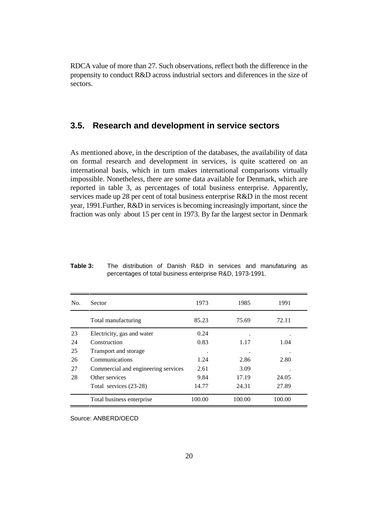RDCA value of more than 27. Such observations, reflect both the difference in the propensity to conduct R&D across industrial sectors and diferences in the size of sectors.

#### **3.5. Research and development in service sectors**

As mentioned above, in the description of the databases, the availability of data on formal research and development in services, is quite scattered on an international basis, which in turn makes international comparisons virtually impossible. Nonetheless, there are some data available for Denmark, which are reported in table 3, as percentages of total business enterprise. Apparently, services made up 28 per cent of total business enterprise R&D in the most recent year, 1991.Further, R&D in services is becoming increasingly important, since the fraction was only about 15 per cent in 1973. By far the largest sector in Denmark

| No. | Sector                              | 1973   | 1985   | 1991   |
|-----|-------------------------------------|--------|--------|--------|
|     | Total manufacturing                 | 85.23  | 75.69  | 72.11  |
| 23  | Electricity, gas and water          | 0.24   |        | ٠      |
| 24  | Construction                        | 0.83   | 1.17   | 1.04   |
| 25  | Transport and storage               |        |        |        |
| 26  | Communications                      | 1.24   | 2.86   | 2.80   |
| 27  | Commercial and engineering services | 2.61   | 3.09   |        |
| 28  | Other services                      | 9.84   | 17.19  | 24.05  |
|     | Total services (23-28)              | 14.77  | 24.31  | 27.89  |
|     | Total business enterprise           | 100.00 | 100.00 | 100.00 |

**Table 3:** The distribution of Danish R&D in services and manufaturing as percentages of total business enterprise R&D, 1973-1991.

Source: ANBERD/OECD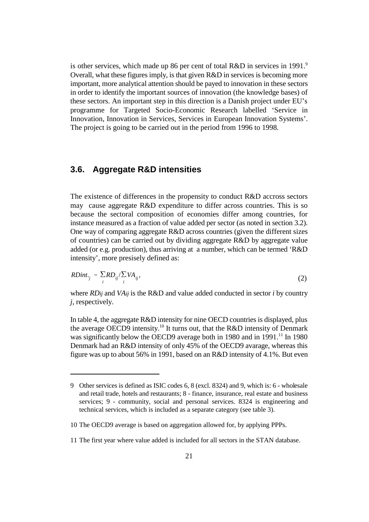is other services, which made up 86 per cent of total  $R&D$  in services in 1991.<sup>9</sup> Overall, what these figures imply, is that given R&D in services is becoming more important, more analytical attention should be payed to innovation in these sectors in order to identify the important sources of innovation (the knowledge bases) of these sectors. An important step in this direction is a Danish project under EU's programme for Targeted Socio-Economic Research labelled 'Service in Innovation, Innovation in Services, Services in European Innovation Systems'. The project is going to be carried out in the period from 1996 to 1998.

#### **3.6. Aggregate R&D intensities**

The existence of differences in the propensity to conduct R&D accross sectors may cause aggregate R&D expenditure to differ across countries. This is so because the sectoral composition of economies differ among countries, for instance measured as a fraction of value added per sector (as noted in section 3.2). One way of comparing aggregate R&D across countries (given the different sizes of countries) can be carried out by dividing aggregate R&D by aggregate value added (or e.g. production), thus arriving at a number, which can be termed 'R&D intensity', more presisely defined as:

$$
RDint_{\cdot j} = \frac{\sum R D_{ij}}{\sum_i V A_{ij}},\tag{2}
$$

where *RDij* and *VAij* is the R&D and value added conducted in sector *i* by country *j*, respectively.

In table 4, the aggregate R&D intensity for nine OECD countries is displayed, plus the average OECD9 intensity.<sup>10</sup> It turns out, that the R&D intensity of Denmark was significantly below the OECD9 average both in 1980 and in 1991.<sup>11</sup> In 1980 Denmark had an R&D intensity of only 45% of the OECD9 avarage, whereas this figure was up to about 56% in 1991, based on an R&D intensity of 4.1%. But even

<sup>9</sup> Other services is defined as ISIC codes 6, 8 (excl. 8324) and 9, which is: 6 - wholesale and retail trade, hotels and restaurants; 8 - finance, insurance, real estate and business services; 9 - community, social and personal services. 8324 is engineering and technical services, which is included as a separate category (see table 3).

<sup>10</sup> The OECD9 average is based on aggregation allowed for, by applying PPPs.

<sup>11</sup> The first year where value added is included for all sectors in the STAN database.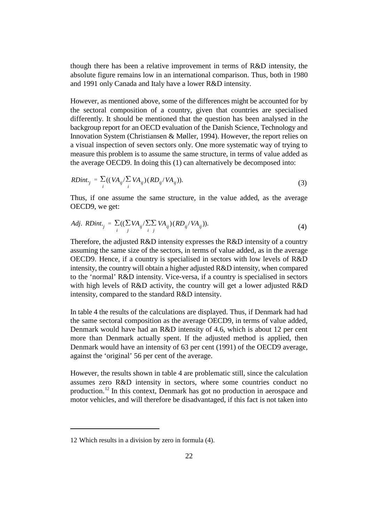though there has been a relative improvement in terms of R&D intensity, the absolute figure remains low in an international comparison. Thus, both in 1980 and 1991 only Canada and Italy have a lower R&D intensity.

However, as mentioned above, some of the differences might be accounted for by the sectoral composition of a country, given that countries are specialised differently. It should be mentioned that the question has been analysed in the backgroup report for an OECD evaluation of the Danish Science, Technology and Innovation System (Christiansen & Møller, 1994). However, the report relies on a visual inspection of seven sectors only. One more systematic way of trying to measure this problem is to assume the same structure, in terms of value added as the average OECD9. In doing this (1) can alternatively be decomposed into:

$$
RDint_{\cdot j} = \sum_{i} ((VA_{ij}/\sum_{i} VA_{ij})(RD_{ij}/VA_{ij})).
$$
\n(3)

Thus, if one assume the same structure, in the value added, as the average OECD9, we get:

Adj. 
$$
RDint_{\cdot j} = \sum_{i} ((\sum_{j} VA_{ij}/\sum_{i} \sum_{j} VA_{ij}) (RD_{ij}/VA_{ij})).
$$
 (4)

Therefore, the adjusted R&D intensity expresses the R&D intensity of a country assuming the same size of the sectors, in terms of value added, as in the average OECD9. Hence, if a country is specialised in sectors with low levels of R&D intensity, the country will obtain a higher adjusted R&D intensity, when compared to the 'normal' R&D intensity. Vice-versa, if a country is specialised in sectors with high levels of R&D activity, the country will get a lower adjusted R&D intensity, compared to the standard R&D intensity.

In table 4 the results of the calculations are displayed. Thus, if Denmark had had the same sectoral composition as the average OECD9, in terms of value added, Denmark would have had an R&D intensity of 4.6, which is about 12 per cent more than Denmark actually spent. If the adjusted method is applied, then Denmark would have an intensity of 63 per cent (1991) of the OECD9 average, against the 'original' 56 per cent of the average.

However, the results shown in table 4 are problematic still, since the calculation assumes zero R&D intensity in sectors, where some countries conduct no production.<sup>12</sup> In this context, Denmark has got no production in aerospace and motor vehicles, and will therefore be disadvantaged, if this fact is not taken into

<sup>12</sup> Which results in a division by zero in formula (4).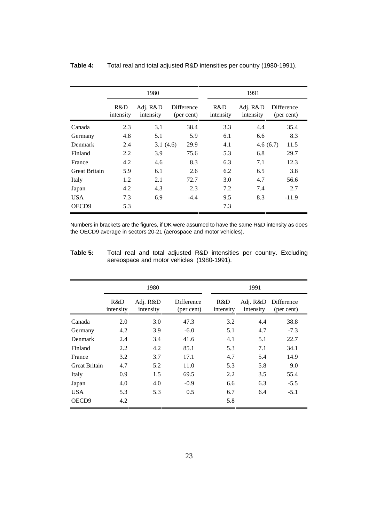|                      |                  | 1980                  |                          |                  | 1991                  |                          |  |  |  |
|----------------------|------------------|-----------------------|--------------------------|------------------|-----------------------|--------------------------|--|--|--|
|                      | R&D<br>intensity | Adj. R&D<br>intensity | Difference<br>(per cent) | R&D<br>intensity | Adj. R&D<br>intensity | Difference<br>(per cent) |  |  |  |
| Canada               | 2.3              | 3.1                   | 38.4                     | 3.3              | 4.4                   | 35.4                     |  |  |  |
| Germany              | 4.8              | 5.1                   | 5.9                      | 6.1              | 6.6                   | 8.3                      |  |  |  |
| Denmark              | 2.4              | 3.1(4.6)              | 29.9                     | 4.1              | 4.6(6.7)              | 11.5                     |  |  |  |
| Finland              | 2.2              | 3.9                   | 75.6                     | 5.3              | 6.8                   | 29.7                     |  |  |  |
| France               | 4.2              | 4.6                   | 8.3                      | 6.3              | 7.1                   | 12.3                     |  |  |  |
| <b>Great Britain</b> | 5.9              | 6.1                   | 2.6                      | 6.2              | 6.5                   | 3.8                      |  |  |  |
| Italy                | 1.2              | 2.1                   | 72.7                     | 3.0              | 4.7                   | 56.6                     |  |  |  |
| Japan                | 4.2              | 4.3                   | 2.3                      | 7.2              | 7.4                   | 2.7                      |  |  |  |
| <b>USA</b>           | 7.3              | 6.9                   | $-4.4$                   | 9.5              | 8.3                   | $-11.9$                  |  |  |  |
| OECD <sub>9</sub>    | 5.3              |                       |                          | 7.3              |                       |                          |  |  |  |

#### **Table 4:** Total real and total adjusted R&D intensities per country (1980-1991).

Numbers in brackets are the figures, if DK were assumed to have the same R&D intensity as does the OECD9 average in sectors 20-21 (aerospace and motor vehicles).

| Table 5: |  |  |                                            | Total real and total adjusted R&D intensities per country. Excluding |  |  |
|----------|--|--|--------------------------------------------|----------------------------------------------------------------------|--|--|
|          |  |  | aereospace and motor vehicles (1980-1991). |                                                                      |  |  |

|                      |                  | 1980                  |                                 |                  | 1991                  |                          |
|----------------------|------------------|-----------------------|---------------------------------|------------------|-----------------------|--------------------------|
|                      | R&D<br>intensity | Adj. R&D<br>intensity | <b>Difference</b><br>(per cent) | R&D<br>intensity | Adj. R&D<br>intensity | Difference<br>(per cent) |
| Canada               | 2.0              | 3.0                   | 47.3                            | 3.2              | 4.4                   | 38.8                     |
| Germany              | 4.2              | 3.9                   | $-6.0$                          | 5.1              | 4.7                   | $-7.3$                   |
| Denmark              | 2.4              | 3.4                   | 41.6                            | 4.1              | 5.1                   | 22.7                     |
| Finland              | 2.2              | 4.2                   | 85.1                            | 5.3              | 7.1                   | 34.1                     |
| France               | 3.2              | 3.7                   | 17.1                            | 4.7              | 5.4                   | 14.9                     |
| <b>Great Britain</b> | 4.7              | 5.2                   | 11.0                            | 5.3              | 5.8                   | 9.0                      |
| Italy                | 0.9              | 1.5                   | 69.5                            | 2.2              | 3.5                   | 55.4                     |
| Japan                | 4.0              | 4.0                   | $-0.9$                          | 6.6              | 6.3                   | $-5.5$                   |
| <b>USA</b>           | 5.3              | 5.3                   | 0.5                             | 6.7              | 6.4                   | $-5.1$                   |
| OECD <sub>9</sub>    | 4.2              |                       |                                 | 5.8              |                       |                          |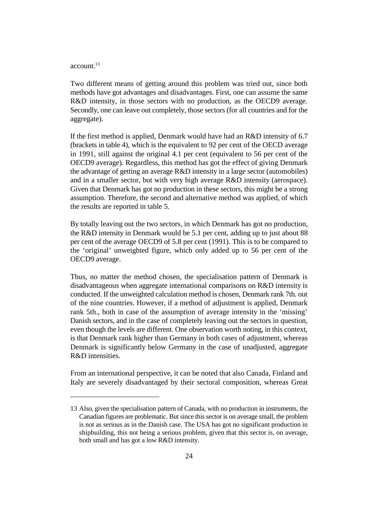#### $\arctan^{-13}$

Two different means of getting around this problem was tried out, since both methods have got advantages and disadvantages. First, one can assume the same R&D intensity, in those sectors with no production, as the OECD9 average. Secondly, one can leave out completely, those sectors (for all countries and for the aggregate).

If the first method is applied, Denmark would have had an R&D intensity of 6.7 (brackets in table 4), which is the equivalent to 92 per cent of the OECD average in 1991, still against the original 4.1 per cent (equivalent to 56 per cent of the OECD9 average). Regardless, this method has got the effect of giving Denmark the advantage of getting an average R&D intensity in a large sector (automobiles) and in a smaller sector, but with very high average R&D intensity (aerospace). Given that Denmark has got no production in these sectors, this might be a strong assumption. Therefore, the second and alternative method was applied, of which the results are reported in table 5.

By totally leaving out the two sectors, in which Denmark has got no production, the R&D intensity in Denmark would be 5.1 per cent, adding up to just about 88 per cent of the average OECD9 of 5.8 per cent (1991). This is to be compared to the 'original' unweighted figure, which only added up to 56 per cent of the OECD9 average.

Thus, no matter the method chosen, the specialisation pattern of Denmark is disadvantageous when aggregate international comparisons on R&D intensity is conducted. If the unweighted calculation method is chosen, Denmark rank 7th. out of the nine countries. However, if a method of adjustment is applied, Denmark rank 5th., both in case of the assumption of average intensity in the 'missing' Danish sectors, and in the case of completely leaving out the sectors in question, even though the levels are different. One observation worth noting, in this context, is that Denmark rank higher than Germany in both cases of adjustment, whereas Denmark is significantly below Germany in the case of unadjusted, aggregate R&D intensities.

From an international perspective, it can be noted that also Canada, Finland and Italy are severely disadvantaged by their sectoral composition, whereas Great

<sup>13</sup> Also, given the specialisation pattern of Canada, with no production in instruments, the Canadian figures are problematic. But since this sector is on average small, the problem is not as serious as in the Danish case. The USA has got no significant production in shipbuilding, this not being a serious problem, given that this sector is, on average, both small and has got a low R&D intensity.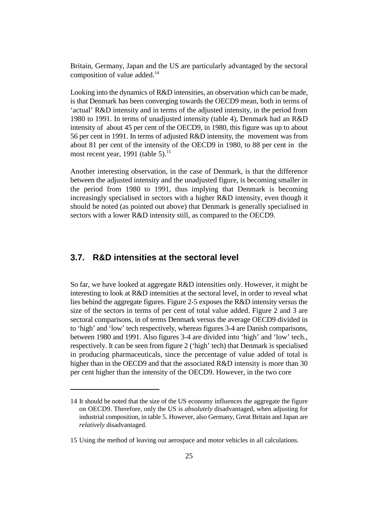Britain, Germany, Japan and the US are particularly advantaged by the sectoral composition of value added.<sup>14</sup>

Looking into the dynamics of R&D intensities, an observation which can be made, is that Denmark has been converging towards the OECD9 mean, both in terms of 'actual' R&D intensity and in terms of the adjusted intensity, in the period from 1980 to 1991. In terms of unadjusted intensity (table 4), Denmark had an R&D intensity of about 45 per cent of the OECD9, in 1980, this figure was up to about 56 per cent in 1991. In terms of adjusted R&D intensity, the movement was from about 81 per cent of the intensity of the OECD9 in 1980, to 88 per cent in the most recent year, 1991 (table 5). $^{15}$ 

Another interesting observation, in the case of Denmark, is that the difference between the adjusted intensity and the unadjusted figure, is becoming smaller in the period from 1980 to 1991, thus implying that Denmark is becoming increasingly specialised in sectors with a higher R&D intensity, even though it should be noted (as pointed out above) that Denmark is generally specialised in sectors with a lower R&D intensity still, as compared to the OECD9.

#### **3.7. R&D intensities at the sectoral level**

So far, we have looked at aggregate R&D intensities only. However, it might be interesting to look at R&D intensities at the sectoral level, in order to reveal what lies behind the aggregate figures. Figure 2-5 exposes the R&D intensity versus the size of the sectors in terms of per cent of total value added. Figure 2 and 3 are sectoral comparisons, in of terms Denmark versus the average OECD9 divided in to 'high' and 'low' tech respectively, whereas figures 3-4 are Danish comparisons, between 1980 and 1991. Also figures 3-4 are divided into 'high' and 'low' tech., respectively. It can be seen from figure 2 ('high' tech) that Denmark is specialised in producing pharmaceuticals, since the percentage of value added of total is higher than in the OECD9 and that the associated R&D intensity is more than 30 per cent higher than the intensity of the OECD9. However, in the two core

<sup>14</sup> It should be noted that the size of the US economy influences the aggregate the figure on OECD9. Therefore, only the US is *absolutely* disadvantaged, when adjusting for industrial composition, in table 5. However, also Germany, Great Britain and Japan are *relatively* disadvantaged.

<sup>15</sup> Using the method of leaving out aerospace and motor vehicles in all calculations.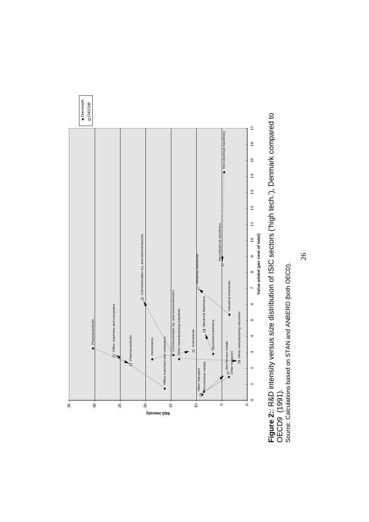

Figure 2:: R&D intensity versus size distribution of ISIC sectors ('high tech.'), Denmark compared to<br>OECD9 (1991).<br>Source: Calculations based on STAN and ANBERD (both OECD). **Figure 2:**: R&D intensity versus size distribution of ISIC sectors ('high tech.'), Denmark compared to OECD9 (1991).

Source: Calculations based on STAN and ANBERD (both OECD).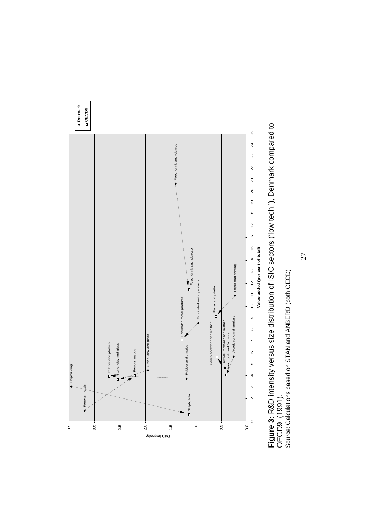

**Figure 3:** R&D intensity versus size distribution of ISIC sectors ('low tech.'), Denmark compared to<br>OECD9 (1991).<br>Source: Calculations based on STAN and ANBERD (both OECD) **Figure 3:** R&D intensity versus size distribution of ISIC sectors ('low tech.'), Denmark compared to Source: Calculations based on STAN and ANBERD (both OECD)OECD9 (1991).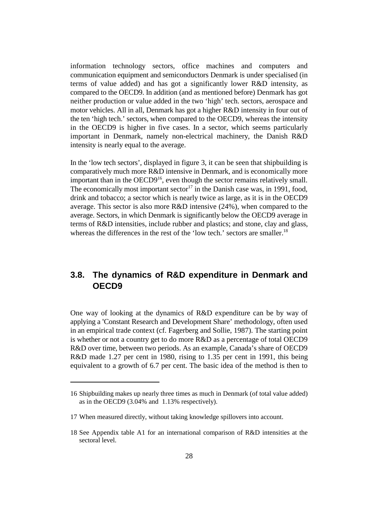information technology sectors, office machines and computers and communication equipment and semiconductors Denmark is under specialised (in terms of value added) and has got a significantly lower R&D intensity, as compared to the OECD9. In addition (and as mentioned before) Denmark has got neither production or value added in the two 'high' tech. sectors, aerospace and motor vehicles. All in all, Denmark has got a higher R&D intensity in four out of the ten 'high tech.' sectors, when compared to the OECD9, whereas the intensity in the OECD9 is higher in five cases. In a sector, which seems particularly important in Denmark, namely non-electrical machinery, the Danish R&D intensity is nearly equal to the average.

In the 'low tech sectors', displayed in figure 3, it can be seen that shipbuilding is comparatively much more R&D intensive in Denmark, and is economically more important than in the  $OECD9<sup>16</sup>$ , even though the sector remains relatively small. The economically most important sector<sup>17</sup> in the Danish case was, in 1991, food, drink and tobacco; a sector which is nearly twice as large, as it is in the OECD9 average. This sector is also more R&D intensive (24%), when compared to the average. Sectors, in which Denmark is significantly below the OECD9 average in terms of R&D intensities, include rubber and plastics; and stone, clay and glass, whereas the differences in the rest of the 'low tech.' sectors are smaller.<sup>18</sup>

#### **3.8. The dynamics of R&D expenditure in Denmark and OECD9**

One way of looking at the dynamics of R&D expenditure can be by way of applying a Constant Research and Development Share' methodology, often used in an empirical trade context (cf. Fagerberg and Sollie, 1987). The starting point is whether or not a country get to do more R&D as a percentage of total OECD9 R&D over time, between two periods. As an example, Canada's share of OECD9 R&D made 1.27 per cent in 1980, rising to 1.35 per cent in 1991, this being equivalent to a growth of 6.7 per cent. The basic idea of the method is then to

<sup>16</sup> Shipbuilding makes up nearly three times as much in Denmark (of total value added) as in the OECD9 (3.04% and 1.13% respectively).

<sup>17</sup> When measured directly, without taking knowledge spillovers into account.

<sup>18</sup> See Appendix table A1 for an international comparison of R&D intensities at the sectoral level.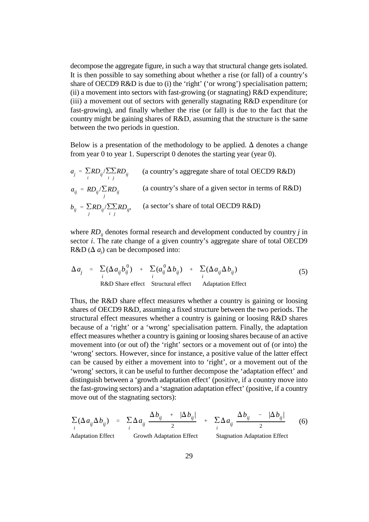decompose the aggregate figure, in such a way that structural change gets isolated. It is then possible to say something about whether a rise (or fall) of a country's share of OECD9 R&D is due to (i) the 'right' ('or wrong') specialisation pattern; (ii) a movement into sectors with fast-growing (or stagnating)  $R&D$  expenditure; (iii) a movement out of sectors with generally stagnating R&D expenditure (or fast-growing), and finally whether the rise (or fall) is due to the fact that the country might be gaining shares of R&D, assuming that the structure is the same between the two periods in question.

Below is a presentation of the methodology to be applied.  $\Delta$  denotes a change from year 0 to year 1. Superscript 0 denotes the starting year (year 0).

$$
a_j = \sum_i R D_{ij} / \sum_i R D_{ij}
$$
 (a country's aggregate share of total OECD9 R&D)  
\n
$$
a_{ij} = R D_{ij} / \sum_i R D_{ij}
$$
 (a country's share of a given sector in terms of R&D)  
\n
$$
b_{ij} = \sum_j R D_{ij} / \sum_i R D_{ij}
$$
 (a sector's share of total OECD9 R&D)

where  $RD_{ij}$  denotes formal research and development conducted by country *j* in sector *i*. The rate change of a given country's aggregate share of total OECD9  $R&D(\Delta a_i)$  can be decomposed into:

$$
\Delta a_j = \sum_i (\Delta a_{ij} b_{ij}^0) + \sum_i (a_{ij}^0 \Delta b_{ij}) + \sum_i (\Delta a_{ij} \Delta b_{ij})
$$
\n
$$
\text{R&D} \text{Share effect} \qquad \text{Structural effect} \qquad \text{Adaptation Effect}
$$
\n(5)

Thus, the R&D share effect measures whether a country is gaining or loosing shares of OECD9 R&D, assuming a fixed structure between the two periods. The structural effect measures whether a country is gaining or loosing R&D shares because of a 'right' or a 'wrong' specialisation pattern. Finally, the adaptation effect measures whether a country is gaining or loosing shares because of an active movement into (or out of) the 'right' sectors or a movement out of (or into) the 'wrong' sectors. However, since for instance, a positive value of the latter effect can be caused by either a movement into to 'right', or a movement out of the 'wrong' sectors, it can be useful to further decompose the 'adaptation effect' and distinguish between a 'growth adaptation effect' (positive, if a country move into the fast-growing sectors) and a 'stagnation adaptation effect' (positive, if a country move out of the stagnating sectors):

$$
\sum_{i} (\Delta a_{ij} \Delta b_{ij}) = \sum_{i} \Delta a_{ij} \frac{\Delta b_{ij} + |\Delta b_{ij}|}{2} + \sum_{i} \Delta a_{ij} \frac{\Delta b_{ij} - |\Delta b_{ij}|}{2}
$$
\nAdaptation Effect  
\nGrowth Adaptation Effect  
\nStagnation Adaptation Effect  
\nStagnation Adaptation Effect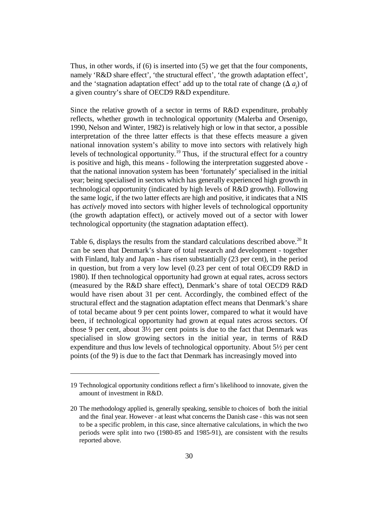Thus, in other words, if  $(6)$  is inserted into  $(5)$  we get that the four components, namely 'R&D share effect', 'the structural effect', 'the growth adaptation effect', and the 'stagnation adaptation effect' add up to the total rate of change  $(\Delta a_i)$  of a given country's share of OECD9 R&D expenditure.

Since the relative growth of a sector in terms of R&D expenditure, probably reflects, whether growth in technological opportunity (Malerba and Orsenigo, 1990, Nelson and Winter, 1982) is relatively high or low in that sector, a possible interpretation of the three latter effects is that these effects measure a given national innovation system's ability to move into sectors with relatively high levels of technological opportunity.<sup>19</sup> Thus, if the structural effect for a country is positive and high, this means - following the interpretation suggested above that the national innovation system has been 'fortunately' specialised in the initial year; being specialised in sectors which has generally experienced high growth in technological opportunity (indicated by high levels of R&D growth). Following the same logic, if the two latter effects are high and positive, it indicates that a NIS has *actively* moved into sectors with higher levels of technological opportunity (the growth adaptation effect), or actively moved out of a sector with lower technological opportunity (the stagnation adaptation effect).

Table 6, displays the results from the standard calculations described above.<sup>20</sup> It can be seen that Denmark's share of total research and development - together with Finland, Italy and Japan - has risen substantially (23 per cent), in the period in question, but from a very low level (0.23 per cent of total OECD9 R&D in 1980). If then technological opportunity had grown at equal rates, across sectors (measured by the R&D share effect), Denmark's share of total OECD9 R&D would have risen about 31 per cent. Accordingly, the combined effect of the structural effect and the stagnation adaptation effect means that Denmark's share of total became about 9 per cent points lower, compared to what it would have been, if technological opportunity had grown at equal rates across sectors. Of those 9 per cent, about 3½ per cent points is due to the fact that Denmark was specialised in slow growing sectors in the initial year, in terms of R&D expenditure and thus low levels of technological opportunity. About 5½ per cent points (of the 9) is due to the fact that Denmark has increasingly moved into

<sup>19</sup> Technological opportunity conditions reflect a firm's likelihood to innovate, given the amount of investment in R&D.

<sup>20</sup> The methodology applied is, generally speaking, sensible to choices of both the initial and the final year. However - at least what concerns the Danish case - this was not seen to be a specific problem, in this case, since alternative calculations, in which the two periods were split into two (1980-85 and 1985-91), are consistent with the results reported above.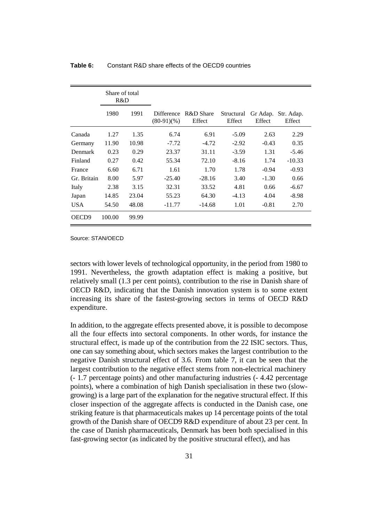|                   | Share of total<br>R&D |       |                                  |                     |                      |                    |                      |
|-------------------|-----------------------|-------|----------------------------------|---------------------|----------------------|--------------------|----------------------|
|                   | 1980                  | 1991  | <b>Difference</b><br>$(80-91)(%$ | R&D Share<br>Effect | Structural<br>Effect | Gr Adap.<br>Effect | Str. Adap.<br>Effect |
| Canada            | 1.27                  | 1.35  | 6.74                             | 6.91                | $-5.09$              | 2.63               | 2.29                 |
| Germany           | 11.90                 | 10.98 | $-7.72$                          | $-4.72$             | $-2.92$              | $-0.43$            | 0.35                 |
| Denmark           | 0.23                  | 0.29  | 23.37                            | 31.11               | $-3.59$              | 1.31               | $-5.46$              |
| Finland           | 0.27                  | 0.42  | 55.34                            | 72.10               | $-8.16$              | 1.74               | $-10.33$             |
| France            | 6.60                  | 6.71  | 1.61                             | 1.70                | 1.78                 | $-0.94$            | $-0.93$              |
| Gr. Britain       | 8.00                  | 5.97  | $-25.40$                         | $-28.16$            | 3.40                 | $-1.30$            | 0.66                 |
| Italy             | 2.38                  | 3.15  | 32.31                            | 33.52               | 4.81                 | 0.66               | $-6.67$              |
| Japan             | 14.85                 | 23.04 | 55.23                            | 64.30               | $-4.13$              | 4.04               | $-8.98$              |
| <b>USA</b>        | 54.50                 | 48.08 | $-11.77$                         | $-14.68$            | 1.01                 | $-0.81$            | 2.70                 |
| OECD <sub>9</sub> | 100.00                | 99.99 |                                  |                     |                      |                    |                      |

#### **Table 6:** Constant R&D share effects of the OECD9 countries

Source: STAN/OECD

sectors with lower levels of technological opportunity, in the period from 1980 to 1991. Nevertheless, the growth adaptation effect is making a positive, but relatively small (1.3 per cent points), contribution to the rise in Danish share of OECD R&D, indicating that the Danish innovation system is to some extent increasing its share of the fastest-growing sectors in terms of OECD R&D expenditure.

In addition, to the aggregate effects presented above, it is possible to decompose all the four effects into sectoral components. In other words, for instance the structural effect, is made up of the contribution from the 22 ISIC sectors. Thus, one can say something about, which sectors makes the largest contribution to the negative Danish structural effect of 3.6. From table 7, it can be seen that the largest contribution to the negative effect stems from non-electrical machinery (- 1.7 percentage points) and other manufacturing industries (- 4.42 percentage points), where a combination of high Danish specialisation in these two (slowgrowing) is a large part of the explanation for the negative structural effect. If this closer inspection of the aggregate affects is conducted in the Danish case, one striking feature is that pharmaceuticals makes up 14 percentage points of the total growth of the Danish share of OECD9 R&D expenditure of about 23 per cent. In the case of Danish pharmaceuticals, Denmark has been both specialised in this fast-growing sector (as indicated by the positive structural effect), and has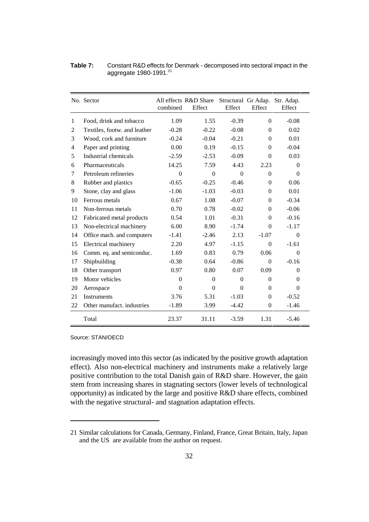| Table 7: | Constant R&D effects for Denmark - decomposed into sectoral impact in the |
|----------|---------------------------------------------------------------------------|
|          | aggregate $1980 - 1991.21$                                                |

|                | No. Sector                   | combined       | All effects R&D Share<br>Effect | Effect   | Effect       | Structural Gr Adap. Str. Adap.<br>Effect |
|----------------|------------------------------|----------------|---------------------------------|----------|--------------|------------------------------------------|
| $\mathbf{1}$   | Food, drink and tobacco      | 1.09           | 1.55                            | $-0.39$  | $\Omega$     | $-0.08$                                  |
| 2              | Textiles, footw. and leather | $-0.28$        | $-0.22$                         | $-0.08$  | $\Omega$     | 0.02                                     |
| 3              | Wood, cork and furniture     | $-0.24$        | $-0.04$                         | $-0.21$  | $\theta$     | 0.01                                     |
| $\overline{4}$ | Paper and printing           | 0.00           | 0.19                            | $-0.15$  | $\Omega$     | $-0.04$                                  |
| 5              | Industrial chemicals         | $-2.59$        | $-2.53$                         | $-0.09$  | $\theta$     | 0.03                                     |
| 6              | Pharmaceuticals              | 14.25          | 7.59                            | 4.43     | 2.23         | $\Omega$                                 |
| 7              | Petroleum refineries         | $\overline{0}$ | $\Omega$                        | $\theta$ | $\mathbf{0}$ | $\theta$                                 |
| 8              | Rubber and plastics          | $-0.65$        | $-0.25$                         | $-0.46$  | $\Omega$     | 0.06                                     |
| 9              | Stone, clay and glass        | $-1.06$        | $-1.03$                         | $-0.03$  | $\theta$     | 0.01                                     |
| 10             | Ferrous metals               | 0.67           | 1.08                            | $-0.07$  | $\Omega$     | $-0.34$                                  |
| 11             | Non-ferrous metals           | 0.70           | 0.78                            | $-0.02$  | $\theta$     | $-0.06$                                  |
| 12             | Fabricated metal products    | 0.54           | 1.01                            | $-0.31$  | $\Omega$     | $-0.16$                                  |
| 13             | Non-electrical machinery     | 6.00           | 8.90                            | $-1.74$  | $\Omega$     | $-1.17$                                  |
| 14             | Office mach. and computers   | $-1.41$        | $-2.46$                         | 2.13     | $-1.07$      | $\theta$                                 |
| 15             | Electrical machinery         | 2.20           | 4.97                            | $-1.15$  | $\theta$     | $-1.61$                                  |
| 16             | Comm. eq. and semiconduc.    | 1.69           | 0.83                            | 0.79     | 0.06         | $\theta$                                 |
| 17             | Shipbuilding                 | $-0.38$        | 0.64                            | $-0.86$  | $\mathbf{0}$ | $-0.16$                                  |
| 18             | Other transport              | 0.97           | 0.80                            | 0.07     | 0.09         | $\Omega$                                 |
| 19             | Motor vehicles               | $\overline{0}$ | $\Omega$                        | $\Omega$ | $\Omega$     | $\theta$                                 |
| 20             | Aerospace                    | $\theta$       | $\Omega$                        | $\Omega$ | $\Omega$     | $\Omega$                                 |
| 21             | <b>Instruments</b>           | 3.76           | 5.31                            | $-1.03$  | $\mathbf{0}$ | $-0.52$                                  |
| 22             | Other manufact. industries   | $-1.89$        | 3.99                            | $-4.42$  | $\Omega$     | $-1.46$                                  |
|                | Total                        | 23.37          | 31.11                           | $-3.59$  | 1.31         | $-5.46$                                  |

Source: STAN/OECD

increasingly moved into this sector (as indicated by the positive growth adaptation effect). Also non-electrical machinery and instruments make a relatively large positive contribution to the total Danish gain of R&D share. However, the gain stem from increasing shares in stagnating sectors (lower levels of technological opportunity) as indicated by the large and positive R&D share effects, combined with the negative structural- and stagnation adaptation effects.

<sup>21</sup> Similar calculations for Canada, Germany, Finland, France, Great Britain, Italy, Japan and the US are available from the author on request.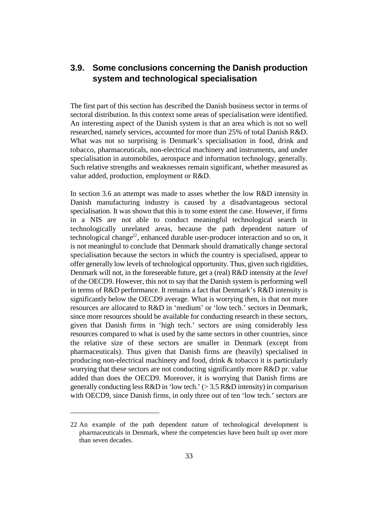# **3.9. Some conclusions concerning the Danish production system and technological specialisation**

The first part of this section has described the Danish business sector in terms of sectoral distribution. In this context some areas of specialisation were identified. An interesting aspect of the Danish system is that an area which is not so well researched, namely services, accounted for more than 25% of total Danish R&D. What was not so surprising is Denmark's specialisation in food, drink and tobacco, pharmaceuticals, non-electrical machinery and instruments, and under specialisation in automobiles, aerospace and information technology, generally. Such relative strengths and weaknesses remain significant, whether measured as value added, production, employment or R&D.

In section 3.6 an attempt was made to asses whether the low R&D intensity in Danish manufacturing industry is caused by a disadvantageous sectoral specialisation. It was shown that this is to some extent the case. However, if firms in a NIS are not able to conduct meaningful technological search in technologically unrelated areas, because the path dependent nature of technological change<sup>22</sup>, enhanced durable user-producer interaction and so on, it is not meaningful to conclude that Denmark should dramatically change sectoral specialisation because the sectors in which the country is specialised, appear to offer generally low levels of technological opportunity. Thus, given such rigidities, Denmark will not, in the foreseeable future, get a (real) R&D intensity at the *level* of the OECD9. However, this not to say that the Danish system is performing well in terms of R&D performance. It remains a fact that Denmark's R&D intensity is significantly below the OECD9 average. What is worrying then, is that not more resources are allocated to R&D in 'medium' or 'low tech.' sectors in Denmark, since more resources should be available for conducting research in these sectors, given that Danish firms in 'high tech.' sectors are using considerably less resources compared to what is used by the same sectors in other countries, since the relative size of these sectors are smaller in Denmark (except from pharmaceuticals). Thus given that Danish firms are (heavily) specialised in producing non-electrical machinery and food, drink & tobacco it is particularly worrying that these sectors are not conducting significantly more R&D pr. value added than does the OECD9. Moreover, it is worrying that Danish firms are generally conducting less R&D in 'low tech.' (> 3.5 R&D intensity) in comparison with OECD9, since Danish firms, in only three out of ten 'low tech.' sectors are

<sup>22</sup> An example of the path dependent nature of technological development is pharmaceuticals in Denmark, where the competencies have been built up over more than seven decades.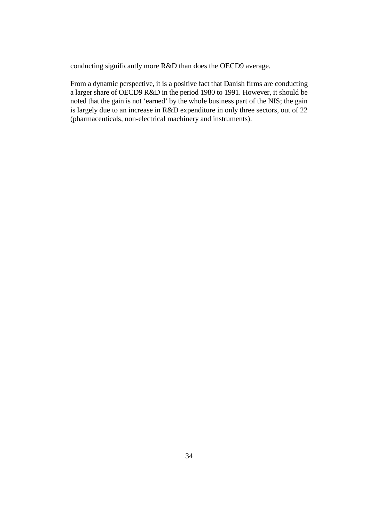conducting significantly more R&D than does the OECD9 average.

From a dynamic perspective, it is a positive fact that Danish firms are conducting a larger share of OECD9 R&D in the period 1980 to 1991. However, it should be noted that the gain is not 'earned' by the whole business part of the NIS; the gain is largely due to an increase in R&D expenditure in only three sectors, out of 22 (pharmaceuticals, non-electrical machinery and instruments).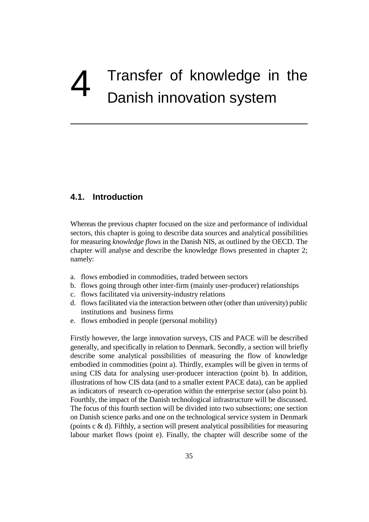# Transfer of knowledge in the Danish innovation system

## **4.1. Introduction**

Whereas the previous chapter focused on the size and performance of individual sectors, this chapter is going to describe data sources and analytical possibilities for measuring *knowledge flows* in the Danish NIS, as outlined by the OECD. The chapter will analyse and describe the knowledge flows presented in chapter 2; namely:

- a. flows embodied in commodities, traded between sectors
- b. flows going through other inter-firm (mainly user-producer) relationships
- c. flows facilitated via university-industry relations
- d. flows facilitated via the interaction between other (other than university) public institutions and business firms
- e. flows embodied in people (personal mobility)

Firstly however, the large innovation surveys, CIS and PACE will be described generally, and specifically in relation to Denmark. Secondly, a section will briefly describe some analytical possibilities of measuring the flow of knowledge embodied in commodities (point a). Thirdly, examples will be given in terms of using CIS data for analysing user-producer interaction (point b). In addition, illustrations of how CIS data (and to a smaller extent PACE data), can be applied as indicators of research co-operation within the enterprise sector (also point b). Fourthly, the impact of the Danish technological infrastructure will be discussed. The focus of this fourth section will be divided into two subsections; one section on Danish science parks and one on the technological service system in Denmark (points  $c \& d$ ). Fifthly, a section will present analytical possibilities for measuring labour market flows (point e). Finally, the chapter will describe some of the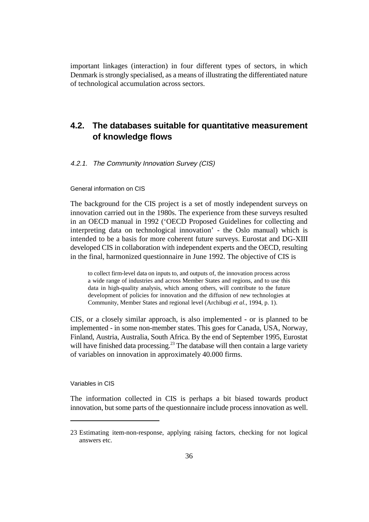important linkages (interaction) in four different types of sectors, in which Denmark is strongly specialised, as a means of illustrating the differentiated nature of technological accumulation across sectors.

# **4.2. The databases suitable for quantitative measurement of knowledge flows**

#### 4.2.1. The Community Innovation Survey (CIS)

General information on CIS

The background for the CIS project is a set of mostly independent surveys on innovation carried out in the 1980s. The experience from these surveys resulted in an OECD manual in 1992 ('OECD Proposed Guidelines for collecting and interpreting data on technological innovation' - the Oslo manual) which is intended to be a basis for more coherent future surveys. Eurostat and DG-XIII developed CIS in collaboration with independent experts and the OECD, resulting in the final, harmonized questionnaire in June 1992. The objective of CIS is

to collect firm-level data on inputs to, and outputs of, the innovation process across a wide range of industries and across Member States and regions, and to use this data in high-quality analysis, which among others, will contribute to the future development of policies for innovation and the diffusion of new technologies at Community, Member States and regional level (Archibugi *et al.*, 1994, p. 1).

CIS, or a closely similar approach, is also implemented - or is planned to be implemented - in some non-member states. This goes for Canada, USA, Norway, Finland, Austria, Australia, South Africa. By the end of September 1995, Eurostat will have finished data processing.<sup>23</sup> The database will then contain a large variety of variables on innovation in approximately 40.000 firms.

Variables in CIS

The information collected in CIS is perhaps a bit biased towards product innovation, but some parts of the questionnaire include process innovation as well.

<sup>23</sup> Estimating item-non-response, applying raising factors, checking for not logical answers etc.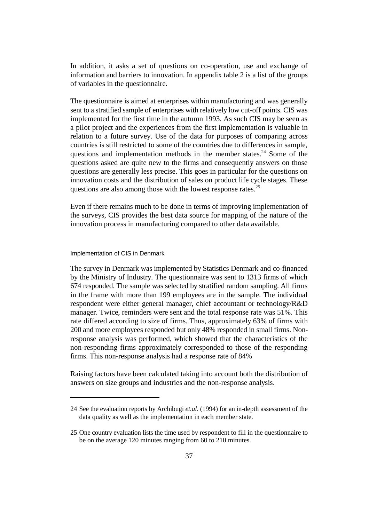In addition, it asks a set of questions on co-operation, use and exchange of information and barriers to innovation. In appendix table 2 is a list of the groups of variables in the questionnaire.

The questionnaire is aimed at enterprises within manufacturing and was generally sent to a stratified sample of enterprises with relatively low cut-off points. CIS was implemented for the first time in the autumn 1993. As such CIS may be seen as a pilot project and the experiences from the first implementation is valuable in relation to a future survey. Use of the data for purposes of comparing across countries is still restricted to some of the countries due to differences in sample, questions and implementation methods in the member states.<sup>24</sup> Some of the questions asked are quite new to the firms and consequently answers on those questions are generally less precise. This goes in particular for the questions on innovation costs and the distribution of sales on product life cycle stages. These questions are also among those with the lowest response rates. 25

Even if there remains much to be done in terms of improving implementation of the surveys, CIS provides the best data source for mapping of the nature of the innovation process in manufacturing compared to other data available.

#### Implementation of CIS in Denmark

The survey in Denmark was implemented by Statistics Denmark and co-financed by the Ministry of Industry. The questionnaire was sent to 1313 firms of which 674 responded. The sample was selected by stratified random sampling. All firms in the frame with more than 199 employees are in the sample. The individual respondent were either general manager, chief accountant or technology/R&D manager. Twice, reminders were sent and the total response rate was 51%. This rate differed according to size of firms. Thus, approximately 63% of firms with 200 and more employees responded but only 48% responded in small firms. Nonresponse analysis was performed, which showed that the characteristics of the non-responding firms approximately corresponded to those of the responding firms. This non-response analysis had a response rate of 84%

Raising factors have been calculated taking into account both the distribution of answers on size groups and industries and the non-response analysis.

<sup>24</sup> See the evaluation reports by Archibugi *et.al*. (1994) for an in-depth assessment of the data quality as well as the implementation in each member state.

<sup>25</sup> One country evaluation lists the time used by respondent to fill in the questionnaire to be on the average 120 minutes ranging from 60 to 210 minutes.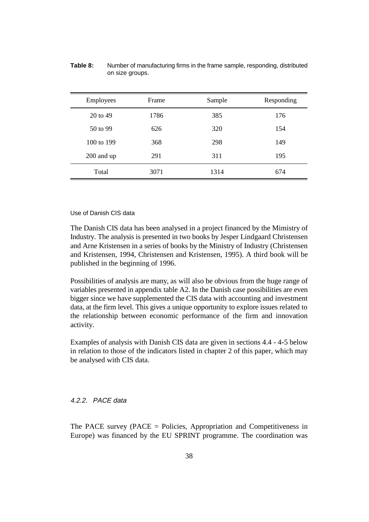| Employees  | Frame | Sample | Responding |
|------------|-------|--------|------------|
| 20 to 49   | 1786  | 385    | 176        |
| $50$ to 99 | 626   | 320    | 154        |
| 100 to 199 | 368   | 298    | 149        |
| 200 and up | 291   | 311    | 195        |
| Total      | 3071  | 1314   | 674        |

**Table 8:** Number of manufacturing firms in the frame sample, responding, distributed on size groups.

#### Use of Danish CIS data

The Danish CIS data has been analysed in a project financed by the Mimistry of Industry. The analysis is presented in two books by Jesper Lindgaard Christensen and Arne Kristensen in a series of books by the Ministry of Industry (Christensen and Kristensen, 1994, Christensen and Kristensen, 1995). A third book will be published in the beginning of 1996.

Possibilities of analysis are many, as will also be obvious from the huge range of variables presented in appendix table A2. In the Danish case possibilities are even bigger since we have supplemented the CIS data with accounting and investment data, at the firm level. This gives a unique opportunity to explore issues related to the relationship between economic performance of the firm and innovation activity.

Examples of analysis with Danish CIS data are given in sections 4.4 - 4-5 below in relation to those of the indicators listed in chapter 2 of this paper, which may be analysed with CIS data.

#### 4.2.2. PACE data

The PACE survey (PACE = Policies, Appropriation and Competitiveness in Europe) was financed by the EU SPRINT programme. The coordination was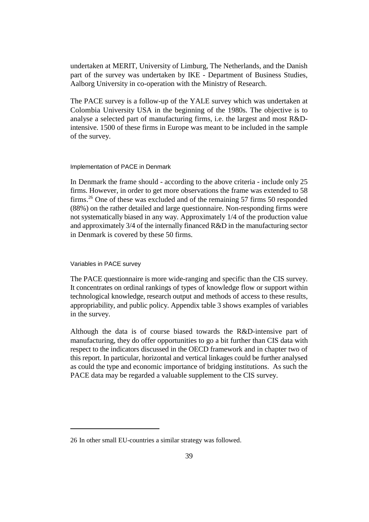undertaken at MERIT, University of Limburg, The Netherlands, and the Danish part of the survey was undertaken by IKE - Department of Business Studies, Aalborg University in co-operation with the Ministry of Research.

The PACE survey is a follow-up of the YALE survey which was undertaken at Colombia University USA in the beginning of the 1980s. The objective is to analyse a selected part of manufacturing firms, i.e. the largest and most R&Dintensive. 1500 of these firms in Europe was meant to be included in the sample of the survey.

Implementation of PACE in Denmark

In Denmark the frame should - according to the above criteria - include only 25 firms. However, in order to get more observations the frame was extended to 58 firms.<sup>26</sup> One of these was excluded and of the remaining 57 firms 50 responded (88%) on the rather detailed and large questionnaire. Non-responding firms were not systematically biased in any way. Approximately 1/4 of the production value and approximately 3/4 of the internally financed R&D in the manufacturing sector in Denmark is covered by these 50 firms.

Variables in PACE survey

The PACE questionnaire is more wide-ranging and specific than the CIS survey. It concentrates on ordinal rankings of types of knowledge flow or support within technological knowledge, research output and methods of access to these results, appropriability, and public policy. Appendix table 3 shows examples of variables in the survey.

Although the data is of course biased towards the R&D-intensive part of manufacturing, they do offer opportunities to go a bit further than CIS data with respect to the indicators discussed in the OECD framework and in chapter two of this report. In particular, horizontal and vertical linkages could be further analysed as could the type and economic importance of bridging institutions. As such the PACE data may be regarded a valuable supplement to the CIS survey.

<sup>26</sup> In other small EU-countries a similar strategy was followed.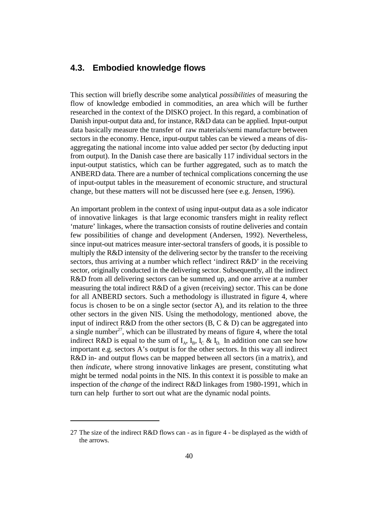### **4.3. Embodied knowledge flows**

This section will briefly describe some analytical *possibilities* of measuring the flow of knowledge embodied in commodities, an area which will be further researched in the context of the DISKO project. In this regard, a combination of Danish input-output data and, for instance, R&D data can be applied. Input-output data basically measure the transfer of raw materials/semi manufacture between sectors in the economy. Hence, input-output tables can be viewed a means of disaggregating the national income into value added per sector (by deducting input from output). In the Danish case there are basically 117 individual sectors in the input-output statistics, which can be further aggregated, such as to match the ANBERD data. There are a number of technical complications concerning the use of input-output tables in the measurement of economic structure, and structural change, but these matters will not be discussed here (see e.g. Jensen, 1996).

An important problem in the context of using input-output data as a sole indicator of innovative linkages is that large economic transfers might in reality reflect 'mature' linkages, where the transaction consists of routine deliveries and contain few possibilities of change and development (Andersen, 1992). Nevertheless, since input-out matrices measure inter-sectoral transfers of goods, it is possible to multiply the R&D intensity of the delivering sector by the transfer to the receiving sectors, thus arriving at a number which reflect 'indirect R&D' in the receiving sector, originally conducted in the delivering sector. Subsequently, all the indirect R&D from all delivering sectors can be summed up, and one arrive at a number measuring the total indirect R&D of a given (receiving) sector. This can be done for all ANBERD sectors. Such a methodology is illustrated in figure 4, where focus is chosen to be on a single sector (sector A), and its relation to the three other sectors in the given NIS. Using the methodology, mentioned above, the input of indirect R&D from the other sectors  $(B, C \& D)$  can be aggregated into a single number<sup>27</sup>, which can be illustrated by means of figure 4, where the total indirect R&D is equal to the sum of  $I_A$ ,  $I_B$ ,  $I_C$  &  $I_D$ . In addition one can see how important e.g. sectors A's output is for the other sectors. In this way all indirect R&D in- and output flows can be mapped between all sectors (in a matrix), and then *indicate*, where strong innovative linkages are present, constituting what might be termed nodal points in the NIS. In this context it is possible to make an inspection of the *change* of the indirect R&D linkages from 1980-1991, which in turn can help further to sort out what are the dynamic nodal points.

<sup>27</sup> The size of the indirect R&D flows can - as in figure 4 - be displayed as the width of the arrows.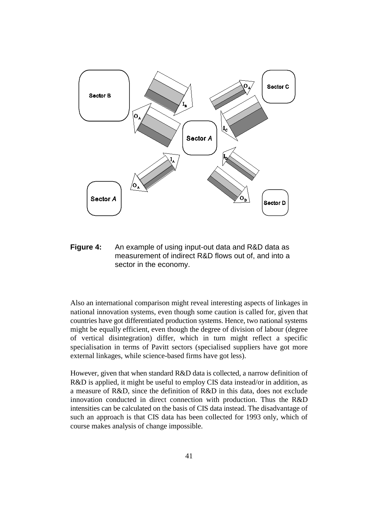

**Figure 4:** An example of using input-out data and R&D data as measurement of indirect R&D flows out of, and into a sector in the economy.

Also an international comparison might reveal interesting aspects of linkages in national innovation systems, even though some caution is called for, given that countries have got differentiated production systems. Hence, two national systems might be equally efficient, even though the degree of division of labour (degree of vertical disintegration) differ, which in turn might reflect a specific specialisation in terms of Pavitt sectors (specialised suppliers have got more external linkages, while science-based firms have got less).

However, given that when standard R&D data is collected, a narrow definition of R&D is applied, it might be useful to employ CIS data instead/or in addition, as a measure of R&D, since the definition of R&D in this data, does not exclude innovation conducted in direct connection with production. Thus the R&D intensities can be calculated on the basis of CIS data instead. The disadvantage of such an approach is that CIS data has been collected for 1993 only, which of course makes analysis of change impossible.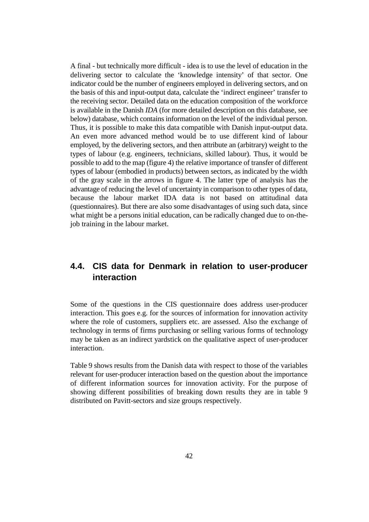A final - but technically more difficult - idea is to use the level of education in the delivering sector to calculate the 'knowledge intensity' of that sector. One indicator could be the number of engineers employed in delivering sectors, and on the basis of this and input-output data, calculate the 'indirect engineer' transfer to the receiving sector. Detailed data on the education composition of the workforce is available in the Danish *IDA* (for more detailed description on this database, see below) database, which contains information on the level of the individual person. Thus, it is possible to make this data compatible with Danish input-output data. An even more advanced method would be to use different kind of labour employed, by the delivering sectors, and then attribute an (arbitrary) weight to the types of labour (e.g. engineers, technicians, skilled labour). Thus, it would be possible to add to the map (figure 4) the relative importance of transfer of different types of labour (embodied in products) between sectors, as indicated by the width of the gray scale in the arrows in figure 4. The latter type of analysis has the advantage of reducing the level of uncertainty in comparison to other types of data, because the labour market IDA data is not based on attitudinal data (questionnaires). But there are also some disadvantages of using such data, since what might be a persons initial education, can be radically changed due to on-thejob training in the labour market.

# **4.4. CIS data for Denmark in relation to user-producer interaction**

Some of the questions in the CIS questionnaire does address user-producer interaction. This goes e.g. for the sources of information for innovation activity where the role of customers, suppliers etc. are assessed. Also the exchange of technology in terms of firms purchasing or selling various forms of technology may be taken as an indirect yardstick on the qualitative aspect of user-producer interaction.

Table 9 shows results from the Danish data with respect to those of the variables relevant for user-producer interaction based on the question about the importance of different information sources for innovation activity. For the purpose of showing different possibilities of breaking down results they are in table 9 distributed on Pavitt-sectors and size groups respectively.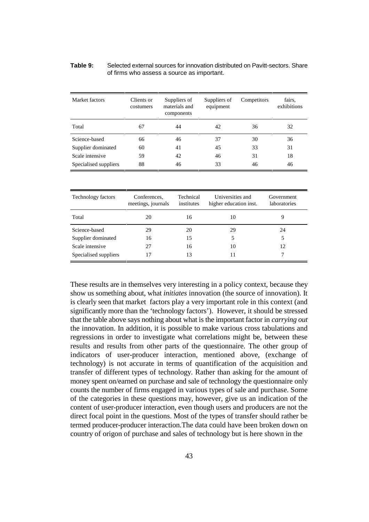| Table 9: | Selected external sources for innovation distributed on Pavitt-sectors. Share |
|----------|-------------------------------------------------------------------------------|
|          | of firms who assess a source as important.                                    |

| Market factors        | Clients or<br>costumers | Suppliers of<br>materials and<br>components | Suppliers of<br>equipment | Competitors | fairs.<br>exhibitions |
|-----------------------|-------------------------|---------------------------------------------|---------------------------|-------------|-----------------------|
| Total                 | 67                      | 44                                          | 42                        | 36          | 32                    |
| Science-based         | 66                      | 46                                          | 37                        | 30          | 36                    |
| Supplier dominated    | 60                      | 41                                          | 45                        | 33          | 31                    |
| Scale intensive       | 59                      | 42                                          | 46                        | 31          | 18                    |
| Specialised suppliers | 88                      | 46                                          | 33                        | 46          | 46                    |

| <b>Technology factors</b> | Conferences,<br>meetings, journals | Technical<br>institutes | Universities and<br>higher education inst. | Government<br>laboratories |
|---------------------------|------------------------------------|-------------------------|--------------------------------------------|----------------------------|
| Total                     | 20                                 | 16                      | 10                                         |                            |
| Science-based             | 29                                 | 20                      | 29                                         | 24                         |
| Supplier dominated        | 16                                 | 15                      |                                            |                            |
| Scale intensive           | 27                                 | 16                      | 10                                         | 12                         |
| Specialised suppliers     | 17                                 | 13                      |                                            |                            |

These results are in themselves very interesting in a policy context, because they show us something about, what *initiates* innovation (the source of innovation). It is clearly seen that market factors play a very important role in this context (and significantly more than the 'technology factors'). However, it should be stressed that the table above says nothing about what is the important factor in *carrying out* the innovation. In addition, it is possible to make various cross tabulations and regressions in order to investigate what correlations might be, between these results and results from other parts of the questionnaire. The other group of indicators of user-producer interaction, mentioned above, (exchange of technology) is not accurate in terms of quantification of the acquisition and transfer of different types of technology. Rather than asking for the amount of money spent on/earned on purchase and sale of technology the questionnaire only counts the number of firms engaged in various types of sale and purchase. Some of the categories in these questions may, however, give us an indication of the content of user-producer interaction, even though users and producers are not the direct focal point in the questions. Most of the types of transfer should rather be termed producer-producer interaction.The data could have been broken down on country of origon of purchase and sales of technology but is here shown in the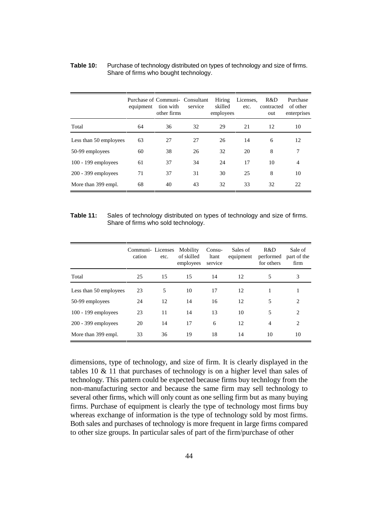|                        | equipment | Purchase of Communi- Consultant<br>tion with<br>other firms | service | Hiring<br>skilled<br>employees | Licenses,<br>etc. | R&D<br>contracted<br>out | Purchase<br>of other<br>enterprises |
|------------------------|-----------|-------------------------------------------------------------|---------|--------------------------------|-------------------|--------------------------|-------------------------------------|
| Total                  | 64        | 36                                                          | 32      | 29                             | 21                | 12                       | 10                                  |
| Less than 50 employees | 63        | 27                                                          | 27      | 26                             | 14                | 6                        | 12                                  |
| 50-99 employees        | 60        | 38                                                          | 26      | 32                             | 20                | 8                        | 7                                   |
| $100 - 199$ employees  | 61        | 37                                                          | 34      | 24                             | 17                | 10                       | $\overline{4}$                      |
| $200 - 399$ employees  | 71        | 37                                                          | 31      | 30                             | 25                | 8                        | 10                                  |
| More than 399 empl.    | 68        | 40                                                          | 43      | 32                             | 33                | 32                       | 22                                  |

#### **Table 10:** Purchase of technology distributed on types of technology and size of firms. Share of firms who bought technology.

#### **Table 11:** Sales of technology distributed on types of technology and size of firms. Share of firms who sold technology.

|                        | Communi-Licenses<br>cation | etc. | Mobility<br>of skilled<br>employees | Consu-<br>ltant<br>service | Sales of<br>equipment | R&D<br>performed<br>for others | Sale of<br>part of the<br>firm |
|------------------------|----------------------------|------|-------------------------------------|----------------------------|-----------------------|--------------------------------|--------------------------------|
| Total                  | 25                         | 15   | 15                                  | 14                         | 12                    | 5                              | 3                              |
| Less than 50 employees | 23                         | 5    | 10                                  | 17                         | 12                    |                                |                                |
| 50-99 employees        | 24                         | 12   | 14                                  | 16                         | 12                    | 5                              | $\overline{c}$                 |
| $100 - 199$ employees  | 23                         | 11   | 14                                  | 13                         | 10                    | 5                              | $\overline{c}$                 |
| $200 - 399$ employees  | 20                         | 14   | 17                                  | 6                          | 12                    | 4                              | $\overline{c}$                 |
| More than 399 empl.    | 33                         | 36   | 19                                  | 18                         | 14                    | 10                             | 10                             |

dimensions, type of technology, and size of firm. It is clearly displayed in the tables 10  $\&$  11 that purchases of technology is on a higher level than sales of technology. This pattern could be expected because firms buy technlogy from the non-manufacturing sector and because the same firm may sell technology to several other firms, which will only count as one selling firm but as many buying firms. Purchase of equipment is clearly the type of technology most firms buy whereas exchange of information is the type of technology sold by most firms. Both sales and purchases of technology is more frequent in large firms compared to other size groups. In particular sales of part of the firm/purchase of other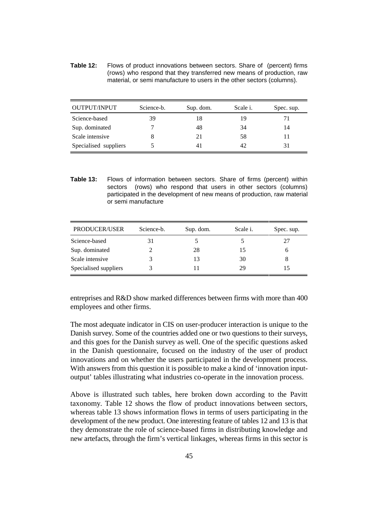**Table 12:** Flows of product innovations between sectors. Share of (percent) firms (rows) who respond that they transferred new means of production, raw material, or semi manufacture to users in the other sectors (columns).

| OUTPUT/INPUT          | Science-b. | Sup. dom. | Scale <i>i</i> . | Spec. sup. |
|-----------------------|------------|-----------|------------------|------------|
| Science-based         | 39         | 18        | 19               | 71         |
| Sup. dominated        |            | 48        | 34               | 14         |
| Scale intensive       |            | 21        | 58               |            |
| Specialised suppliers |            | 41        | 42               | 31         |

**Table 13:** Flows of information between sectors. Share of firms (percent) within sectors (rows) who respond that users in other sectors (columns) participated in the development of new means of production, raw material or semi manufacture

| PRODUCER/USER         | Science-b. | Sup. dom. | Scale <i>i</i> . | Spec. sup. |
|-----------------------|------------|-----------|------------------|------------|
| Science-based         |            |           |                  | 27         |
| Sup. dominated        |            | 28        | 15               |            |
| Scale intensive       |            | 13        | 30               |            |
| Specialised suppliers |            |           | 29               |            |

entreprises and R&D show marked differences between firms with more than 400 employees and other firms.

The most adequate indicator in CIS on user-producer interaction is unique to the Danish survey. Some of the countries added one or two questions to their surveys, and this goes for the Danish survey as well. One of the specific questions asked in the Danish questionnaire, focused on the industry of the user of product innovations and on whether the users participated in the development process. With answers from this question it is possible to make a kind of 'innovation inputoutput' tables illustrating what industries co-operate in the innovation process.

Above is illustrated such tables, here broken down according to the Pavitt taxonomy. Table 12 shows the flow of product innovations between sectors, whereas table 13 shows information flows in terms of users participating in the development of the new product. One interesting feature of tables 12 and 13 is that they demonstrate the role of science-based firms in distributing knowledge and new artefacts, through the firm's vertical linkages, whereas firms in this sector is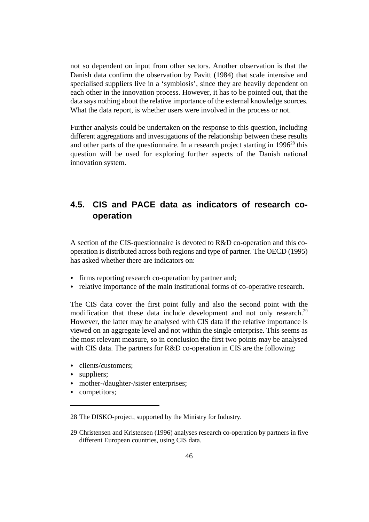not so dependent on input from other sectors. Another observation is that the Danish data confirm the observation by Pavitt (1984) that scale intensive and specialised suppliers live in a 'symbiosis', since they are heavily dependent on each other in the innovation process. However, it has to be pointed out, that the data says nothing about the relative importance of the external knowledge sources. What the data report, is whether users were involved in the process or not.

Further analysis could be undertaken on the response to this question, including different aggregations and investigations of the relationship between these results and other parts of the questionnaire. In a research project starting in  $1996^{28}$  this question will be used for exploring further aspects of the Danish national innovation system.

# **4.5. CIS and PACE data as indicators of research cooperation**

A section of the CIS-questionnaire is devoted to R&D co-operation and this cooperation is distributed across both regions and type of partner. The OECD (1995) has asked whether there are indicators on:

- & firms reporting research co-operation by partner and;
- & relative importance of the main institutional forms of co-operative research.

The CIS data cover the first point fully and also the second point with the modification that these data include development and not only research.<sup>29</sup> However, the latter may be analysed with CIS data if the relative importance is viewed on an aggregate level and not within the single enterprise. This seems as the most relevant measure, so in conclusion the first two points may be analysed with CIS data. The partners for R&D co-operation in CIS are the following:

- clients/customers;
- suppliers;
- mother-/daughter-/sister enterprises;
- competitors;

<sup>28</sup> The DISKO-project, supported by the Ministry for Industry.

<sup>29</sup> Christensen and Kristensen (1996) analyses research co-operation by partners in five different European countries, using CIS data.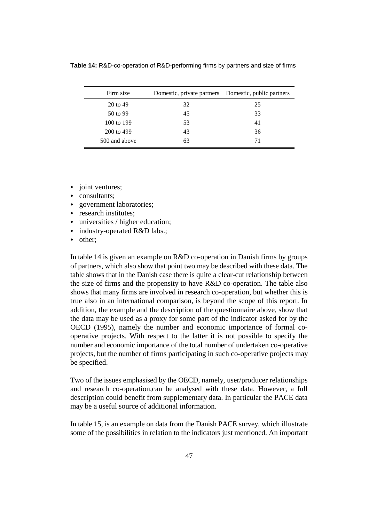Firm size Domestic, private partners Domestic, public partners 20 to 49 32 25 50 to 99 45 33 100 to 199 53 41 200 to 499 43 36 500 and above 63 63 71

**Table 14:** R&D-co-operation of R&D-performing firms by partners and size of firms

- joint ventures:
- consultants;
- government laboratories;
- research institutes;
- universities / higher education;
- industry-operated R&D labs.;
- other;

In table 14 is given an example on R&D co-operation in Danish firms by groups of partners, which also show that point two may be described with these data. The table shows that in the Danish case there is quite a clear-cut relationship between the size of firms and the propensity to have R&D co-operation. The table also shows that many firms are involved in research co-operation, but whether this is true also in an international comparison, is beyond the scope of this report. In addition, the example and the description of the questionnaire above, show that the data may be used as a proxy for some part of the indicator asked for by the OECD (1995), namely the number and economic importance of formal cooperative projects. With respect to the latter it is not possible to specify the number and economic importance of the total number of undertaken co-operative projects, but the number of firms participating in such co-operative projects may be specified.

Two of the issues emphasised by the OECD, namely, user/producer relationships and research co-operation,can be analysed with these data. However, a full description could benefit from supplementary data. In particular the PACE data may be a useful source of additional information.

In table 15, is an example on data from the Danish PACE survey, which illustrate some of the possibilities in relation to the indicators just mentioned. An important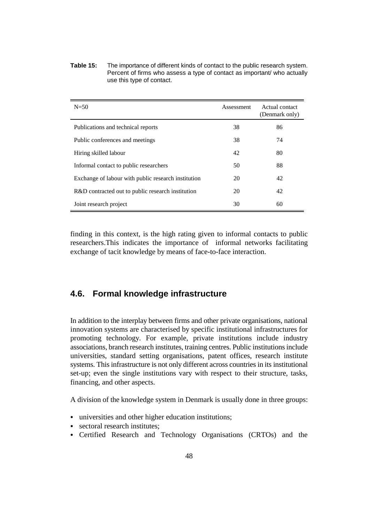**Table 15:** The importance of different kinds of contact to the public research system. Percent of firms who assess a type of contact as important/ who actually use this type of contact.

| $N=50$                                              | Assessment | Actual contact<br>(Denmark only) |
|-----------------------------------------------------|------------|----------------------------------|
| Publications and technical reports                  | 38         | 86                               |
| Public conferences and meetings                     | 38         | 74                               |
| Hiring skilled labour                               | 42         | 80                               |
| Informal contact to public researchers              | 50         | 88                               |
| Exchange of labour with public research institution | 20         | 42                               |
| R&D contracted out to public research institution   | 20         | 42                               |
| Joint research project                              | 30         | 60                               |

finding in this context, is the high rating given to informal contacts to public researchers.This indicates the importance of informal networks facilitating exchange of tacit knowledge by means of face-to-face interaction.

### **4.6. Formal knowledge infrastructure**

In addition to the interplay between firms and other private organisations, national innovation systems are characterised by specific institutional infrastructures for promoting technology. For example, private institutions include industry associations, branch research institutes, training centres. Public institutions include universities, standard setting organisations, patent offices, research institute systems. This infrastructure is not only different across countries in its institutional set-up; even the single institutions vary with respect to their structure, tasks, financing, and other aspects.

A division of the knowledge system in Denmark is usually done in three groups:

- & universities and other higher education institutions;
- sectoral research institutes;
- & Certified Research and Technology Organisations (CRTOs) and the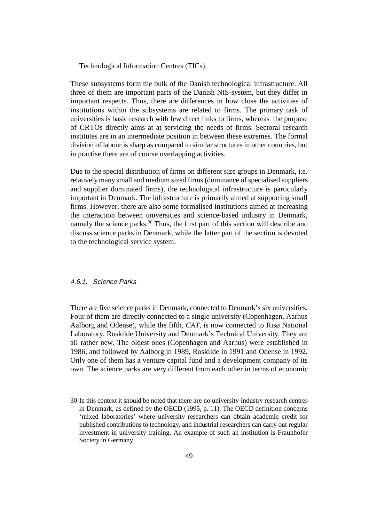Technological Information Centres (TICs).

These subsystems form the bulk of the Danish technological infrastructure. All three of them are important parts of the Danish NIS-system, but they differ in important respects. Thus, there are differences in how close the activities of institutions within the subsystems are related to firms. The primary task of universities is basic research with few direct links to firms, whereas the purpose of CRTOs directly aims at at servicing the needs of firms. Sectoral research institutes are in an intermediate position in between these extremes. The formal division of labour is sharp as compared to similar structures in other countries, but in practise there are of course overlapping activities.

Due to the special distribution of firms on different size groups in Denmark, i.e. relatively many small and medium sized firms (dominance of specialised suppliers and supplier dominated firms), the technological infrastructure is particularly important in Denmark. The infrastructure is primarily aimed at supporting small firms. However, there are also some formalised institutions aimed at increasing the interaction between universities and science-based industry in Denmark, namely the science parks.<sup>30</sup> Thus, the first part of this section will describe and discuss science parks in Denmark, while the latter part of the section is devoted to the technological service system.

#### 4.6.1. Science Parks

There are five science parks in Denmark, connected to Denmark's six universities. Four of them are directly connected to a single university (Copenhagen, Aarhus Aalborg and Odense), while the fifth, *CAT*, is now connected to Risø National Laboratory, Roskilde University and Denmark's Technical University. They are all rather new. The oldest ones (Copenhagen and Aarhus) were established in 1986, and followed by Aalborg in 1989, Roskilde in 1991 and Odense in 1992. Only one of them has a venture capital fund and a development company of its own. The science parks are very different from each other in terms of economic

<sup>30</sup> In this context it should be noted that there are no university-industry research centres in Denmark, as defined by the OECD (1995, p. 11). The OECD definition concerns 'mixed laboratories' where university researchers can obtain academic credit for published contributions to technology, and industrial researchers can carry out regular investment in university training. An example of such an institution is Fraunhofer Society in Germany.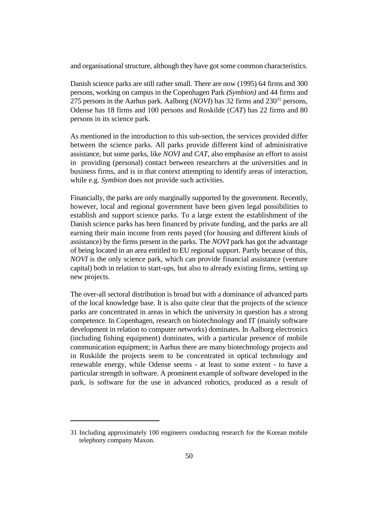and organisational structure, although they have got some common characteristics.

Danish science parks are still rather small. There are now (1995) 64 firms and 300 persons, working on campus in the Copenhagen Park *(Symbion)* and 44 firms and 275 persons in the Aarhus park. Aalborg (*NOVI*) has 32 firms and  $230<sup>31</sup>$  persons, Odense has 18 firms and 100 persons and Roskilde (*CAT*) has 22 firms and 80 persons in its science park.

As mentioned in the introduction to this sub-section, the services provided differ between the science parks. All parks provide different kind of administrative assistance, but some parks, like *NOVI* and *CAT*, also emphasise an effort to assist in providing (personal) contact between researchers at the universities and in business firms, and is in that context attempting to identify areas of interaction, while e.g. *Symbion* does not provide such activities.

Financially, the parks are only marginally supported by the government. Recently, however, local and regional government have been given legal possibilities to establish and support science parks. To a large extent the establishment of the Danish science parks has been financed by private funding, and the parks are all earning their main income from rents payed (for housing and different kinds of assistance) by the firms present in the parks. The *NOVI* park has got the advantage of being located in an area entitled to EU regional support. Partly because of this, *NOVI* is the only science park, which can provide financial assistance (venture capital) both in relation to start-ups, but also to already existing firms, setting up new projects.

The over-all sectoral distribution is broad but with a dominance of advanced parts of the local knowledge base. It is also quite clear that the projects of the science parks are concentrated in areas in which the university in question has a strong competence. In Copenhagen, research on biotechnology and IT (mainly software development in relation to computer networks) dominates. In Aalborg electronics (including fishing equipment) dominates, with a particular presence of mobile communication equipment; in Aarhus there are many biotechnology projects and in Roskilde the projects seem to be concentrated in optical technology and renewable energy, while Odense seems - at least to some extent - to have a particular strength in software. A prominent example of software developed in the park, is software for the use in advanced robotics, produced as a result of

<sup>31</sup> Including approximately 100 engineers conducting research for the Korean mobile telephony company Maxon.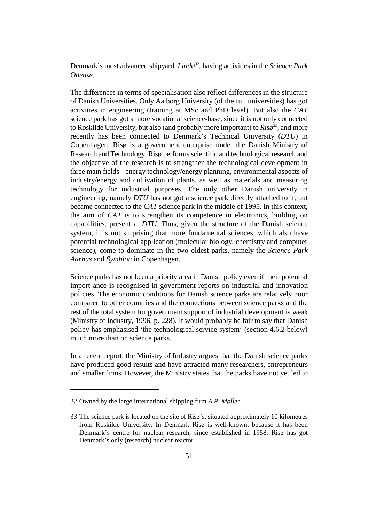Denmark's most advanced shipyard, *Lindø*<sup>32</sup>, having activities in the *Science Park Odense*.

The differences in terms of specialisation also reflect differences in the structure of Danish Universities. Only Aalborg University (of the full universities) has got activities in engineering (training at MSc and PhD level). But also the *CAT* science park has got a more vocational science-base, since it is not only connected to Roskilde University, but also (and probably more important) to  $Ris\phi^{33}$ , and more recently has been connected to Denmark's Technical University (*DTU*) in Copenhagen. Risø is a government enterprise under the Danish Ministry of Research and Technology. Risø performs scientific and technological research and the objective of the research is to strengthen the technological development in three main fields - energy technology/energy planning, environmental aspects of industry/energy and cultivation of plants, as well as materials and measuring technology for industrial purposes. The only other Danish university in engineering, namely *DTU* has not got a science park directly attached to it, but became connected to the *CAT* science park in the middle of 1995. In this context, the aim of *CAT* is to strengthen its competence in electronics, building on capabilities, present at *DTU*. Thus, given the structure of the Danish science system, it is not surprising that more fundamental sciences, which also have potential technological application (molecular biology, chemistry and computer science), come to dominate in the two oldest parks, namely the *Science Park Aarhus* and *Symbion* in Copenhagen.

Science parks has not been a priority area in Danish policy even if their potential import ance is recognised in government reports on industrial and innovation policies. The economic conditions for Danish science parks are relatively poor compared to other countries and the connections between science parks and the rest of the total system for government support of industrial development is weak (Ministry of Industry, 1996, p. 228). It would probably be fair to say that Danish policy has emphasised 'the technological service system' (section 4.6.2 below) much more than on science parks.

In a recent report, the Ministry of Industry argues that the Danish science parks have produced good results and have attracted many researchers, entrepreneurs and smaller firms. However, the Ministry states that the parks have not yet led to

<sup>32</sup> Owned by the large international shipping firm *A.P. Møller*

<sup>33</sup> The science park is located on the site of Risø's, situated approximately 10 kilometres from Roskilde University. In Denmark Risø is well-known, because it has been Denmark's centre for nuclear research, since established in 1958. Risø has got Denmark's only (research) nuclear reactor.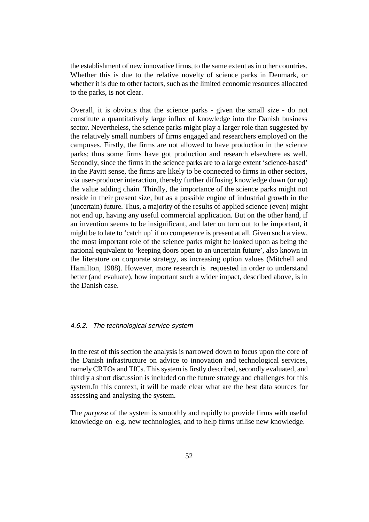the establishment of new innovative firms, to the same extent as in other countries. Whether this is due to the relative novelty of science parks in Denmark, or whether it is due to other factors, such as the limited economic resources allocated to the parks, is not clear.

Overall, it is obvious that the science parks - given the small size - do not constitute a quantitatively large influx of knowledge into the Danish business sector. Nevertheless, the science parks might play a larger role than suggested by the relatively small numbers of firms engaged and researchers employed on the campuses. Firstly, the firms are not allowed to have production in the science parks; thus some firms have got production and research elsewhere as well. Secondly, since the firms in the science parks are to a large extent 'science-based' in the Pavitt sense, the firms are likely to be connected to firms in other sectors, via user-producer interaction, thereby further diffusing knowledge down (or up) the value adding chain. Thirdly, the importance of the science parks might not reside in their present size, but as a possible engine of industrial growth in the (uncertain) future. Thus, a majority of the results of applied science (even) might not end up, having any useful commercial application. But on the other hand, if an invention seems to be insignificant, and later on turn out to be important, it might be to late to 'catch up' if no competence is present at all. Given such a view, the most important role of the science parks might be looked upon as being the national equivalent to 'keeping doors open to an uncertain future', also known in the literature on corporate strategy, as increasing option values (Mitchell and Hamilton, 1988). However, more research is requested in order to understand better (and evaluate), how important such a wider impact, described above, is in the Danish case.

#### 4.6.2. The technological service system

In the rest of this section the analysis is narrowed down to focus upon the core of the Danish infrastructure on advice to innovation and technological services, namely CRTOs and TICs. This system is firstly described, secondly evaluated, and thirdly a short discussion is included on the future strategy and challenges for this system.In this context, it will be made clear what are the best data sources for assessing and analysing the system.

The *purpose* of the system is smoothly and rapidly to provide firms with useful knowledge on e.g. new technologies, and to help firms utilise new knowledge.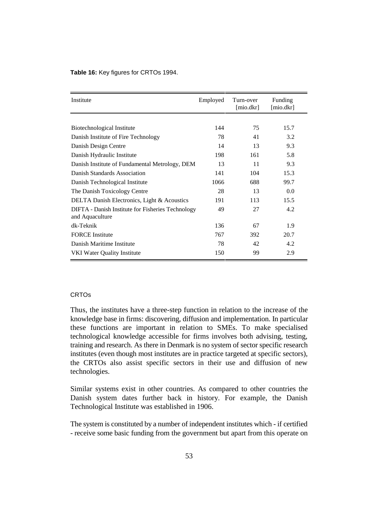#### **Table 16:** Key figures for CRTOs 1994.

| Institute                                                            | Employed | Turn-over<br>[mio. dkr] | Funding<br>[mio.dkr] |
|----------------------------------------------------------------------|----------|-------------------------|----------------------|
|                                                                      |          |                         |                      |
| Biotechnological Institute                                           | 144      | 75                      | 15.7                 |
| Danish Institute of Fire Technology                                  | 78       | 41                      | 3.2                  |
| Danish Design Centre                                                 | 14       | 13                      | 9.3                  |
| Danish Hydraulic Institute                                           | 198      | 161                     | 5.8                  |
| Danish Institute of Fundamental Metrology, DEM                       | 13       | 11                      | 9.3                  |
| Danish Standards Association                                         | 141      | 104                     | 15.3                 |
| Danish Technological Institute                                       | 1066     | 688                     | 99.7                 |
| The Danish Toxicology Centre                                         | 28       | 13                      | 0.0                  |
| <b>DELTA Danish Electronics, Light &amp; Acoustics</b>               | 191      | 113                     | 15.5                 |
| DIFTA - Danish Institute for Fisheries Technology<br>and Aquaculture | 49       | 27                      | 4.2                  |
| dk-Teknik                                                            | 136      | 67                      | 1.9                  |
| <b>FORCE</b> Institute                                               | 767      | 392                     | 20.7                 |
| Danish Maritime Institute                                            | 78       | 42                      | 4.2                  |
| <b>VKI Water Quality Institute</b>                                   | 150      | 99                      | 2.9                  |

#### CRTOs

Thus, the institutes have a three-step function in relation to the increase of the knowledge base in firms: discovering, diffusion and implementation. In particular these functions are important in relation to SMEs. To make specialised technological knowledge accessible for firms involves both advising, testing, training and research. As there in Denmark is no system of sector specific research institutes (even though most institutes are in practice targeted at specific sectors), the CRTOs also assist specific sectors in their use and diffusion of new technologies.

Similar systems exist in other countries. As compared to other countries the Danish system dates further back in history. For example, the Danish Technological Institute was established in 1906.

The system is constituted by a number of independent institutes which - if certified - receive some basic funding from the government but apart from this operate on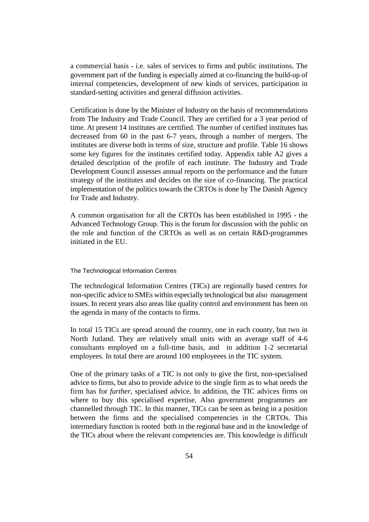a commercial basis - i.e. sales of services to firms and public institutions. The government part of the funding is especially aimed at co-financing the build-up of internal competencies, development of new kinds of services, participation in standard-setting activities and general diffusion activities.

Certification is done by the Minister of Industry on the basis of recommendations from The Industry and Trade Council. They are certified for a 3 year period of time. At present 14 institutes are certified. The number of certified institutes has decreased from 60 in the past 6-7 years, through a number of mergers. The institutes are diverse both in terms of size, structure and profile. Table 16 shows some key figures for the institutes certified today. Appendix table A2 gives a detailed description of the profile of each institute. The Industry and Trade Development Council assesses annual reports on the performance and the future strategy of the institutes and decides on the size of co-financing. The practical implementation of the politics towards the CRTOs is done by The Danish Agency for Trade and Industry.

A common organisation for all the CRTOs has been established in 1995 - the Advanced Technology Group. This is the forum for discussion with the public on the role and function of the CRTOs as well as on certain R&D-programmes initiated in the EU.

#### The Technological Information Centres

The technological Information Centres (TICs) are regionally based centres for non-specific advice to SMEs within especially technological but also management issues. In recent years also areas like quality control and environment has been on the agenda in many of the contacts to firms.

In total 15 TICs are spread around the country, one in each county, but two in North Jutland. They are relatively small units with an average staff of 4-6 consultants employed on a full-time basis, and in addition 1-2 secretarial employees. In total there are around 100 employeees in the TIC system.

One of the primary tasks of a TIC is not only to give the first, non-specialised advice to firms, but also to provide advice to the single firm as to what needs the firm has for *further*, specialised advice. In addition, the TIC advices firms on where to buy this specialised expertise. Also government programmes are channelled through TIC. In this manner, TICs can be seen as being in a position between the firms and the specialised competencies in the CRTOs. This intermediary function is rooted both in the regional base and in the knowledge of the TICs about where the relevant competencies are. This knowledge is difficult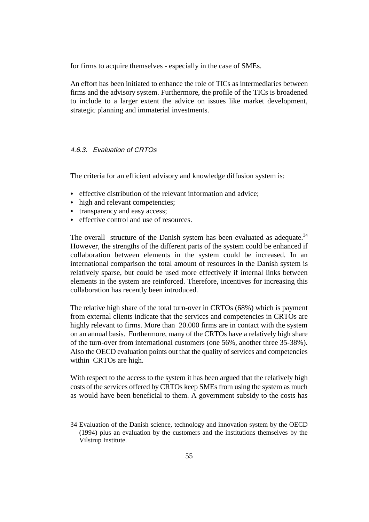for firms to acquire themselves - especially in the case of SMEs.

An effort has been initiated to enhance the role of TICs as intermediaries between firms and the advisory system. Furthermore, the profile of the TICs is broadened to include to a larger extent the advice on issues like market development, strategic planning and immaterial investments.

#### 4.6.3. Evaluation of CRTOs

The criteria for an efficient advisory and knowledge diffusion system is:

- effective distribution of the relevant information and advice:
- high and relevant competencies:
- transparency and easy access;
- & effective control and use of resources.

The overall structure of the Danish system has been evaluated as adequate.<sup>34</sup> However, the strengths of the different parts of the system could be enhanced if collaboration between elements in the system could be increased. In an international comparison the total amount of resources in the Danish system is relatively sparse, but could be used more effectively if internal links between elements in the system are reinforced. Therefore, incentives for increasing this collaboration has recently been introduced.

The relative high share of the total turn-over in CRTOs (68%) which is payment from external clients indicate that the services and competencies in CRTOs are highly relevant to firms. More than 20.000 firms are in contact with the system on an annual basis. Furthermore, many of the CRTOs have a relatively high share of the turn-over from international customers (one 56%, another three 35-38%). Also the OECD evaluation points out that the quality of services and competencies within CRTOs are high.

With respect to the access to the system it has been argued that the relatively high costs of the services offered by CRTOs keep SMEs from using the system as much as would have been beneficial to them. A government subsidy to the costs has

<sup>34</sup> Evaluation of the Danish science, technology and innovation system by the OECD (1994) plus an evaluation by the customers and the institutions themselves by the Vilstrup Institute.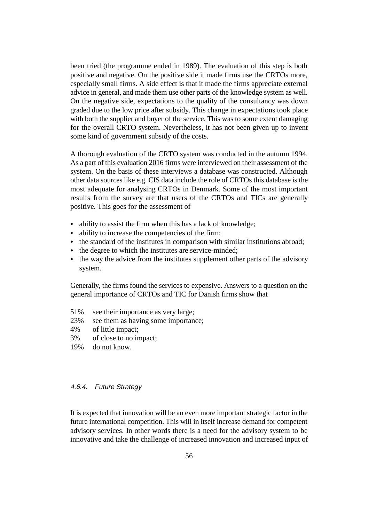been tried (the programme ended in 1989). The evaluation of this step is both positive and negative. On the positive side it made firms use the CRTOs more, especially small firms. A side effect is that it made the firms appreciate external advice in general, and made them use other parts of the knowledge system as well. On the negative side, expectations to the quality of the consultancy was down graded due to the low price after subsidy. This change in expectations took place with both the supplier and buyer of the service. This was to some extent damaging for the overall CRTO system. Nevertheless, it has not been given up to invent some kind of government subsidy of the costs.

A thorough evaluation of the CRTO system was conducted in the autumn 1994. As a part of this evaluation 2016 firms were interviewed on their assessment of the system. On the basis of these interviews a database was constructed. Although other data sources like e.g. CIS data include the role of CRTOs this database is the most adequate for analysing CRTOs in Denmark. Some of the most important results from the survey are that users of the CRTOs and TICs are generally positive. This goes for the assessment of

- & ability to assist the firm when this has a lack of knowledge;
- & ability to increase the competencies of the firm;
- & the standard of the institutes in comparison with similar institutions abroad;
- & the degree to which the institutes are service-minded;
- & the way the advice from the institutes supplement other parts of the advisory system.

Generally, the firms found the services to expensive. Answers to a question on the general importance of CRTOs and TIC for Danish firms show that

- 51% see their importance as very large;
- 23% see them as having some importance;
- 4% of little impact;
- 3% of close to no impact;
- 19% do not know.

#### 4.6.4. Future Strategy

It is expected that innovation will be an even more important strategic factor in the future international competition. This will in itself increase demand for competent advisory services. In other words there is a need for the advisory system to be innovative and take the challenge of increased innovation and increased input of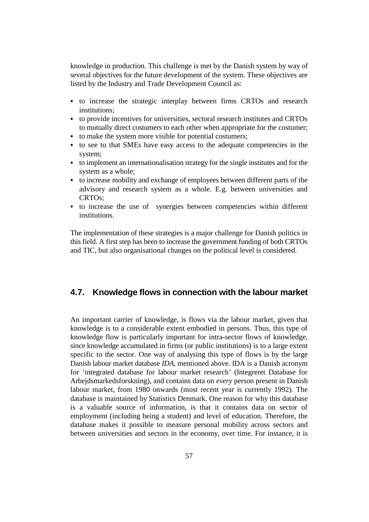knowledge in production. This challenge is met by the Danish system by way of several objectives for the future development of the system. These objectives are listed by the Industry and Trade Development Council as:

- & to increase the strategic interplay between firms CRTOs and research institutions;
- & to provide incentives for universities, sectoral research institutes and CRTOs to mutually direct costumers to each other when appropriate for the costumer;
- & to make the system more visible for potential costumers;
- & to see to that SMEs have easy access to the adequate competencies in the system;
- & to implement an internationalisation strategy for the single institutes and for the system as a whole;
- & to increase mobility and exchange of employees between different parts of the advisory and research system as a whole. E.g. between universities and CRTOs;
- & to increase the use of synergies between competencies within different institutions.

The implementation of these strategies is a major challenge for Danish politics in this field. A first step has been to increase the government funding of both CRTOs and TIC, but also organisational changes on the political level is considered.

## **4.7. Knowledge flows in connection with the labour market**

An important carrier of knowledge, is flows via the labour market, given that knowledge is to a considerable extent embodied in persons. Thus, this type of knowledge flow is particularly important for intra-sector flows of knowledge, since knowledge accumulated in firms (or public institutions) is to a large extent specific to the sector. One way of analysing this type of flows is by the large Danish labour market database *IDA*, mentioned above. IDA is a Danish acronym for 'integrated database for labour market research' (Integreret Database for Arbejdsmarkedsforskning), and contains data on *every* person present in Danish labour market, from 1980 onwards (most recent year is currently 1992). The database is maintained by Statistics Denmark. One reason for why this database is a valuable source of information, is that it contains data on sector of employment (including being a student) and level of education. Therefore, the database makes it possible to measure personal mobility across sectors and between universities and sectors in the economy, over time. For instance, it is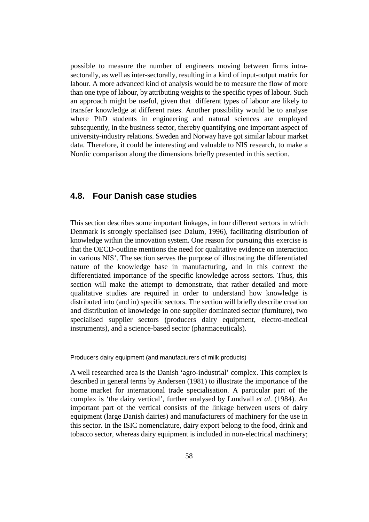possible to measure the number of engineers moving between firms intrasectorally, as well as inter-sectorally, resulting in a kind of input-output matrix for labour. A more advanced kind of analysis would be to measure the flow of more than one type of labour, by attributing weights to the specific types of labour. Such an approach might be useful, given that different types of labour are likely to transfer knowledge at different rates. Another possibility would be to analyse where PhD students in engineering and natural sciences are employed subsequently, in the business sector, thereby quantifying one important aspect of university-industry relations. Sweden and Norway have got similar labour market data. Therefore, it could be interesting and valuable to NIS research, to make a Nordic comparison along the dimensions briefly presented in this section.

## **4.8. Four Danish case studies**

This section describes some important linkages, in four different sectors in which Denmark is strongly specialised (see Dalum, 1996), facilitating distribution of knowledge within the innovation system. One reason for pursuing this exercise is that the OECD-outline mentions the need for qualitative evidence on interaction in various NIS'. The section serves the purpose of illustrating the differentiated nature of the knowledge base in manufacturing, and in this context the differentiated importance of the specific knowledge across sectors. Thus, this section will make the attempt to demonstrate, that rather detailed and more qualitative studies are required in order to understand how knowledge is distributed into (and in) specific sectors. The section will briefly describe creation and distribution of knowledge in one supplier dominated sector (furniture), two specialised supplier sectors (producers dairy equipment, electro-medical instruments), and a science-based sector (pharmaceuticals).

Producers dairy equipment (and manufacturers of milk products)

A well researched area is the Danish 'agro-industrial' complex. This complex is described in general terms by Andersen (1981) to illustrate the importance of the home market for international trade specialisation. A particular part of the complex is 'the dairy vertical', further analysed by Lundvall *et al*. (1984). An important part of the vertical consists of the linkage between users of dairy equipment (large Danish dairies) and manufacturers of machinery for the use in this sector. In the ISIC nomenclature, dairy export belong to the food, drink and tobacco sector, whereas dairy equipment is included in non-electrical machinery;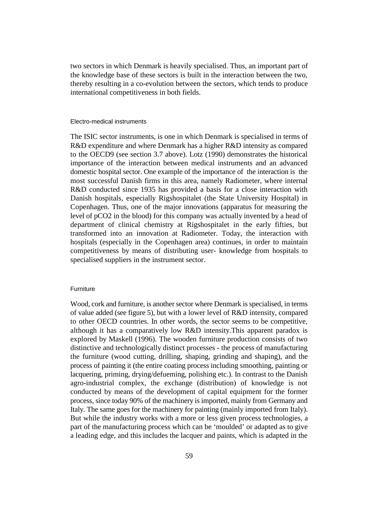two sectors in which Denmark is heavily specialised. Thus, an important part of the knowledge base of these sectors is built in the interaction between the two, thereby resulting in a co-evolution between the sectors, which tends to produce international competitiveness in both fields.

#### Electro-medical instruments

The ISIC sector instruments, is one in which Denmark is specialised in terms of R&D expenditure and where Denmark has a higher R&D intensity as compared to the OECD9 (see section 3.7 above). Lotz (1990) demonstrates the historical importance of the interaction between medical instruments and an advanced domestic hospital sector. One example of the importance of the interaction is the most successful Danish firms in this area, namely Radiometer, where internal R&D conducted since 1935 has provided a basis for a close interaction with Danish hospitals, especially Rigshospitalet (the State University Hospital) in Copenhagen. Thus, one of the major innovations (apparatus for measuring the level of pCO2 in the blood) for this company was actually invented by a head of department of clinical chemistry at Rigshospitalet in the early fifties, but transformed into an innovation at Radiometer. Today, the interaction with hospitals (especially in the Copenhagen area) continues, in order to maintain competitiveness by means of distributing user- knowledge from hospitals to specialised suppliers in the instrument sector.

#### **Furniture**

Wood, cork and furniture, is another sector where Denmark is specialised, in terms of value added (see figure 5), but with a lower level of R&D intensity, compared to other OECD countries. In other words, the sector seems to be competitive, although it has a comparatively low R&D intensity.This apparent paradox is explored by Maskell (1996). The wooden furniture production consists of two distinctive and technologically distinct processes - the process of manufacturing the furniture (wood cutting, drilling, shaping, grinding and shaping), and the process of painting it (the entire coating process including smoothing, painting or lacquering, priming, drying/defueming, polishing etc.). In contrast to the Danish agro-industrial complex, the exchange (distribution) of knowledge is not conducted by means of the development of capital equipment for the former process, since today 90% of the machinery is imported, mainly from Germany and Italy. The same goes for the machinery for painting (mainly imported from Italy). But while the industry works with a more or less given process technologies, a part of the manufacturing process which can be 'moulded' or adapted as to give a leading edge, and this includes the lacquer and paints, which is adapted in the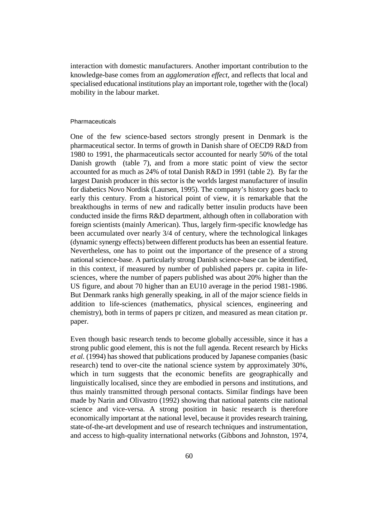interaction with domestic manufacturers. Another important contribution to the knowledge-base comes from an *agglomeration effect*, and reflects that local and specialised educational institutions play an important role, together with the (local) mobility in the labour market.

#### Pharmaceuticals

One of the few science-based sectors strongly present in Denmark is the pharmaceutical sector. In terms of growth in Danish share of OECD9 R&D from 1980 to 1991, the pharmaceuticals sector accounted for nearly 50% of the total Danish growth (table 7), and from a more static point of view the sector accounted for as much as 24% of total Danish R&D in 1991 (table 2). By far the largest Danish producer in this sector is the worlds largest manufacturer of insulin for diabetics Novo Nordisk (Laursen, 1995). The company's history goes back to early this century. From a historical point of view, it is remarkable that the breakthoughs in terms of new and radically better insulin products have been conducted inside the firms R&D department, although often in collaboration with foreign scientists (mainly American). Thus, largely firm-specific knowledge has been accumulated over nearly 3/4 of century, where the technological linkages (dynamic synergy effects) between different products has been an essential feature. Nevertheless, one has to point out the importance of the presence of a strong national science-base. A particularly strong Danish science-base can be identified, in this context, if measured by number of published papers pr. capita in lifesciences, where the number of papers published was about 20% higher than the US figure, and about 70 higher than an EU10 average in the period 1981-1986. But Denmark ranks high generally speaking, in all of the major science fields in addition to life-sciences (mathematics, physical sciences, engineering and chemistry), both in terms of papers pr citizen, and measured as mean citation pr. paper.

Even though basic research tends to become globally accessible, since it has a strong public good element, this is not the full agenda. Recent research by Hicks *et al.* (1994) has showed that publications produced by Japanese companies (basic research) tend to over-cite the national science system by approximately 30%, which in turn suggests that the economic benefits are geographically and linguistically localised, since they are embodied in persons and institutions, and thus mainly transmitted through personal contacts. Similar findings have been made by Narin and Olivastro (1992) showing that national patents cite national science and vice-versa. A strong position in basic research is therefore economically important at the national level, because it provides research training, state-of-the-art development and use of research techniques and instrumentation, and access to high-quality international networks (Gibbons and Johnston, 1974,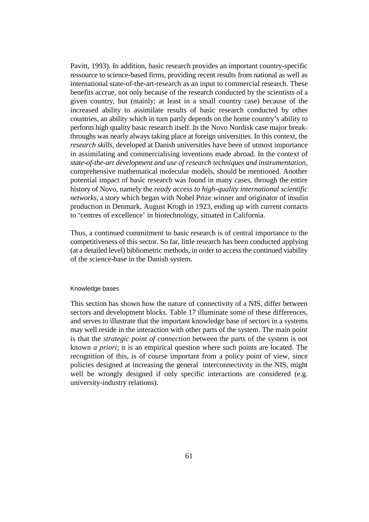Pavitt, 1993). In addition, basic research provides an important country-specific ressource to science-based firms, providing recent results from national as well as international state-of-the-art-research as an input to commercial research. These benefits accrue, not only because of the research conducted by the scientists of a given country, but (mainly; at least in a small country case) because of the increased ability to assimilate results of basic research conducted by other countries, an ability which in turn partly depends on the home country's ability to perform high quality basic research itself. In the Novo Nordisk case major breakthroughs was nearly always taking place at foreign universities. In this context, the *research skills*, developed at Danish universities have been of utmost importance in assimilating and commercialising inventions made abroad. In the context of *state-of-the-art development and use of research techniques and instrumentation*, comprehensive mathematical molecular models, should be mentioned. Another potential impact of basic research was found in many cases, through the entire history of Novo, namely the *ready access to high-quality international scientific networks*, a story which began with Nobel Prize winner and originator of insulin production in Denmark, August Krogh in 1923, ending up with current contacts to 'centres of excellence' in biotechnology, situated in California.

Thus, a continued commitment to basic research is of central importance to the competitiveness of this sector. So far, little research has been conducted applying (at a detailed level) bibliometric methods, in order to access the continued viability of the science-base in the Danish system.

#### Knowledge bases

This section has shown how the nature of connectivity of a NIS, differ between sectors and development blocks. Table 17 illuminate some of these differences, and serves to illustrate that the important knowledge base of sectors in a systems may well reside in the interaction with other parts of the system. The main point is that the *strategic point of connection* between the parts of the system is not known *a priori*; it is an empirical question where such points are located. The recognition of this, is of course important from a policy point of view, since policies designed at increasing the general interconnectivity in the NIS, might well be wrongly designed if only specific interactions are considered (e.g. university-industry relations).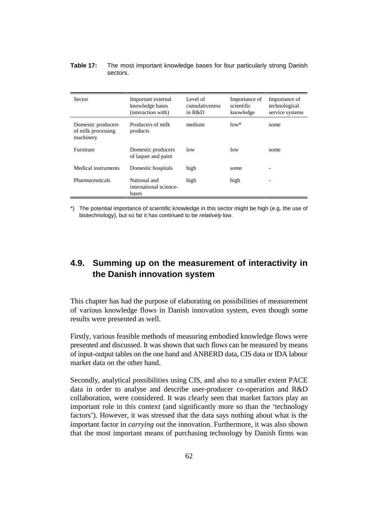#### **Table 17:** The most important knowledge bases for four particularly strong Danish sectors.

| <b>Sector</b>                                         | Important external<br>knowledge bases<br>(interaction with) | Level of<br>cumulativeness<br>in $R&D$ | Importance of<br>scientific<br>knowledge | Importance of<br>technological<br>service systems |
|-------------------------------------------------------|-------------------------------------------------------------|----------------------------------------|------------------------------------------|---------------------------------------------------|
| Domestic producers<br>of milk processing<br>machinery | Producers of milk<br>products                               | medium                                 | $low*$                                   | some                                              |
| Furniture                                             | Domestic producers<br>of laquer and paint                   | low                                    | low                                      | some                                              |
| Medical instruments                                   | Domestic hospitals                                          | high                                   | some                                     |                                                   |
| Pharmaceuticals                                       | National and<br>international science-<br>bases             | high                                   | high                                     |                                                   |

\*) The potential importance of scientific knowledge in this sector might be high (e.g. the use of biotechnology), but so far it has continued to be relatively low.

# **4.9. Summing up on the measurement of interactivity in the Danish innovation system**

This chapter has had the purpose of elaborating on possibilities of measurement of various knowledge flows in Danish innovation system, even though some results were presented as well.

Firstly, various feasible methods of measuring embodied knowledge flows were presented and discussed. It was shown that such flows can be measured by means of input-output tables on the one hand and ANBERD data, CIS data or IDA labour market data on the other hand.

Secondly, analytical possibilities using CIS, and also to a smaller extent PACE data in order to analyse and describe user-producer co-operation and R&D collaboration, were considered. It was clearly seen that market factors play an important role in this context (and significantly more so than the 'technology factors'). However, it was stressed that the data says nothing about what is the important factor in *carrying out* the innovation. Furthermore, it was also shown that the most important means of purchasing technology by Danish firms was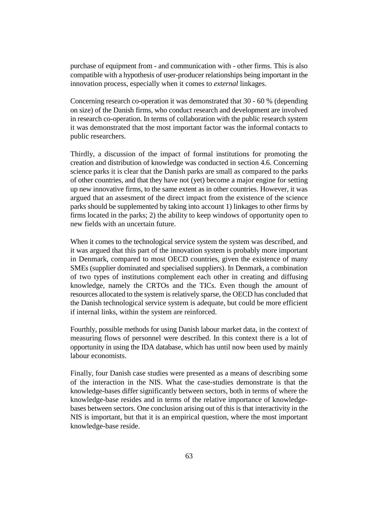purchase of equipment from - and communication with - other firms. This is also compatible with a hypothesis of user-producer relationships being important in the innovation process, especially when it comes to *external* linkages.

Concerning research co-operation it was demonstrated that 30 - 60 % (depending on size) of the Danish firms, who conduct research and development are involved in research co-operation. In terms of collaboration with the public research system it was demonstrated that the most important factor was the informal contacts to public researchers.

Thirdly, a discussion of the impact of formal institutions for promoting the creation and distribution of knowledge was conducted in section 4.6. Concerning science parks it is clear that the Danish parks are small as compared to the parks of other countries, and that they have not (yet) become a major engine for setting up new innovative firms, to the same extent as in other countries. However, it was argued that an assesment of the direct impact from the existence of the science parks should be supplemented by taking into account 1) linkages to other firms by firms located in the parks; 2) the ability to keep windows of opportunity open to new fields with an uncertain future.

When it comes to the technological service system the system was described, and it was argued that this part of the innovation system is probably more important in Denmark, compared to most OECD countries, given the existence of many SMEs (supplier dominated and specialised suppliers). In Denmark, a combination of two types of institutions complement each other in creating and diffusing knowledge, namely the CRTOs and the TICs. Even though the amount of resources allocated to the system is relatively sparse, the OECD has concluded that the Danish technological service system is adequate, but could be more efficient if internal links, within the system are reinforced.

Fourthly, possible methods for using Danish labour market data, in the context of measuring flows of personnel were described. In this context there is a lot of opportunity in using the IDA database, which has until now been used by mainly labour economists.

Finally, four Danish case studies were presented as a means of describing some of the interaction in the NIS. What the case-studies demonstrate is that the knowledge-bases differ significantly between sectors, both in terms of where the knowledge-base resides and in terms of the relative importance of knowledgebases between sectors. One conclusion arising out of this is that interactivity in the NIS is important, but that it is an empirical question, where the most important knowledge-base reside.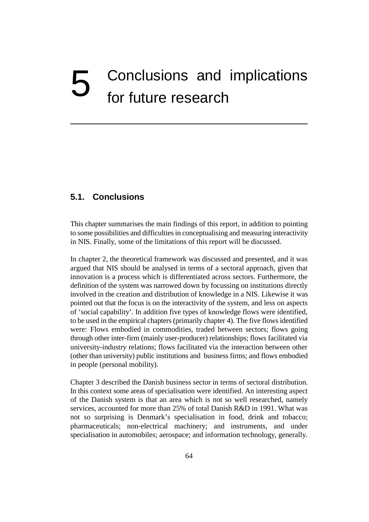# 5 Conclusions and implications for future research

## **5.1. Conclusions**

This chapter summarises the main findings of this report, in addition to pointing to some possibilities and difficulties in conceptualising and measuring interactivity in NIS. Finally, some of the limitations of this report will be discussed.

In chapter 2, the theoretical framework was discussed and presented, and it was argued that NIS should be analysed in terms of a sectoral approach, given that innovation is a process which is differentiated across sectors. Furthermore, the definition of the system was narrowed down by focussing on institutions directly involved in the creation and distribution of knowledge in a NIS. Likewise it was pointed out that the focus is on the interactivity of the system, and less on aspects of 'social capability'. In addition five types of knowledge flows were identified, to be used in the empirical chapters (primarily chapter 4). The five flows identified were: Flows embodied in commodities, traded between sectors; flows going through other inter-firm (mainly user-producer) relationships; flows facilitated via university-industry relations; flows facilitated via the interaction between other (other than university) public institutions and business firms; and flows embodied in people (personal mobility).

Chapter 3 described the Danish business sector in terms of sectoral distribution. In this context some areas of specialisation were identified. An interesting aspect of the Danish system is that an area which is not so well researched, namely services, accounted for more than 25% of total Danish R&D in 1991. What was not so surprising is Denmark's specialisation in food, drink and tobacco; pharmaceuticals; non-electrical machinery; and instruments, and under specialisation in automobiles; aerospace; and information technology, generally.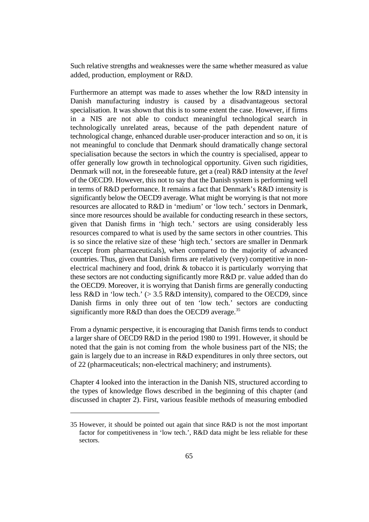Such relative strengths and weaknesses were the same whether measured as value added, production, employment or R&D.

Furthermore an attempt was made to asses whether the low R&D intensity in Danish manufacturing industry is caused by a disadvantageous sectoral specialisation. It was shown that this is to some extent the case. However, if firms in a NIS are not able to conduct meaningful technological search in technologically unrelated areas, because of the path dependent nature of technological change, enhanced durable user-producer interaction and so on, it is not meaningful to conclude that Denmark should dramatically change sectoral specialisation because the sectors in which the country is specialised, appear to offer generally low growth in technological opportunity. Given such rigidities, Denmark will not, in the foreseeable future, get a (real) R&D intensity at the *level* of the OECD9. However, this not to say that the Danish system is performing well in terms of R&D performance. It remains a fact that Denmark's R&D intensity is significantly below the OECD9 average. What might be worrying is that not more resources are allocated to R&D in 'medium' or 'low tech.' sectors in Denmark, since more resources should be available for conducting research in these sectors, given that Danish firms in 'high tech.' sectors are using considerably less resources compared to what is used by the same sectors in other countries. This is so since the relative size of these 'high tech.' sectors are smaller in Denmark (except from pharmaceuticals), when compared to the majority of advanced countries. Thus, given that Danish firms are relatively (very) competitive in nonelectrical machinery and food, drink & tobacco it is particularly worrying that these sectors are not conducting significantly more R&D pr. value added than do the OECD9. Moreover, it is worrying that Danish firms are generally conducting less R&D in 'low tech.' (> 3.5 R&D intensity), compared to the OECD9, since Danish firms in only three out of ten 'low tech.' sectors are conducting significantly more R&D than does the OECD9 average.<sup>35</sup>

From a dynamic perspective, it is encouraging that Danish firms tends to conduct a larger share of OECD9 R&D in the period 1980 to 1991. However, it should be noted that the gain is not coming from the whole business part of the NIS; the gain is largely due to an increase in R&D expenditures in only three sectors, out of 22 (pharmaceuticals; non-electrical machinery; and instruments).

Chapter 4 looked into the interaction in the Danish NIS, structured according to the types of knowledge flows described in the beginning of this chapter (and discussed in chapter 2). First, various feasible methods of measuring embodied

<sup>35</sup> However, it should be pointed out again that since R&D is not the most important factor for competitiveness in 'low tech.', R&D data might be less reliable for these sectors.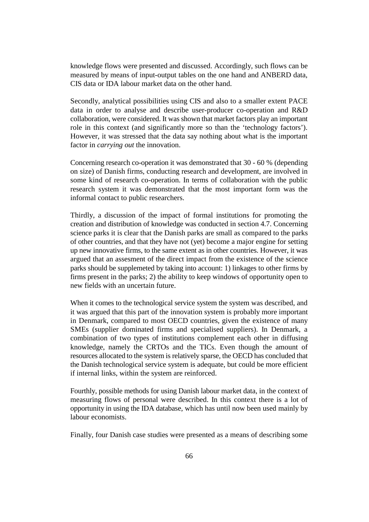knowledge flows were presented and discussed. Accordingly, such flows can be measured by means of input-output tables on the one hand and ANBERD data, CIS data or IDA labour market data on the other hand.

Secondly, analytical possibilities using CIS and also to a smaller extent PACE data in order to analyse and describe user-producer co-operation and R&D collaboration, were considered. It was shown that market factors play an important role in this context (and significantly more so than the 'technology factors'). However, it was stressed that the data say nothing about what is the important factor in *carrying out* the innovation.

Concerning research co-operation it was demonstrated that 30 - 60 % (depending on size) of Danish firms, conducting research and development, are involved in some kind of research co-operation. In terms of collaboration with the public research system it was demonstrated that the most important form was the informal contact to public researchers.

Thirdly, a discussion of the impact of formal institutions for promoting the creation and distribution of knowledge was conducted in section 4.7. Concerning science parks it is clear that the Danish parks are small as compared to the parks of other countries, and that they have not (yet) become a major engine for setting up new innovative firms, to the same extent as in other countries. However, it was argued that an assesment of the direct impact from the existence of the science parks should be supplemeted by taking into account: 1) linkages to other firms by firms present in the parks; 2) the ability to keep windows of opportunity open to new fields with an uncertain future.

When it comes to the technological service system the system was described, and it was argued that this part of the innovation system is probably more important in Denmark, compared to most OECD countries, given the existence of many SMEs (supplier dominated firms and specialised suppliers). In Denmark, a combination of two types of institutions complement each other in diffusing knowledge, namely the CRTOs and the TICs. Even though the amount of resources allocated to the system is relatively sparse, the OECD has concluded that the Danish technological service system is adequate, but could be more efficient if internal links, within the system are reinforced.

Fourthly, possible methods for using Danish labour market data, in the context of measuring flows of personal were described. In this context there is a lot of opportunity in using the IDA database, which has until now been used mainly by labour economists.

Finally, four Danish case studies were presented as a means of describing some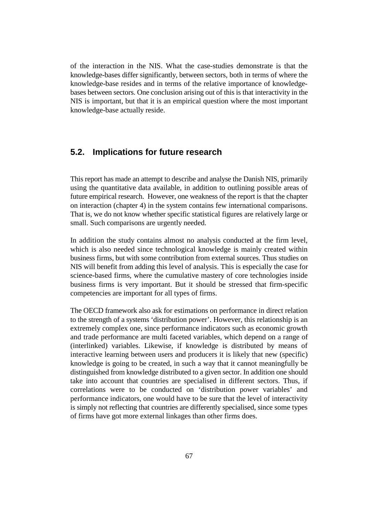of the interaction in the NIS. What the case-studies demonstrate is that the knowledge-bases differ significantly, between sectors, both in terms of where the knowledge-base resides and in terms of the relative importance of knowledgebases between sectors. One conclusion arising out of this is that interactivity in the NIS is important, but that it is an empirical question where the most important knowledge-base actually reside.

## **5.2. Implications for future research**

This report has made an attempt to describe and analyse the Danish NIS, primarily using the quantitative data available, in addition to outlining possible areas of future empirical research. However, one weakness of the report is that the chapter on interaction (chapter 4) in the system contains few international comparisons. That is, we do not know whether specific statistical figures are relatively large or small. Such comparisons are urgently needed.

In addition the study contains almost no analysis conducted at the firm level, which is also needed since technological knowledge is mainly created within business firms, but with some contribution from external sources. Thus studies on NIS will benefit from adding this level of analysis. This is especially the case for science-based firms, where the cumulative mastery of core technologies inside business firms is very important. But it should be stressed that firm-specific competencies are important for all types of firms.

The OECD framework also ask for estimations on performance in direct relation to the strength of a systems 'distribution power'. However, this relationship is an extremely complex one, since performance indicators such as economic growth and trade performance are multi faceted variables, which depend on a range of (interlinked) variables. Likewise, if knowledge is distributed by means of interactive learning between users and producers it is likely that new (specific) knowledge is going to be created, in such a way that it cannot meaningfully be distinguished from knowledge distributed to a given sector. In addition one should take into account that countries are specialised in different sectors. Thus, if correlations were to be conducted on 'distribution power variables' and performance indicators, one would have to be sure that the level of interactivity is simply not reflecting that countries are differently specialised, since some types of firms have got more external linkages than other firms does.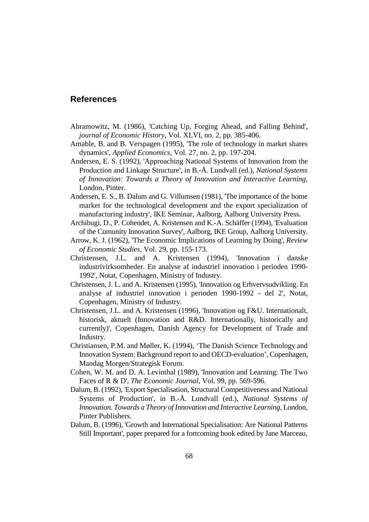## **References**

- Abramowitz, M. (1986), 'Catching Up, Forging Ahead, and Falling Behind', *journal of Economic History*, Vol. XLVI, no. 2, pp. 385-406.
- Amable, B. and B. Verspagen (1995), 'The role of technology in market shares dynamics', *Applied Economics*, Vol. 27, no. 2, pp. 197-204.
- Andersen, E. S. (1992), 'Approaching National Systems of Innovation from the Production and Linkage Structure', in B.-Å. Lundvall (ed.), *National Systems of Innovation: Towards a Theory of Innovation and Interactive Learning*, London, Pinter.
- Andersen, E. S., B. Dalum and G. Villumsen (1981), 'The importance of the home market for the technological development and the export specialization of manufacturing industry', IKE Seminar, Aalborg, Aalborg University Press.
- Archibugi, D., P. Cohendet, A. Kristensen and K.-A. Schäffer (1994), 'Evaluation of the Cumunity Innovation Survey', Aalborg, IKE Group, Aalborg University.
- Arrow, K. J. (1962), 'The Economic Implications of Learning by Doing', *Review of Economic Studies*, Vol. 29, pp. 155-173.
- Christensen, J.L. and A. Kristensen (1994), 'Innovation i danske industrivirksomheder. En analyse af industriel innovation i perioden 1990- 1992', Notat, Copenhagen, Ministry of Industry.
- Christensen, J. L. and A. Kristensen (1995), 'Innovation og Erhvervsudvikling. En analyse af industriel innovation i perioden 1990-1992 - del 2', Notat, Copenhagen, Ministry of Industry.
- Christensen, J.L. and A. Kristensen (1996), 'Innovation og F&U. Internationalt, historisk, aktuelt (Innovation and R&D. Internationally, historically and currently)', Copenhagen, Danish Agency for Development of Trade and Industry.
- Christiansen, P.M. and Møller, K. (1994), 'The Danish Science Technology and Innovation System: Background report to and OECD-evaluation', Copenhagen, Mandag Morgen/Strategisk Forum.
- Cohen, W. M. and D. A. Levinthal (1989), 'Innovation and Learning: The Two Faces of R & D', *The Economic Journal*, Vol. 99, pp. 569-596.
- Dalum, B. (1992), 'Export Specialisation, Structural Competitiveness and National Systems of Production', in B.-Å. Lundvall (ed.), *National Systems of Innovation. Towards a Theory of Innovation and Interactive Learning*, London, Pinter Publishers.
- Dalum, B. (1996), 'Growth and International Specialisation: Are National Patterns Still Important', paper prepared for a fortcoming book edited by Jane Marceau,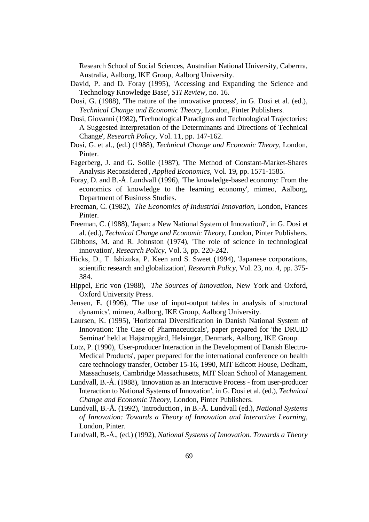Research School of Social Sciences, Australian National University, Caberrra, Australia, Aalborg, IKE Group, Aalborg University.

- David, P. and D. Foray (1995), 'Accessing and Expanding the Science and Technology Knowledge Base', *STI Review*, no. 16.
- Dosi, G. (1988), 'The nature of the innovative process', in G. Dosi et al. (ed.), *Technical Change and Economic Theory*, London, Pinter Publishers.
- Dosi, Giovanni (1982), 'Technological Paradigms and Technological Trajectories: A Suggested Interpretation of the Determinants and Directions of Technical Change', *Research Policy*, Vol. 11, pp. 147-162.
- Dosi, G. et al., (ed.) (1988), *Technical Change and Economic Theory*, London, Pinter.
- Fagerberg, J. and G. Sollie (1987), 'The Method of Constant-Market-Shares Analysis Reconsidered', *Applied Economics*, Vol. 19, pp. 1571-1585.
- Foray, D. and B.-Å. Lundvall (1996), 'The knowledge-based economy: From the economics of knowledge to the learning economy', mimeo, Aalborg, Department of Business Studies.
- Freeman, C. (1982), *The Economics of Industrial Innovation*, London, Frances Pinter.
- Freeman, C. (1988), 'Japan: a New National System of Innovation?', in G. Dosi et al. (ed.), *Technical Change and Economic Theory*, London, Pinter Publishers.
- Gibbons, M. and R. Johnston (1974), 'The role of science in technological innovation', *Research Policy*, Vol. 3, pp. 220-242.
- Hicks, D., T. Ishizuka, P. Keen and S. Sweet (1994), 'Japanese corporations, scientific research and globalization', *Research Policy*, Vol. 23, no. 4, pp. 375- 384.
- Hippel, Eric von (1988), *The Sources of Innovation*, New York and Oxford, Oxford University Press.
- Jensen, E. (1996), 'The use of input-output tables in analysis of structural dynamics', mimeo, Aalborg, IKE Group, Aalborg University.
- Laursen, K. (1995), 'Horizontal Diversification in Danish National System of Innovation: The Case of Pharmaceuticals', paper prepared for 'the DRUID Seminar' held at Højstrupgård, Helsingør, Denmark, Aalborg, IKE Group.
- Lotz, P. (1990), 'User-producer Interaction in the Development of Danish Electro-Medical Products', paper prepared for the international conference on health care technology transfer, October 15-16, 1990, MIT Edicott House, Dedham, Massachusets, Cambridge Massachusetts, MIT Sloan School of Management.
- Lundvall, B.-Å. (1988), 'Innovation as an Interactive Process from user-producer Interaction to National Systems of Innovation', in G. Dosi et al. (ed.), *Technical Change and Economic Theory*, London, Pinter Publishers.
- Lundvall, B.-Å. (1992), 'Introduction', in B.-Å. Lundvall (ed.), *National Systems of Innovation: Towards a Theory of Innovation and Interactive Learning*, London, Pinter.
- Lundvall, B.-Å., (ed.) (1992), *National Systems of Innovation. Towards a Theory*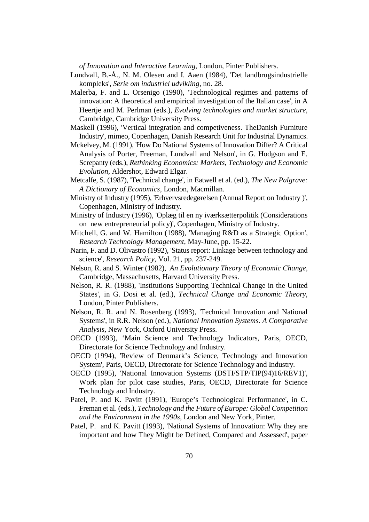*of Innovation and Interactive Learning*, London, Pinter Publishers.

- Lundvall, B.-Å., N. M. Olesen and I. Aaen (1984), 'Det landbrugsindustrielle kompleks', *Serie om industriel udvikling*, no. 28.
- Malerba, F. and L. Orsenigo (1990), 'Technological regimes and patterns of innovation: A theoretical and empirical investigation of the Italian case', in A Heertje and M. Perlman (eds.), *Evolving technologies and market structure*, Cambridge, Cambridge University Press.
- Maskell (1996), 'Vertical integration and competiveness. TheDanish Furniture Industry', mimeo, Copenhagen, Danish Research Unit for Industrial Dynamics.
- Mckelvey, M. (1991), 'How Do National Systems of Innovation Differ? A Critical Analysis of Porter, Freeman, Lundvall and Nelson', in G. Hodgson and E. Screpanty (eds.), *Rethinking Economics: Markets, Technology and Economic Evolution*, Aldershot, Edward Elgar.
- Metcalfe, S. (1987), 'Technical change', in Eatwell et al. (ed.), *The New Palgrave: A Dictionary of Economics*, London, Macmillan.
- Ministry of Industry (1995), 'Erhvervsredegørelsen (Annual Report on Industry )', Copenhagen, Ministry of Industry.
- Ministry of Industry (1996), 'Oplæg til en ny iværksætterpolitik (Considerations on new entrepreneurial policy)', Copenhagen, Ministry of Industry.
- Mitchell, G. and W. Hamilton (1988), 'Managing R&D as a Strategic Option', *Research Technology Management*, May-June, pp. 15-22.
- Narin, F. and D. Olivastro (1992), 'Status report: Linkage between technology and science', *Research Policy*, Vol. 21, pp. 237-249.
- Nelson, R. and S. Winter (1982), *An Evolutionary Theory of Economic Change*, Cambridge, Massachusetts, Harvard University Press.
- Nelson, R. R. (1988), 'Institutions Supporting Technical Change in the United States', in G. Dosi et al. (ed.), *Technical Change and Economic Theory*, London, Pinter Publishers.
- Nelson, R. R. and N. Rosenberg (1993), 'Technical Innovation and National Systems', in R.R. Nelson (ed.), *National Innovation Systems. A Comparative Analysis*, New York, Oxford University Press.
- OECD (1993), 'Main Science and Technology Indicators, Paris, OECD, Directorate for Science Technology and Industry.
- OECD (1994), 'Review of Denmark's Science, Technology and Innovation System', Paris, OECD, Directorate for Science Technology and Industry.
- OECD (1995), 'National Innovation Systems (DSTI/STP/TIP(94)16/REV1)', Work plan for pilot case studies, Paris, OECD, Directorate for Science Technology and Industry.
- Patel, P. and K. Pavitt (1991), 'Europe's Technological Performance', in C. Freman et al. (eds.), *Technology and the Future of Europe: Global Competition and the Environment in the 1990s*, London and New York, Pinter.
- Patel, P. and K. Pavitt (1993), 'National Systems of Innovation: Why they are important and how They Might be Defined, Compared and Assessed', paper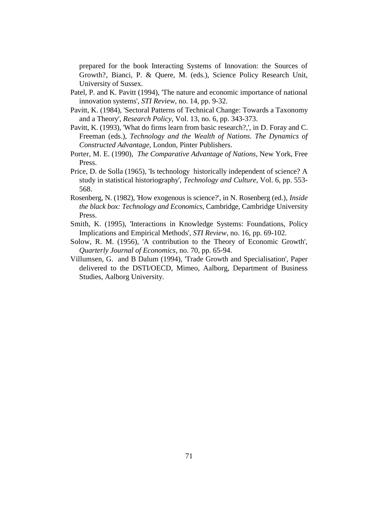prepared for the book Interacting Systems of Innovation: the Sources of Growth?, Bianci, P. & Quere, M. (eds.), Science Policy Research Unit, University of Sussex.

- Patel, P. and K. Pavitt (1994), 'The nature and economic importance of national innovation systems', *STI Review*, no. 14, pp. 9-32.
- Pavitt, K. (1984), 'Sectoral Patterns of Technical Change: Towards a Taxonomy and a Theory', *Research Policy*, Vol. 13, no. 6, pp. 343-373.
- Pavitt, K. (1993), 'What do firms learn from basic research?,', in D. Foray and C. Freeman (eds.), *Technology and the Wealth of Nations. The Dynamics of Constructed Advantage*, London, Pinter Publishers.
- Porter, M. E. (1990), *The Comparative Advantage of Nations*, New York, Free Press.
- Price, D. de Solla (1965), 'Is technology historically independent of science? A study in statistical historiography', *Technology and Culture*, Vol. 6, pp. 553- 568.
- Rosenberg, N. (1982), 'How exogenous is science?', in N. Rosenberg (ed.), *Inside the black box: Technology and Economics*, Cambridge, Cambridge University Press.
- Smith, K. (1995), 'Interactions in Knowledge Systems: Foundations, Policy Implications and Empirical Methods', *STI Review*, no. 16, pp. 69-102.
- Solow, R. M. (1956), 'A contribution to the Theory of Economic Growth', *Quarterly Journal of Economics*, no. 70, pp. 65-94.
- Villumsen, G. and B Dalum (1994), 'Trade Growth and Specialisation', Paper delivered to the DSTI/OECD, Mimeo, Aalborg, Department of Business Studies, Aalborg University.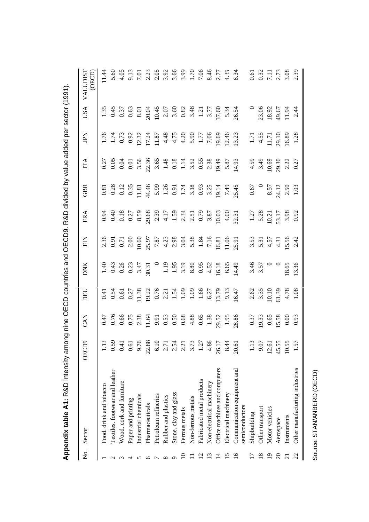|                | Appendix table A1: R&D intensity am           |                                                                                                                                                                                                                                                                          | nong nine                                                                   |                                                                             |                         | OECD countries and OECD9. R&D divided by value added per sector (1991)                                                                                                                                                                                                                                        |                                                                              |                                                  |                                                           |                                                                                                                                                                                                                                                                                                               |                                                                                                                                                                                                                                                                                                          |                                                         |
|----------------|-----------------------------------------------|--------------------------------------------------------------------------------------------------------------------------------------------------------------------------------------------------------------------------------------------------------------------------|-----------------------------------------------------------------------------|-----------------------------------------------------------------------------|-------------------------|---------------------------------------------------------------------------------------------------------------------------------------------------------------------------------------------------------------------------------------------------------------------------------------------------------------|------------------------------------------------------------------------------|--------------------------------------------------|-----------------------------------------------------------|---------------------------------------------------------------------------------------------------------------------------------------------------------------------------------------------------------------------------------------------------------------------------------------------------------------|----------------------------------------------------------------------------------------------------------------------------------------------------------------------------------------------------------------------------------------------------------------------------------------------------------|---------------------------------------------------------|
| ż              | Sector                                        | OECD9                                                                                                                                                                                                                                                                    | <b>EAN</b>                                                                  | DEU                                                                         | DNK                     | EN                                                                                                                                                                                                                                                                                                            | FRA                                                                          | GBR                                              | IТА                                                       | Kdſ                                                                                                                                                                                                                                                                                                           | USA                                                                                                                                                                                                                                                                                                      | (OECD)<br><b>VALUDIS</b>                                |
|                | Food. drink and tobacco                       |                                                                                                                                                                                                                                                                          |                                                                             |                                                                             |                         |                                                                                                                                                                                                                                                                                                               |                                                                              |                                                  |                                                           |                                                                                                                                                                                                                                                                                                               |                                                                                                                                                                                                                                                                                                          |                                                         |
|                | Textiles. footwear and leather                |                                                                                                                                                                                                                                                                          |                                                                             |                                                                             |                         |                                                                                                                                                                                                                                                                                                               |                                                                              |                                                  |                                                           |                                                                                                                                                                                                                                                                                                               |                                                                                                                                                                                                                                                                                                          | 5.60                                                    |
|                | Wood. cork and furniture                      | 1.13<br>$0.59$<br>$0.50$<br>$0.60$<br>$0.60$<br>$0.60$<br>$0.60$<br>$0.60$<br>$0.60$<br>$0.60$<br>$0.60$<br>$0.60$<br>$0.60$<br>$0.60$<br>$0.60$<br>$0.60$<br>$0.60$<br>$0.60$<br>$0.60$<br>$0.60$<br>$0.60$<br>$0.60$<br>$0.60$<br>$0.60$<br>$0.60$<br>$0.60$<br>$0.60$ |                                                                             |                                                                             |                         |                                                                                                                                                                                                                                                                                                               |                                                                              |                                                  |                                                           |                                                                                                                                                                                                                                                                                                               |                                                                                                                                                                                                                                                                                                          |                                                         |
|                | Paper and printing                            |                                                                                                                                                                                                                                                                          |                                                                             |                                                                             |                         |                                                                                                                                                                                                                                                                                                               |                                                                              |                                                  |                                                           |                                                                                                                                                                                                                                                                                                               |                                                                                                                                                                                                                                                                                                          |                                                         |
|                | Industrial chemicals                          |                                                                                                                                                                                                                                                                          |                                                                             |                                                                             |                         |                                                                                                                                                                                                                                                                                                               |                                                                              |                                                  |                                                           |                                                                                                                                                                                                                                                                                                               |                                                                                                                                                                                                                                                                                                          |                                                         |
| ७              | Pharmaceuticals                               |                                                                                                                                                                                                                                                                          |                                                                             |                                                                             |                         |                                                                                                                                                                                                                                                                                                               |                                                                              |                                                  |                                                           |                                                                                                                                                                                                                                                                                                               |                                                                                                                                                                                                                                                                                                          |                                                         |
|                | Petroleum refineries                          |                                                                                                                                                                                                                                                                          |                                                                             |                                                                             |                         |                                                                                                                                                                                                                                                                                                               |                                                                              |                                                  |                                                           |                                                                                                                                                                                                                                                                                                               |                                                                                                                                                                                                                                                                                                          |                                                         |
| $\infty$       | Rubber and plastics                           |                                                                                                                                                                                                                                                                          |                                                                             |                                                                             |                         |                                                                                                                                                                                                                                                                                                               |                                                                              |                                                  |                                                           |                                                                                                                                                                                                                                                                                                               |                                                                                                                                                                                                                                                                                                          |                                                         |
|                | Stone. clay and glass                         |                                                                                                                                                                                                                                                                          |                                                                             |                                                                             |                         |                                                                                                                                                                                                                                                                                                               |                                                                              |                                                  |                                                           |                                                                                                                                                                                                                                                                                                               |                                                                                                                                                                                                                                                                                                          |                                                         |
|                | Ferrous metals                                |                                                                                                                                                                                                                                                                          |                                                                             |                                                                             |                         |                                                                                                                                                                                                                                                                                                               |                                                                              |                                                  |                                                           |                                                                                                                                                                                                                                                                                                               |                                                                                                                                                                                                                                                                                                          |                                                         |
|                | Non-ferrous metals                            |                                                                                                                                                                                                                                                                          |                                                                             |                                                                             |                         |                                                                                                                                                                                                                                                                                                               |                                                                              |                                                  |                                                           |                                                                                                                                                                                                                                                                                                               |                                                                                                                                                                                                                                                                                                          |                                                         |
|                | Fabricated metal products                     |                                                                                                                                                                                                                                                                          |                                                                             |                                                                             |                         |                                                                                                                                                                                                                                                                                                               |                                                                              |                                                  |                                                           |                                                                                                                                                                                                                                                                                                               |                                                                                                                                                                                                                                                                                                          |                                                         |
|                | Non-electrical machinery                      |                                                                                                                                                                                                                                                                          |                                                                             |                                                                             |                         |                                                                                                                                                                                                                                                                                                               |                                                                              |                                                  |                                                           |                                                                                                                                                                                                                                                                                                               |                                                                                                                                                                                                                                                                                                          |                                                         |
| ᅼ              | Office machines and computers                 |                                                                                                                                                                                                                                                                          |                                                                             |                                                                             |                         |                                                                                                                                                                                                                                                                                                               |                                                                              |                                                  |                                                           |                                                                                                                                                                                                                                                                                                               |                                                                                                                                                                                                                                                                                                          |                                                         |
|                | Electrical machinery                          |                                                                                                                                                                                                                                                                          |                                                                             |                                                                             |                         |                                                                                                                                                                                                                                                                                                               |                                                                              |                                                  |                                                           |                                                                                                                                                                                                                                                                                                               |                                                                                                                                                                                                                                                                                                          |                                                         |
| $\mathbf{S}$   | Communication equipment and<br>semiconductors |                                                                                                                                                                                                                                                                          |                                                                             |                                                                             |                         | $\begin{array}{l} 3.5 \\ 0.91 \\ 0.92 \\ 0.93 \\ 0.94 \\ 0.95 \\ 0.97 \\ 0.98 \\ 0.97 \\ 0.97 \\ 0.98 \\ 0.97 \\ 0.98 \\ 0.99 \\ 0.99 \\ 0.91 \\ 0.93 \\ 0.91 \\ 0.93 \\ 0.91 \\ 0.93 \\ 0.91 \\ 0.93 \\ 0.93 \\ 0.94 \\ 0.95 \\ 0.97 \\ 0.99 \\ 0.99 \\ 0.99 \\ 0.99 \\ 0.99 \\ 0.99 \\ 0.99 \\ 0.99 \\ 0.9$ |                                                                              |                                                  |                                                           | $\begin{array}{l} 1.74 \\ 1.74 \\ 0.91 \\ 1.74 \\ 0.91 \\ 0.92 \\ 0.93 \\ 0.94 \\ 0.95 \\ 0.97 \\ 0.97 \\ 0.97 \\ 0.97 \\ 0.99 \\ 0.97 \\ 0.99 \\ 0.99 \\ 0.99 \\ 0.91 \\ 0.91 \\ 0.91 \\ 0.91 \\ 0.91 \\ 0.91 \\ 0.91 \\ 0.91 \\ 0.91 \\ 0.91 \\ 0.92 \\ 0.93 \\ 0.94 \\ 0.95 \\ 0.99 \\ 0.99 \\ 0.99 \\ 0.$ | 1.35<br>1.36<br>1.36<br>1.36<br>1.36<br>1.36<br>1.56<br>1.36<br>1.36<br>1.36<br>1.36<br>1.36<br>1.36<br>1.36<br>1.36<br>1.36<br>1.36<br>1.36<br>1.36<br>1.36<br>1.36<br>1.36<br>1.36<br>1.36<br>1.36<br>1.36<br>1.36<br>1.36<br>1.36<br>1.36<br>1.36<br>1.36<br>1.36<br>1.36<br>1.36<br>1.36<br>1.36<br> |                                                         |
|                | Shipbuilding                                  |                                                                                                                                                                                                                                                                          |                                                                             |                                                                             |                         |                                                                                                                                                                                                                                                                                                               |                                                                              |                                                  |                                                           |                                                                                                                                                                                                                                                                                                               |                                                                                                                                                                                                                                                                                                          |                                                         |
|                | Other transport                               | $\begin{array}{c} 1.13 \\ 9.07 \\ 12.61 \end{array}$                                                                                                                                                                                                                     | $\begin{array}{c} 0.37 \\ 0.33 \\ 0.65 \\ 0.58 \\ 0.00 \\ 0.93 \end{array}$ | $\begin{array}{c} 2.62 \\ 3.35 \\ 0.10 \\ 0.13 \\ 4.78 \\ 1.08 \end{array}$ | $3.57$<br>$3.57$<br>$0$ | $3.53$ $5.51$ $5.54$ $5.56$ $5.54$                                                                                                                                                                                                                                                                            | $\begin{array}{c} 1.27 \\ 5.28 \\ 0.21 \\ 3.317 \\ 3.98 \\ 0.92 \end{array}$ | $0.67$<br>$8.57$<br>$2.4.12$<br>$2.50$<br>$1.03$ | $4.59$<br>$3.49$<br>$10.69$<br>$2.30$<br>$2.27$<br>$0.27$ | $\begin{array}{c} 1.71 \\ 4.55 \\ 11.71 \\ 29.10 \\ 16.89 \\ 1.28 \end{array}$                                                                                                                                                                                                                                |                                                                                                                                                                                                                                                                                                          |                                                         |
| $\overline{1}$ | Motor vehicles                                |                                                                                                                                                                                                                                                                          |                                                                             |                                                                             |                         |                                                                                                                                                                                                                                                                                                               |                                                                              |                                                  |                                                           |                                                                                                                                                                                                                                                                                                               | 23.06<br>18.92<br>49.67<br>11.94<br>2.44                                                                                                                                                                                                                                                                 |                                                         |
| $\Omega$       | Aerospace                                     | 45.55                                                                                                                                                                                                                                                                    |                                                                             |                                                                             |                         |                                                                                                                                                                                                                                                                                                               |                                                                              |                                                  |                                                           |                                                                                                                                                                                                                                                                                                               |                                                                                                                                                                                                                                                                                                          |                                                         |
| $\overline{c}$ | Instruments                                   | 10.55                                                                                                                                                                                                                                                                    |                                                                             |                                                                             | 18.65<br>13.36          |                                                                                                                                                                                                                                                                                                               |                                                                              |                                                  |                                                           |                                                                                                                                                                                                                                                                                                               |                                                                                                                                                                                                                                                                                                          |                                                         |
|                | Other manufacturing industries                | 1.57                                                                                                                                                                                                                                                                     |                                                                             |                                                                             |                         |                                                                                                                                                                                                                                                                                                               |                                                                              |                                                  |                                                           |                                                                                                                                                                                                                                                                                                               |                                                                                                                                                                                                                                                                                                          | $0.32$<br>$0.32$<br>$7.13$<br>$2.73$<br>$3.08$<br>$2.3$ |

Source: STAN/ANBERD (OECD)

Source: STAN/ANBERD (OECD)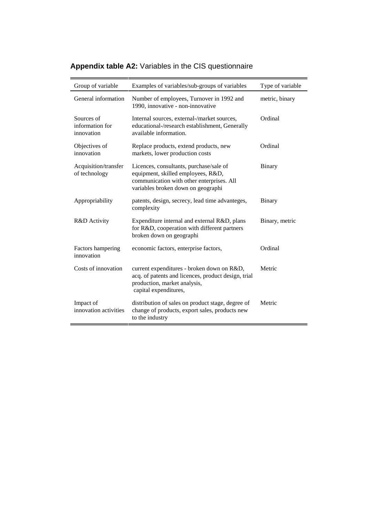| Group of variable                           | Examples of variables/sub-groups of variables                                                                                                                    | Type of variable |
|---------------------------------------------|------------------------------------------------------------------------------------------------------------------------------------------------------------------|------------------|
| General information                         | Number of employees, Turnover in 1992 and<br>1990, innovative - non-innovative                                                                                   | metric, binary   |
| Sources of<br>information for<br>innovation | Internal sources, external-/market sources,<br>educational-/research establishment, Generally<br>available information.                                          | Ordinal          |
| Objectives of<br>innovation                 | Replace products, extend products, new<br>markets, lower production costs                                                                                        | Ordinal          |
| Acquisition/transfer<br>of technology       | Licences, consultants, purchase/sale of<br>equipment, skilled employees, R&D,<br>communication with other enterprises. All<br>variables broken down on geographi | <b>Binary</b>    |
| Appropriability                             | patents, design, secrecy, lead time advanteges,<br>complexity                                                                                                    | Binary           |
| R&D Activity                                | Expenditure internal and external R&D, plans<br>for R&D, cooperation with different partners<br>broken down on geographi                                         | Binary, metric   |
| Factors hampering<br>innovation             | economic factors, enterprise factors,                                                                                                                            | Ordinal          |
| Costs of innovation                         | current expenditures - broken down on R&D,<br>acq. of patents and licences, product design, trial<br>production, market analysis,<br>capital expenditures,       | Metric           |
| Impact of<br>innovation activities          | distribution of sales on product stage, degree of<br>change of products, export sales, products new<br>to the industry                                           | Metric           |

# **Appendix table A2:** Variables in the CIS questionnaire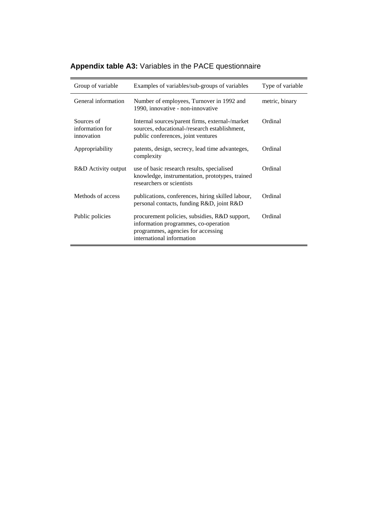|  |  |  |  |  |  |  | Appendix table A3: Variables in the PACE questionnaire |
|--|--|--|--|--|--|--|--------------------------------------------------------|
|--|--|--|--|--|--|--|--------------------------------------------------------|

| Group of variable                           | Examples of variables/sub-groups of variables                                                                                                            | Type of variable |
|---------------------------------------------|----------------------------------------------------------------------------------------------------------------------------------------------------------|------------------|
| General information                         | Number of employees, Turnover in 1992 and<br>1990, innovative - non-innovative                                                                           | metric, binary   |
| Sources of<br>information for<br>innovation | Internal sources/parent firms, external-/market<br>sources, educational-/research establishment,<br>public conferences, joint ventures                   | Ordinal          |
| Appropriability                             | patents, design, secrecy, lead time advanteges,<br>complexity                                                                                            | Ordinal          |
| R&D Activity output                         | use of basic research results, specialised<br>knowledge, instrumentation, prototypes, trained<br>researchers or scientists                               | Ordinal          |
| Methods of access                           | publications, conferences, hiring skilled labour,<br>personal contacts, funding R&D, joint R&D                                                           | Ordinal          |
| Public policies                             | procurement policies, subsidies, R&D support,<br>information programmes, co-operation<br>programmes, agencies for accessing<br>international information | Ordinal          |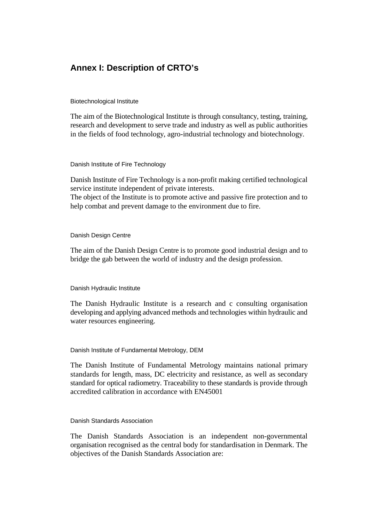## **Annex I: Description of CRTO's**

Biotechnological Institute

The aim of the Biotechnological Institute is through consultancy, testing, training, research and development to serve trade and industry as well as public authorities in the fields of food technology, agro-industrial technology and biotechnology.

Danish Institute of Fire Technology

Danish Institute of Fire Technology is a non-profit making certified technological service institute independent of private interests.

The object of the Institute is to promote active and passive fire protection and to help combat and prevent damage to the environment due to fire.

#### Danish Design Centre

The aim of the Danish Design Centre is to promote good industrial design and to bridge the gab between the world of industry and the design profession.

#### Danish Hydraulic Institute

The Danish Hydraulic Institute is a research and c consulting organisation developing and applying advanced methods and technologies within hydraulic and water resources engineering.

#### Danish Institute of Fundamental Metrology, DEM

The Danish Institute of Fundamental Metrology maintains national primary standards for length, mass, DC electricity and resistance, as well as secondary standard for optical radiometry. Traceability to these standards is provide through accredited calibration in accordance with EN45001

#### Danish Standards Association

The Danish Standards Association is an independent non-governmental organisation recognised as the central body for standardisation in Denmark. The objectives of the Danish Standards Association are: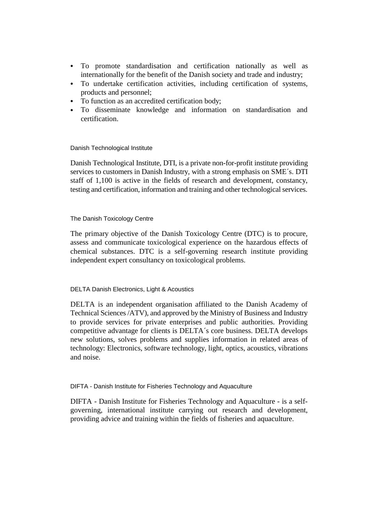- & To promote standardisation and certification nationally as well as internationally for the benefit of the Danish society and trade and industry;
- & To undertake certification activities, including certification of systems, products and personnel;
- & To function as an accredited certification body;
- & To disseminate knowledge and information on standardisation and certification.

#### Danish Technological Institute

Danish Technological Institute, DTI, is a private non-for-profit institute providing services to customers in Danish Industry, with a strong emphasis on SME´s. DTI staff of 1,100 is active in the fields of research and development, constancy, testing and certification, information and training and other technological services.

#### The Danish Toxicology Centre

The primary objective of the Danish Toxicology Centre (DTC) is to procure, assess and communicate toxicological experience on the hazardous effects of chemical substances. DTC is a self-governing research institute providing independent expert consultancy on toxicological problems.

### DELTA Danish Electronics, Light & Acoustics

DELTA is an independent organisation affiliated to the Danish Academy of Technical Sciences /ATV), and approved by the Ministry of Business and Industry to provide services for private enterprises and public authorities. Providing competitive advantage for clients is DELTA´s core business. DELTA develops new solutions, solves problems and supplies information in related areas of technology: Electronics, software technology, light, optics, acoustics, vibrations and noise.

#### DIFTA - Danish Institute for Fisheries Technology and Aquaculture

DIFTA - Danish Institute for Fisheries Technology and Aquaculture - is a selfgoverning, international institute carrying out research and development, providing advice and training within the fields of fisheries and aquaculture.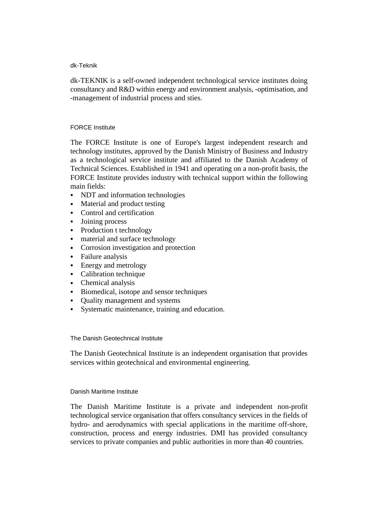#### dk-Teknik

dk-TEKNIK is a self-owned independent technological service institutes doing consultancy and R&D within energy and environment analysis, -optimisation, and -management of industrial process and sties.

#### FORCE Institute

The FORCE Institute is one of Europe's largest independent research and technology institutes, approved by the Danish Ministry of Business and Industry as a technological service institute and affiliated to the Danish Academy of Technical Sciences. Established in 1941 and operating on a non-profit basis, the FORCE Institute provides industry with technical support within the following main fields:

- & NDT and information technologies
- Material and product testing
- Control and certification
- Joining process
- Production t technology
- material and surface technology
- & Corrosion investigation and protection
- Failure analysis
- Energy and metrology
- Calibration technique
- Chemical analysis
- & Biomedical, isotope and sensor techniques
- & Quality management and systems
- Systematic maintenance, training and education.

The Danish Geotechnical Institute

The Danish Geotechnical Institute is an independent organisation that provides services within geotechnical and environmental engineering.

#### Danish Maritime Institute

The Danish Maritime Institute is a private and independent non-profit technological service organisation that offers consultancy services in the fields of hydro- and aerodynamics with special applications in the maritime off-shore, construction, process and energy industries. DMI has provided consultancy services to private companies and public authorities in more than 40 countries.